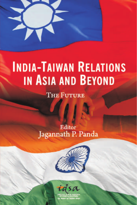

# **INDIA-TAIWAN RELATIONS IN ASIA AND BEYOND**

**THE FUTURE** 

### Editor Jagannath P. Panda



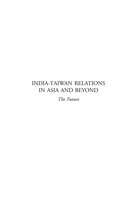### INDIA-TAIWAN RELATIONS IN ASIA AND BEYOND

*The Future*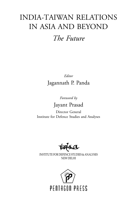## INDIA-TAIWAN RELATIONS IN ASIA AND BEYOND

### *The Future*

*Editor* Jagannath P. Panda

*Foreword by*

### Jayant Prasad

Director General Institute for Defence Studies and Analyses

idsa

INSTITUTE FOR DEFENCE STUDIES & ANALYSES NEW DELHI

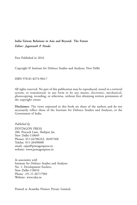#### **India-Taiwan Relations in Asia and Beyond: The Future** *Editor: Jagannath P. Panda*

First Published in 2016

Copyright © Institute for Defence Studies and Analyses, New Delhi

ISBN 978-81-8274-904-7

All rights reserved. No part of this publication may be reproduced, stored in a retrieval system, or transmitted, in any form or by any means, electronic, mechanical, photocopying, recording, or otherwise, without first obtaining written permission of the copyright owner.

**Disclaimer:** The views expressed in this book are those of the authors and do not necessarily reflect those of the Institute for Defence Studies and Analyses, or the Government of India.

*Published by*

PENTAGON PRESS 206, Peacock Lane, Shahpur Jat, New Delhi-110049 Phones: 011-64706243, 26491568 Telefax: 011-26490600 email: rajan@pentagonpress.in website: www.pentagonpress.in

*In association with* Institute for Defence Studies and Analyses No. 1, Development Enclave, New Delhi-110010 Phone: +91-11-26717983 Website: www.idsa.in.

Printed at Avantika Printers Private Limited.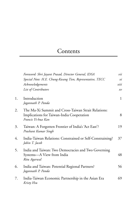### Contents

|    | Foreword: Shri Jayant Prasad, Director General, IDSA                                                                   | vii          |
|----|------------------------------------------------------------------------------------------------------------------------|--------------|
|    | Special Note: H.E. Chung-Kwang Tien, Representative, TECC                                                              | xi           |
|    | Acknowledgements                                                                                                       | xiii         |
|    | List of Contributors                                                                                                   | x v          |
| 1. | Introduction<br>Jagannath P. Panda                                                                                     | $\mathbf{1}$ |
| 2. | The Ma-Xi Summit and Cross-Taiwan Strait Relations:<br>Implications for Taiwan-India Cooperation<br>Francis Yi-hua Kan | 8            |
| 3. | Taiwan: A Forgotten Frontier of India's 'Act East'?<br>Prashant Kumar Singh                                            | 19           |
| 4. | India-Taiwan Relations: Constrained or Self-Constraining?<br>Jabin T. Jacob                                            | 37           |
| 5. | India and Taiwan: Two Democracies and Two Governing<br>Systems—A View from India<br>Ritu Agarwal                       | 48           |
| 6. | India and Taiwan: Potential Regional Partners?<br>Jagannath P. Panda                                                   | 56           |
| 7. | India-Taiwan Economic Partnership in the Asian Era<br>Kristy Hsu                                                       | 69           |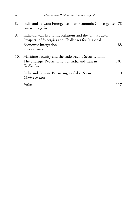| 8.  | India and Taiwan: Emergence of an Economic Convergence<br>Suresh T. Gopalan                                                                           | - 78 |
|-----|-------------------------------------------------------------------------------------------------------------------------------------------------------|------|
| 9.  | India-Taiwan Economic Relations and the China Factor:<br>Prospects of Synergies and Challenges for Regional<br>Economic Integration<br>Aravind Yelery | 88   |
| 10. | Maritime Security and the Indo-Pacific Security Link:<br>The Strategic Reorientation of India and Taiwan<br>Fu-Kuo Liu                                | 101  |
| 11. | India and Taiwan: Partnering in Cyber Security<br>Cherian Samuel                                                                                      | 110  |
|     | Index                                                                                                                                                 | 117  |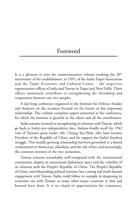### Foreword

It is a pleasure to join the commemorative volume marking the  $20<sup>th</sup>$ anniversary of the establishment, in 1995, of the India-Taipei Association and the Taipei Economic and Cultural Center – the respective representative offices of India and Taiwan in Taipei and New Delhi. These offices immensely contribute to strengthening the friendship and cooperation between our two peoples.

A day-long conference organised in the Institute for Defence Studies and Analyses on the occasion focused on the future of this important relationship. This volume comprises papers presented at the conference, for which the Institute is grateful to the editor and all the contributors.

India remains invested in strengthening its relations with Taiwan, which go back to India's pre-independence days. Indians fondly recall the 1942 visit of Taiwan's great leader, Mr. Chiang Kai-Shek, who later became President of the Republic of China, and his support for India's freedom struggle. This steadily growing relationship has been grounded in a shared commitment to democracy, pluralism, and the rule of law, and increasingly, the common interests of the two economies.

Taiwan remains remarkably well-integrated with the international community, despite its constrained diplomatic space and the volatility of its relations with the People's Republic of China. The People's Republic of China, notwithstanding political tensions, has a strong and multi-faceted engagement with Taiwan. India could follow its example in deepening its economic ties with Taiwan, as many other major countries in Asia and beyond have done. It is an island of opportunities for commerce,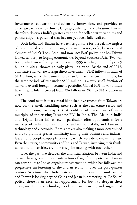investments, education, and scientific innovation, and provides an alternative window to Chinese language, culture, and civilisation. Taiwan, therefore, deserves India's greater attention for collaborative ventures and partnerships – a potential that has not yet been fully realised.

Both India and Taiwan have been responsible for the relative neglect of their mutual economic exchanges. Taiwan has not, so far, been a central element of India's 'Look East', and now 'Act East' policy, nor has Taiwan looked seriously to forging economic ties beyond Southeast Asia. Two way trade, which grew from \$934 million in 1995 to a high point of \$7.569 billion in 2011, showed an early plateauing trend. By the end of 2013, cumulative Taiwanese foreign direct investment (FDI) inflows in India of \$1.4 billion, while three times more than China's investment in India, for the same period, of just under \$500 million, is a very small fraction of Taiwan's overall foreign investment portfolio. Global FDI flows to India have, meanwhile, increased from \$24 billion in 2012 to \$44.2 billion in 2015.

The good news is that several big ticket investments from Taiwan are now on the anvil, straddling areas such as the real estate sector and communications, for projects that could entail investments of many multiples of the existing Taiwanese FDI in India. The 'Make in India' and 'Digital India' initiatives, in particular, offer opportunities for a marriage of Indian human resource and software skills, and Taiwanese technology and electronics. Both sides are also making a more determined effort to promote greater familiarity among their business and industry leaders and people-to-people contacts, which were deficient in the past. Even the strategic communities of India and Taiwan, involving their thinktanks and universities, are now freely interacting with each other.

Over the past two decades, the unofficial relations between India and Taiwan have grown into an interaction of significant potential. Taiwan can contribute to India's ongoing transformation, which has followed the progressive un-fettering of the Indian economy over the past quarter century. At a time when India is stepping up its focus on manufacturing and Taiwan is looking beyond China and Japan in promoting its 'Go South' policy, there is an excellent opportunity for both to deepen their engagement. High-technology trade and investment, and augmented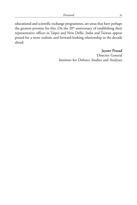educational and scientific exchange programmes, are areas that have perhaps the greatest promise for this. On the 20<sup>th</sup> anniversary of establishing their representative offices in Taipei and New Delhi, India and Taiwan appear poised for a more realistic and forward-looking relationship in the decade ahead.

> **Jayant Prasad** Director General Institute for Defence Studies and Analyses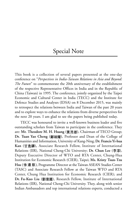### Special Note

This book is a collection of several papers presented at the one-day conference on "*Perspectives in India-Taiwan Relations in Asia and Beyond: The Future*" to commemorate the 20th anniversary of the establishment of the respective Representative Offices in India and in the Republic of China (Taiwan) in 1995. The conference, jointly organized by the Taipei Economic and Cultural Center in India (TECC) and the Institute for Defence Studies and Analyses (IDSA) on 8 December 2015, was mainly to retrospect the relations between India and Taiwan of the past 20 years and to explore ways to enhance the relations from diverse perspectives for the next 20 years. I am glad to see the papers being published today.

TECC was honoured to invite a well-known business leader and five outstanding scholars from Taiwan to participate in the conference. They are: Mr. Theodore M. H. Huang (黃茂雄), Chairman of TECO Group; Dr. Tuan Yao Cheng (鄭端耀), Professor and Dean of the College of Humanities and Information, University of Kang-Ning; **Dr. Francis Yi-hua Kan ( ),** Associate Research Fellow, Institute of International Relations (IIR), National Cheng-Chi University; Dr. Chun Lee (李淳), Deputy Executive Director of WTO and RTA Center, Chung-Hua Institution for Economic Research (CIER), Taipei; **Ms. Kristy Tsun-Tzu Hsu ( )**, Programme Director at the Taiwan ASEAN Studies Center (TASC) and Associate Research Fellow at the Taiwan WTO and RTA Center, Chung Hua Institution for Economic Research (CIER); and Dr. Fu-Kuo Liu (劉復國), Research Fellow, Institute of International Relations (IIR), National Cheng-Chi University. They, along with senior Indian Ambassadors and top international relations experts, conducted a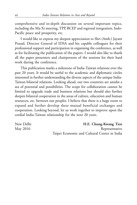comprehensive and in-depth discussion on several important topics, including the Ma-Xi meeting, TPP, RCEP and regional integration, Indo-Pacific peace and prosperity, etc.

I would like to express my deepest appreciation to Shri (Amb.) Jayant Prasad, Director General of IDSA and his capable colleagues for their professional support and participation in organising the conference, as well as for facilitating the publication of the papers. I would also like to thank all the paper presenters and chairpersons of the sessions for their hard work during the conference.

This publication marks a milestone of India-Taiwan relations over the past 20 years. It would be useful to the academic and diplomatic circles interested in further understanding the diverse aspects of the unique India-Taiwan bilateral relations. Looking ahead, our two countries are amidst a sea of potential and possibilities. The scope for collaboration cannot be limited to upgrade trade and business relations but should also further deepen bilateral cooperation in the areas of culture, education and human resources, etc. between our peoples. I believe that there is a huge room to expand and further develop these mutual beneficial exchanges and cooperation. Looking beyond, let us work together to improve upon the cordial India-Taiwan relationship for the next 20 years.

New Delhi **H.E. Chung-Kwang Tien** May 2016 Representative Taipei Economic and Cultural Center in India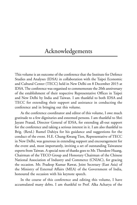### Acknowledgements

This volume is an outcome of the conference that the Institute for Defence Studies and Analyses (IDSA) in collaboration with the Taipei Economic and Cultural Center (TECC) held in New Delhi on 8 December 2015 at IDSA. The conference was organised to commemorate the 20th anniversary of the establishment of their respective Representative Offices in Taipei and New Delhi by India and Taiwan. I am thankful to both IDSA and TECC for extending their support and assistance in conducting the conference and in bringing out this volume.

As the conference coordinator and editor of this volume, I owe much gratitude to a few dignitaries and esteemed persons. I am thankful to Shri Jayant Prasad, Director General of IDSA, for extending all-out support for the conference and taking a serious interest in it. I am also thankful to Brig. (Retd.) Rumel Dahiya for his guidance and suggestions for the conduct of the event. H.E. Chung-Kwang Tien, Representative of TECC in New Delhi, was generous in extending support and encouragement for the event and, most importantly, inviting a set of outstanding Taiwanese experts from Taiwan. A special note of thanks goes to Mr. Theodore Huang, Chairman of the TECO Group and Honorary Chairman of the Chinese National Association of Industry and Commerce (CNIAC), for gracing the occasion. Mr. Pradeep Kumar Rawat, Joint Secretary (East Asia) of the Ministry of External Affairs (MEA) of the Government of India, honoured the occasion with his keynote speech.

In the course of this conference and editing this volume, I have accumulated many debts. I am thankful to Prof. Alka Acharya of the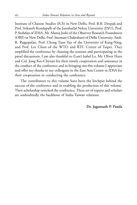Institute of Chinese Studies (ICS) in New Delhi, Prof. B.R. Deepak and Prof. Srikanth Kondapalli of the Jawaharlal Nehru University (JNU), Prof. P. Stobdan of IDSA, Mr. Manoj Joshi of the Observer Research Foundation (ORF) in New Delhi, Prof. Sreemati Chakrabarti of Delhi University, Amb. R. Rajgopalan, Prof. Cheng Tuan Yao of the University of Kang-Ning, and Prof. Lee Chun of the WTO and RTC Center of Taipei. They amplified the conference by chairing the sessions and participating in the panel discussions. I am also thankful to (Late) Isabel Lo, Mr. Oliver Harn and Col. Jung Kee-Chyuan for their timely cooperation and assistance in the conduct of the conference and in bringing out this volume.I appreciate and offer my thanks to my colleagues in the East Asia Centre in IDSA for their cooperation in conducting the conference.

The contributors to this volume have been the linchpin behind the success of the conference and in enabling the production of this volume. Their scholarship enriched the conference. These set of experts and scholars are undoubtedly the backbone of India-Taiwan relations.

**Dr. Jagannath P. Panda**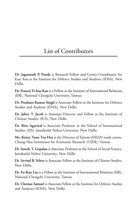### List of Contributors

**Dr. Jagannath P. Panda** is Research Fellow and Centre Coordinator for East Asia at the Institute for Defence Studies and Analyses (IDSA), New Delhi.

**Dr. Francis Yi-hua Kan** is a Fellow at the Institute of International Relations (IIR), National Chengchi University, Taiwan.

**Dr. Prashant Kumar Singh** is Associate Fellow at the Institute for Defence Studies and Analyses (IDSA), New Delhi.

**Dr. Jabin T. Jacob** is Assistant Director and Fellow at the Institute of Chinese Studies (ICS), New Delhi.

**Dr. Ritu Agarwal** is Associate Professor at the School of International Studies (SIS), Jawaharlal Nehru University, New Delhi.

**Ms. Kristy Tsun-Tzu Hsu** is the Director of Taiwan-ASEAN study centre, Chung Hua Institution for Economic Research (CIER), Taiwan.

**Dr. Suresh T. Gopalan** is Associate Professor at the School of Social Science, Jawaharlal Nehru University, New Delhi.

**Dr. Arvind B. Yelery** is Associate Fellow at the Institute of Chinese Studies, New Delhi.

**Dr. Fu-Kuo Liu** is a Fellow at the Institute of International Relations (IIR), National Chengchi University, Taiwan.

**Dr. Cherian Samuel** is Associate Fellow at the Institute for Defence Studies and Analyses (IDSA), New Delhi.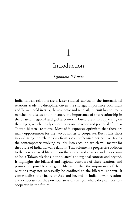# 1

### Introduction

*Jagannath P. Panda*

India-Taiwan relations are a lesser studied subject in the international relations academic discipline. Given the strategic importance both India and Taiwan hold in Asia, the academic and scholarly pursuit has not really matched to discuss and punctuate the importance of this relationship in the bilateral, regional and global contexts. Literature is fast appearing on the subject, which mostly concentrates on the scope and potential of India-Taiwan bilateral relations. Most of it expresses optimism that there are many opportunities for the two countries to cooperate. But it falls short in evaluating the relationship from a comprehensive perspective, taking the contemporary evolving realities into account, which will matter for the future of India-Taiwan relations. This volume is a progressive addition to the newly arrived literature on the subject and covers a wider spectrum of India-Taiwan relations in the bilateral and regional contexts and beyond. It highlights the bilateral and regional contours of these relations and promotes a possible strategic deliberation that the importance of these relations may not necessarily be confined to the bilateral context. It contextualises the vitality of Asia and beyond in India-Taiwan relations and deliberates on the potential areas of strength where they can possibly cooperate in the future.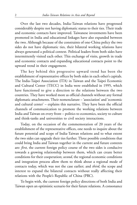Over the last two decades, India-Taiwan relations have progressed considerably despite not having diplomatic status to their ties. Their trade and economic contacts have improved. Taiwanese investments have been promoted in India and educational linkages have also expanded between the two. Although because of the constraints of one-China policy the two sides do not have diplomatic ties, their bilateral working relations have always generated a political context. Political leaders from both sides have intermittently visited each other. This exchange of visits, growth in trade and economic contacts and expanding educational contacts point to the upward trend in their engagement.

The key behind this progressive upward trend has been the establishment of representative offices by both sides in each other's capitals. The India-Taipei Association (ITA) in Taiwan and the Taipei Economic and Cultural Center (TECC) in India were established in 1995, which have functioned to give a direction to the relations between the two countries. They have worked more as official channels without any formal diplomatic attachments. Their nomenclature – 'association' and 'economic and cultural center' – explains this narrative. They have been the official channels of communication to promote the working relations between India and Taiwan on every front – politics to economics, society to culture and think-tanks and universities to civil society interactions.

Today, on the occasion of the commemoration of 20 years of the establishment of the representative offices, one needs to inquire about the future potential and scope of India-Taiwan relations and to what extent the two sides can upgrade their ties further. Three possible conditions that could bring India and Taiwan together in the current and future contexts are: *first*, the current foreign policy course of the two sides is conducive towards a growing relationship between them, which can create better conditions for their cooperation; *second*, the regional economic conditions and integration process allow them to think about a regional mode of contacts today, which was not the case earlier; and *third*, the scope and interest to expand the bilateral contacts without really affecting their relations with the People's Republic of China (PRC).

To begin with, the current foreign policy directions of both India and Taiwan open an optimistic scenario for their future relations. A consonance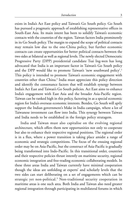exists in India's Act East policy and Taiwan's Go South policy. Go South has pursued a pragmatic approach of establishing representative offices in South-East Asia. Its main intent has been to solidify Taiwan's economic contacts with the countries of the region. Taiwan factors India prominently in its Go South policy. The margin to expand the scope of political contacts may remain low due to the one-China policy, but further economic contacts can create opportunities for better political contacts between the two sides at bilateral as well as regional levels. The newly elected Democratic Progressive Party (DPP) presidential candidate Tsai Ing-wen has long advocated that India is an important factor in Taiwan's Go South policy and the DPP would like to promote Taiwan's 'new southward policy'.<sup>1</sup> This policy is intended to promote Taiwan's economic engagement with countries other than China.<sup>2</sup> India must appreciate this policy direction and identify the consonance factors that will establish synergy between India's Act East and Taiwan's Go South policies. Act East aims to enhance India's engagement with East Asia and the broader Asia-Pacific region. Taiwan can be ranked high in this policy, factoring in as a special economic region for India's overseas economic interests. Besides, Go South will aptly support the Indian government's Make in India campaign, where a lot of Taiwanese investment can flow into India. This synergy between Taiwan and India needs to be established in the foreign policy stratagem.

India and Taiwan must also capitalise on the evolving regional architecture, which offers them new opportunities not only to cooperate but also to enhance their respective regional positions. The regional order is in a flux, where a power transition is taking place amidst a range of economic and strategic competitions. The focus of the ensuing regional order may be on Asia-Pacific, but the construct of Asia-Pacific is gradually being transformed into Indo-Pacific. In this transitional order, countries and their respective policies thrust intently on maritime security, regional economic integration and free-trading economic collaborating models. In these three areas India and Taiwan currently have minimal cooperation though the ideas are unfolding at experts' and scholarly levels that the two sides can start deliberating on a set of engagements which can be strategic yet non-political.<sup>3</sup> Non-traditional security cooperation in maritime areas is one such area. Both India and Taiwan also need greater regional integration through participating in multilateral forums in which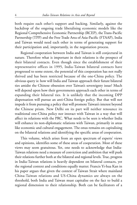both require each other's support and backing. Similarly, against the backdrop of the ongoing trade liberalising economic models like the Regional Comprehensive Economic Partnership (RCEP), the Trans-Pacific Partnership (TPP) and the Free Trade Area of Asia-Pacific (FTAAP), India and Taiwan would need each other in terms of generating support for their participation and, importantly, in the negotiation process.

Regional cooperation between India and Taiwan is still conjectural in nature. Therefore what is important in their relations is the prospect of their bilateral contacts. Even though since the establishment of their representative offices in 1995, India-Taiwan bilateral contacts have progressed to some extent, the potential of this cooperation has not really thrived and has been restricted because of the one-China policy. The obvious query is: how will India and Taiwan approach their future bilateral ties amidst the Chinese obsession over Taiwan's sovereignty issue? Much will depend upon how their governments approach each other in terms of expanding their bilateral ties. It is unlikely that the incoming DPP dispensation will pursue an anti-China foreign policy. But that will not impede it from pursuing a policy that will promote Taiwan's interest beyond the Chinese prism. New Delhi on its part will neither renounce its traditional one-China policy nor interact with Taiwan in a way that will affect its relations with the PRC. What needs to be seen is whether India will enhance its non-diplomatic relations with Taiwan, primarily in areas like economic and cultural engagement. The onus remains on capitalising on the bilateral relations and identifying the specific areas of cooperation.

This volume, which arises from an open spectrum of experts' views and opinions, identifies some of these areas of cooperation. Most of these views may seem gratuitous. Yet, one needs to acknowledge that India-Taiwan relations need a measure of conviction and ambition that will push their relations further both at the bilateral and regional levels. True, progress in India-Taiwan relations is heavily dependent on bilateral contacts, yet the regional context and conditions equally matter. Francis Yi-hua Kan in his paper argues that given the context of Taiwan Strait where mainland China-Taiwan relations and US-China dynamics are always on the threshold, both India and Taiwan must capitalise on the fact to build a regional dimension to their relationship. Both can be facilitators of a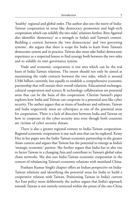'healthy' regional and global order. The author also sees the merit of India-Taiwan cooperation in areas like democracy promotion and high-tech cooperation which can solidify the two sides' relations further. Ritu Agarwal also identifies 'democracy' as a strength in India's and Taiwan's context. Building a context between the 'two democracies' and 'two governing systems', she argues that there is scope for India to learn from Taiwan's democratic system and its practice. Taiwan also must take India's democratic experience as a respected lesson to find synergy both between the two sides and to solidify its own governance system.

Trade and economic cooperation is one area which can be the real basis of India-Taiwan relations. The intent should not only be aimed at maximising the trade contacts between the two sides, which is around US\$6 billion currently, but equally to establish a comprehensive economic partnership that will sustain their overall relations. Educational exchanges, cultural cooperation and science & technology collaboration are potential areas that can be the basis of this cooperation. Cherian Samuel's paper explores how India and Taiwan can cooperate in a potential area like cyber security. The author argues that as titans of hardware and software, Taiwan and India respectively must see cyberspace as one of the potential areas for cooperation. There is a lack of direction between India and Taiwan on how to cooperate in the cyber security area even though both countries are victims of cyber security threats.

There is also a greater regional context to India-Taiwan cooperation. Regional economic cooperation is one such area that can be explored. Kristy Hsu in her paper sees the India-Taiwan economic partnership in the greater Asian context and argues that Taiwan has the potential to emerge as India's 'strategic economic' partner. She further argues that India has to also rise to factor Taiwan in a changing Asia and contribute to Taiwan's global value chain networks. She also sees India-Taiwan economic cooperation in the context of rebalancing Taiwan's economic relations with mainland China.

Prashant Kumar Singh's chapter offers an Indian perspective on India-Taiwan relations and identifying the potential areas for India to build a cooperative relation with Taiwan. Positioning Taiwan in India's current Act East policy more deliberately, the author argues that India's approach towards Taiwan is not entirely restricted within the prism of the one-China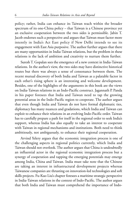policy; rather, India can enhance its Taiwan reach within the broader spectrum of its one-China policy – that Taiwan is a Chinese province yet an exclusive cooperation between the two sides is permissible. Jabin T. Jacob endorses such a perspective and argues that Taiwan must factor more intently in India's Act East policy if New Delhi intends to see its engagement with East Asia purposive. The author further argues that there are many opportunities in India-Taiwan relations, but the problem in these relations is the lack of ambition and creativity to nurture them further.

Suresh T. Gopalan sees the emergence of a new context in India-Taiwan relations. In the author's view, the two sides may have distinctive historical routes but there was always a sense of consonance between them. The recent mutual discovery of both India and Taiwan as a palatable factor in each other's rising sphere is an interesting and welcome development. Besides, one of the highlights of the arguments in this book are the views on India-Taiwan relations in an Indo-Pacific construct. Jagannath P. Panda in his paper foresees that India and Taiwan need to tap the growing potential areas in the Indo-Pacific region to cooperate. The author argues that even though India and Taiwan do not have formal diplomatic ties, diplomacy has many nuances and gradations, which India and Taiwan can exploit to enhance their relations in an evolving Indo-Pacific order. Taiwan has to carefully prepare a path for itself in the regional order to seek India's support, whereas India has also equally to take an interest to cooperate with Taiwan in regional mechanisms and institutions. Both need to think ambitiously, not ambiguously, to enhance their regional cooperation.

Arvind Yelery argues that the economic integration process is one of the challenging aspects in regional politics currently, which India and Taiwan should not overlook. The author argues that China is undoubtedly an influential actor in the regional economic integration process but a synergy of cooperation and tapping the emerging potentials may emerge among India, China and Taiwan. India must take note that the Chinese are taking an interest in infrastructural development projects whereas Taiwanese companies are thrusting on innovation-led technologies and soft skills projects. Fu-Kuo Liu's chapter foresees a maritime strategic perspective in India-Taiwan relations in the context of Indo-Pacific. The author argues that both India and Taiwan must comprehend the importance of Indo-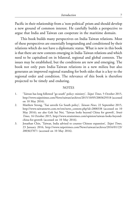Pacific in their relationship from a 'non-political' prism and should develop a new ground of common interest. He carefully builds a perspective to argue that India and Taiwan can cooperate in the maritime domain.

This book builds many perspectives on India-Taiwan relations. Most of these perspectives are essentially longstanding and conditioned by their relations which do not have a diplomatic status. What is new in this book is that there are new contexts emerging in India-Taiwan relations and which need to be capitalised on in bilateral, regional and global contexts. The issues may be established, but the conditions are new and emerging. The book not only puts India-Taiwan relations in a new milieu but also generates an improved regional standing for both sides that is a key to the regional order and condition. The relevance of this book is therefore projected to be timely and enduring.

#### **NOTES**

- 1. 'Taiwan has long followed "go south" policy: ministry', *Taipei Times,* 5 October 2015, http://www.taipeitimes.com/News/taiwan/archives/2015/10/05/2003629318 (accessed on 10 May 2016).
- 2. Matthew Strong, 'Tsai unveils Go South policy', *Taiwan News,* 22 September 2015, http://www.taiwannews.com.tw/etn/news\_content.php?id=2808338 (accessed on 10 May 2016); see also Goh Sui Noi, 'Taiwan looks beyond China for growth', *Strait Times,* 16 October 2015, http://www.straitstimes.com/opinion/taiwan-looks-beyondchina-for-growth (accessed on 10 May 2016).
- 3. Jonathan Chin, 'Taiwan, India advised to counter Chinese expansion', *Taipei Times,* 23 January 2016, http://www.taipeitimes.com/News/taiwan/archives/2016/01/23/ 2003637871 (accessed on 10 May 2016).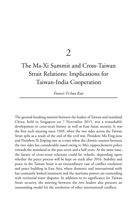### 2

### The Ma-Xi Summit and Cross-Taiwan Strait Relations: Implications for Taiwan-India Cooperation

*Francis Yi-hua Kan*

The ground-breaking summit between the leaders of Taiwan and mainland China, held in Singapore on 7 November 2015, was a remarkable development in cross-strait history as well as East Asian security. It was the first such meeting since 1949, when the two sides across the Taiwan Strait split as a result of the end of the civil war. President Ma Ying-jeou and President Xi Jinping met at a time when the chronic tension between the two sides has considerably eased owing to Ma's rapprochement policy towards the mainland in the past seven and a half years. At the same time, the future of cross-strait relations could be volatile, depending upon whether the peace process will be kept on track after 2016. Stability and peace in the Taiwan Strait is an extraordinary case of conflict resolution and peace building in East Asia, where domestic and international strife has constantly looked imminent and the maritime powers are contending with territorial water disputes. In addition to its significance for Taiwan Strait security, the meeting between the two leaders also presents an outstanding model for the resolution of other international conflicts.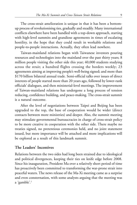The cross-strait amelioration is unique in that it has been a bottomup process of revolutionising ties, gradually and steadily. Many international conflicts elsewhere have been handled with a top-down approach, starting with high-level summits and grandiose agreements in times of escalating hostility, in the hope that they could result in workable relations and people-to-people interactions. Actually, they often lead nowhere.

Taiwan-mainland relations began with Taiwanese investors pouring resources and technologies into the mainland over the past thirty years; 8 million people visiting the other side this year; 40,000 students studying across the strait; a hundred flights crossing the borders weekly; 23 agreements aiming at improving people's well-being signed; and more than \$170 billion bilateral annual trade. Semi-official talks over issues of direct interests of people started more than 20 years ago, followed by lower-rank officials' dialogues, and then ministerial-level meetings. The improvement of Taiwan-mainland relations has undergone a long process of tension reducing, confidence building, and peace-making. The cross-strait summit is a natural outcome.

After the level of negotiations between Taipei and Beijing has been upgraded to the top, the base of cooperation would be wider (direct contacts between more ministries) and deeper. Also, the summit meeting may stimulate governmental bureaucracies in charge of cross-strait policy to be more creative in cooperation with the other side. There maybe no treaties signed, no pretentious ceremonies held, and no joint statement issued, but more importance will be attached and more implications will be explored as a result of this landmark summit.

#### **The Leaders' Incentives**

Relations between the two sides had long been strained due to ideological and political divergences, keeping their ties on knife edge before 2008. Since his inauguration, President Ma over a relatively short period of time has proactively been committed to transforming the war-prone strait into peaceful waters. The news release of the Ma-Xi meeting came as a surprise and even consternation, with some analysts arguing that the meeting was a 'gamble'.1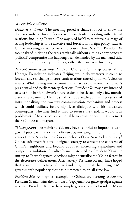#### *Xi's Possible Audience*

*Domestic audience*: The meeting posed a chance for Xi to show the domestic audience his confidence as a strong leader in dealing with external relations, including Taiwan. One way used by Xi to reinforce his image of strong leadership is to be assertive and forceful in foreign policy, such as China's intransigent stance over the South China Sea. Yet, President Xi took risks of initiating the cross-strait talk without aiming at any concrete 'political' compromise that had long been demanded by the mainland side. The ability of flexibility reinforces, rather than weaken, his image.

*Taiwan's future leadership*: As Dean Cheng, a China specialist of the Heritage Foundation indicates, Beijing would do whatever it could to forestall any sea-change in cross-strait relations caused by Taiwan's election results. While taking into account the foreseeable outcomes of Taiwan's presidential and parliamentary elections, President Xi may have intended to set a high bar for Taiwan's future leader, to be elected only a few months after the summit. He must also have realised the necessity of institutionalising the two-way communication mechanism and process which could facilitate future high-level dialogues with his Taiwanese counterparts, who may find it hard to reverse the trend. It would look problematic if Ma's successor is not able to create opportunities to meet their Chinese counterpart.

*Taiwan people*: The mainland side may have also tried to impress Taiwan's general public with Xi's charm offensive by initiating this summit meeting, argues Jerome A. Cohen, professor at School of Law, New York University. 2 China's soft image is a well-designed strategy to assuage the concerns of China's neighbours and beyond about its increasing capabilities and compelling ambition. An olive branch extended by President Xi in the run-up to Taiwan's general elections might neutralise the 'China factor' in the electorate's deliberations. Alternatively, President Xi may have hoped that a summit meeting of this kind might boost the ruling KMT government's popularity that has plummeted to an all-time low.

*President Ma*: As a typical example of Chinese-style strong leadership, President Xi maintains the formula of 'repayment for grace; grudges against revenge'. President Xi may have simply given credit to President Ma in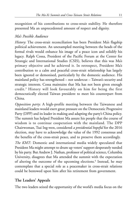recognition of his contributions to cross-strait stability. He therefore presented Ma an unprecedented amount of respect and dignity.

#### *Ma's Possible Audience*

*History*: The cross-strait reconciliation has been President Ma's flagship political achievement. An unexampled meeting between the heads of the formal rivals would enhance his image of a peace icon and solidify his legacy. Ralph Cossa, President of the Pacific Forum at the Center for Strategic and International Studies (CSIS), believes that this was Ma's primary objective and he achieved it. In retrospect, President Ma's contribution to a calm and peaceful cross-strait relationship has largely been ignored or demonised, particularly by the domestic audience. His mainland policy has strengthened – not undercut – Taiwan's security and strategic interests. Cossa maintains that Ma has not been given enough credit.<sup>3</sup> History will look favourably on him for being the first democratically elected Taiwan president to meet his counterpart from China.

*Opposition party*: A high-profile meeting between the Taiwanese and mainland leaders would exert great pressure on the Democratic Progressive Party (DPP) and its leader in making and adapting the party's China policy. The summit has helped President Ma assure his people that the course of wisdom is to continue cooperation with the mainland. The DPP Chairwoman, Tsai Ing-wen, considered *a presidential hopeful* for the 2016 election, may have to acknowledge the value of the 1992 consensus and the benefits of the cross-strait peace, and to preserve them accordingly.

*The KMT*: Domestic and international media widely speculated that President Ma might attempt to drum up voters' support desperately needed by his party. But Andrew J. Nathan, professor of political science, Columbia University, disagrees that Ma attended the summit with the expectation of altering the outcome of the upcoming elections.<sup>4</sup> Instead, he may contemplate that a special role as a peacemaker in cross-strait relations could be bestowed upon him after his retirement from government.

#### **The Leaders' Appeals**

The two leaders seized the opportunity of the world's media focus on the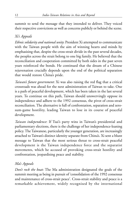summit to send the message that they intended to deliver. They voiced their respective convictions as well as concerns publicly or behind the scene.

#### *Xi's Appeals*

*Ethnic solidarity and national unity*: President Xi attempted to communicate with the Taiwan people with the aim of winning hearts and minds by emphasising that, despite the cross-strait divide in the past several decades, the peoples across the strait belong to one big family. He believed that the reconciliation and cooperation committed by both sides in the past seven years reinforced the bonds. He continued that the dream of a Chinese rejuvenation crucially depends upon the end of the political separation that would restore China's pride.

*Taiwan's future government*: Xi was also raising the red flag that a critical crossroads was ahead for the next administration of Taiwan to take. One is a path of peaceful development, which has been taken in the last several years. To continue on this path, Taiwan should unswervingly oppose its independence and adhere to the 1992 consensus, the pivot of cross-strait reconciliation. The alternative is full of confrontation, separation and zerosum-game hostility, leading Taiwan to lose in its course of peaceful development.

*Taiwan independence*: If Tsai's party wins in Taiwan's presidential and parliamentary elections, there is the challenge of her independence-leaning policy. The Taiwanese, particularly the younger generation, are increasingly attached to Taiwan's distinct identity separate from China's. Xi sent a blunt message to Taiwan that the most serious threat to cross-strait peaceful development is the Taiwan independence force and the separatist movements, which he accused of provoking cross-strait hostility and confrontation, jeopardising peace and stability.

#### *Ma's Appeals*

*Don't rock the boat*: The Ma administration designated the goals of the summit meeting as being in pursuit of 'consolidation of the 1992 consensus and maintenance of cross-strait peace'. Cross-strait stability and peace is a remarkable achievement, widely recognised by the international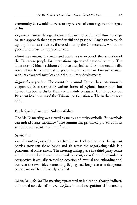community. Ma would be averse to any reversal of course against this legacy of his.

*Be patient*: Future dialogue between the two sides should follow the stepby-step approach that has proved useful and practical. Any haste to touch upon political sensitivities, if chased after by the Chinese side, will do no good for cross-strait rapprochement.

*Mainland's threats*: The mainland continues to overlook the aspiration of the Taiwanese people for international space and national security. The latter resent China's stubborn efforts to marginalise Taiwan internationally. Also, China has continued to pose a serious threat to Taiwan's security with its advanced missiles and other military deployments.

*Regional integration*: The countries around Taiwan have strenuously cooperated in constructing various forms of regional integration, but Taiwan has been excluded from them mainly because of China's objection. President Ma has stressed that Taiwan's participation will be in the interests of all.

#### **Both Symbolism and Substantiality**

The Ma-Xi meeting was viewed by many as merely symbolic. But symbols can indeed create substance.<sup>5</sup> The summit has genuinely proven both its symbolic and substantial significance.

#### *Symbolism*

*Equality and reciprocity*: The fact that the two leaders, from once belligerent parties, now can shake hands and sit across the negotiating table is a phenomenal achievement. The meeting taking place in a third-party venue also indicates that it was not a low-key event, even from the mainland's perspective. It actually created an occasion of 'mutual non-subordination' between the two sides, something Beijing had long seen as a dangerous precedent and had fervently avoided.

*Mutual non-denial*: The meeting represented an indication, though indirect, of 'mutual non-denial' or even *de facto* 'mutual recognition' elaborated by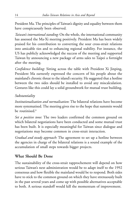President Ma. The principles of Taiwan's dignity and equality between them have conspicuously been observed.

*Taiwan's international standing*: On the whole, the international community has assessed the Ma-Xi meeting positively. President Ma has been widely praised for his contribution to converting the sour cross-strait relations into amicable ties and to enhancing regional stability. For instance, the US has publicly acknowledged the success of the meeting and supported Taiwan by announcing a new package of arms sales to Taipei a fortnight after the meeting.

*Confidence building*: Sitting across the table with President Xi Jinping, President Ma earnestly expressed the concern of his people about the mainland's chronic threat to the island's security. He suggested that a hotline between the two sides should be installed to avoid any miscalculation. Gestures like this could lay a solid groundwork for mutual trust building.

#### *Substantiality*

*Institutionalisation and normalisation*: The bilateral relations have become more systematised. The meeting gives rise to the hope that summits would be routinised.<sup>6</sup>

*Set a positive tone*: The two leaders confirmed the common ground on which bilateral negotiations have been conducted and some mutual trust has been built. It is especially meaningful for Taiwan since dialogue and negotiations may become common in cross-strait interaction.

*Gradual and steady approach*: The agreement to set up a hotline between the agencies in charge of the bilateral relations is a sound example of the accumulation of small steps towards bigger projects.

#### **What Should Be Done**

The sustainability of the cross-strait rapprochement will depend on how serious Taiwan's next administration would be to adapt itself to the 1992 consensus and how flexible the mainland would be to respond. Both sides have to stick to the common ground on which they have strenuously built in the past several years and come up with possible alternatives acceptable to both. A serious standoff would kill the momentum of improvement.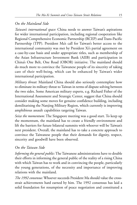#### *On the Mainland Side*

*Taiwan's international space*: China needs to answer Taiwan's aspirations for wider international participation, including regional cooperation like Regional Comprehensive Economic Partnership (RCEP) and Trans-Pacific Partnership (TPP). President Ma's call for Taiwan's better access to the international community was met by President Xi's partial agreement on a case-by-case basis and under appropriate titles, such as membership of the Asian Infrastructure Investment Bank (AIIB) and participation in China's One Belt, One Road (OBOR) initiative. The mainland should do much more to convince the Taiwanese people of its sincerity of taking care of their well-being, which can be enhanced by Taiwan's wider international participation.

*Military threat*: Mainland China should also seriously contemplate how to eliminate its military threat to Taiwan in terms of dispute solving between the two sides. Some American military experts, e.g. Richard Fisher of the International Assessment and Strategic Center, suggest that China should consider making some moves for genuine confidence building, including demilitarising the Nanjing Military Region, which currently is improving amphibious assault capabilities targeting Taiwan.

*Seize the momentum*: The Singapore meeting was a good start. To keep up the momentum, the mainland has to create a friendly environment and lift the barriers for future bilateral summits with whoever will be Taiwan's next president. Overall, the mainland has to take a concrete approach to convince the Taiwanese people that their demands for dignity, respect, sincerity and goodwill have been observed.

#### *On the Taiwan Side*

*Informing the general public*: The Taiwanese administrations have to double their efforts in informing the general public of the reality of a rising China with which Taiwan has to work and in convincing the people, particularly the young generations, of the necessity and importance of improving relations with the mainland.

*The 1992 consensus*: Whoever succeeds President Ma should value the crossstrait achievements hard earned by him. The 1992 consensus has laid a solid foundation for resumption of peace negotiation and constituted a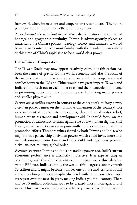framework where interactions and cooperation are conducted. The future president should respect and adhere to this consensus.

*To understand the mainland better*: With shared historical and cultural heritage and geographic proximity, Taiwan is advantageously placed to understand the Chinese politics, ideology, society, and mindset. It would be in Taiwan's interest to be most familiar with the mainland, particularly at this time of China's rapid rise to be a world-class power.

#### **India-Taiwan Cooperation**

The Taiwan Strait may now appear relatively calm, but this region has been the centre of gravity for the world economy and also the focus of the world's instability. It is also an area on which the cooperation and conflict between the US and China would have great impact. Taiwan and India should reach out to each other to extend their benevolent influence in promoting cooperation and preventing conflict among major powers and smaller players alike.

*Partnership of civilian powers*: In contrast to the concept of a military power, a civilian power centres on the normative dimension of the country's role as a substantial contributor to others, devoted to disaster relief, humanitarian assistance and development aid. It should focus on the promotion of democracy, human rights, rule of law, human dignity, civil liberty, as well as participation in post-conflict peacekeeping and stability promotion efforts. These are values shared by both Taiwan and India, who might form a partnership of civilian powers which could invite more likeminded countries to join. Taiwan and India could work together to promote a civilian, not military, global order.

*Economic partners*: Taiwan and India are trading powers too. India's current economic performance is distinctly impressive. It is experiencing an economic growth that China has enjoyed in the past two or three decades. At the PPP rate, India is already the world's third-largest economy worth \$2 trillion and it might become number one by the mid-century. It will also enjoy a long-term demographic dividend, with 11 million extra people every year over the next 40 years, making India a youthful country. There will be 10 million additional jobs to be created, mostly non-agricultural work. This vast nation needs some reliable partners like Taiwan whose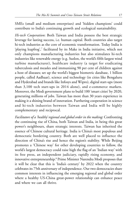SMEs (small and medium enterprises) and 'hidden champions' could contribute to India's continuing growth and ecological sustainability.

*Hi-tech Cooperation*: Both Taiwan and India possess the best strategic leverage for lasting success, i.e. human capital. Both countries also target hi-tech industries as the core of economic transformation. Today India is 'playing leapfrog',7 facilitated by its Make in India initiative, which not only champions manufacturing industries but also stimulates hi-tech industries like renewable energy (e.g. Suzlon, the world's fifth-largest wind turbine manufacturer), healthcare industry (a target for eradicating tuberculosis and measles and immunising 90 per cent of children against a host of diseases; set up the world's biggest biometric database, 1 billion people, called Aadhaar), science and technology (in cities like Bengaluru and Hyderabad and brands like Infosys and Wipro), digital start-ups (more than 3,100 tech start-ups in 2014 alone), and e-commerce markets. Moreover, the Modi government plans to build 100 'smart cities' by 2020, generating millions of jobs. Taiwan has more than 30 years experience in making it a shining brand of innovation. Furthering cooperation in science and hi-tech industries between Taiwan and India will be highly complementary and reciprocal.

*Facilitators of a 'healthy' regional and global order in the making*: Confronting the continuing rise of China, both Taiwan and India, in being this great power's neighbours, share strategic interests. Taiwan has inherited the essence of Chinese cultural heritage. India is China's most populous and democratic bordering country. Both are well placed to influence the direction of China's rise and hence the region's stability. While Beijing promotes a 'Chinese way' for other developing countries to follow, the world's largest democracy could raise high the flag of an 'Indian way' with its free press, an independent judiciary, rapidly rising economy, and innovative entrepreneurship. 8 Prime Minister Narendra Modi proposes that it will be clear that this is 'India's century' by 2022 when the country celebrates its 75th anniversary of independence. Our two democracies share common interests in influencing the emerging regional and global order where a healthy US-China great-power relationship can enhance peace and where we can all thrive.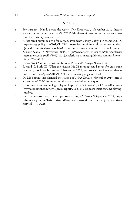#### **NOTES**

- 1. For instance, 'Hands across the water', *The Economist*, 7 November 2015, http:// www.economist.com/news/asia/21677559-leaders-china-and-taiwan-are-meet-firsttime-their-history-hands-across.
- 2. 'Cross-Strait Summit: a win for Taiwan's President?' *Foreign Policy*, 8 November 2015, http://foreignpolicy.com/2015/11/08/cross-strait-summit-a-win-for-taiwans-president.
- 3. Quoted from 'Analysis: was Ma-Xi meeting a historic summit or farewell dinner?' *Defense News*, 15 November 2015, http://www.defensenews.com/story/defense/ international/asia-pacific/2015/11/13/analysis-ma-xi-meeting-historic-summit-farewelldinner/75694816.
- 4. 'Cross-Strait Summit: a win for Taiwan's President?' *Foreign Policy*, n. 2.
- 5. Richard C. Bush III, 'What the historic Ma-Xi meeting could mean for cross-strait relations', Brookings Institution, 9 November 2015, http://www.brookings.edu/blogs/ order-from-chaos/posts/2015/11/09-ma-xi-meeting-singapore-bush.
- 6. 'Xi-Ma Summit has changed the status quo', *Asia Times*, 9 November 2015, http:// atimes.com/2015/11/xi-ma-summit-has-changed-the-status-quo.
- 7. 'Government and technology: playing leapfrog', *The Economist*, 23 May 2015, http:/ /www.economist.com/news/special-report/21651330-wonders-smart-systems-playingleapfrog.
- 8. 'India at crossroads on path to superpower status', *ABC News*, 9 September 2012, http:/ /abcnews.go.com/International/india-crossroads-path-superpower-status/ story?id=17173228.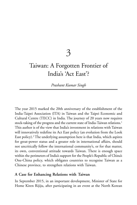3

### Taiwan: A Forgotten Frontier of India's 'Act East'?

*Prashant Kumar Singh*

The year 2015 marked the 20th anniversary of the establishment of the India-Taipei Association (ITA) in Taiwan and the Taipei Economic and Cultural Centre (TECC) in India. The journey of 20 years now requires stock-taking of the progress and the current state of India-Taiwan relations.<sup>1</sup> This author is of the view that India's investment in relations with Taiwan will innovatively redefine its Act East policy (an evolution from the Look East policy).<sup>2</sup> The underlying assumption here is that India, which aspires for great-power status and a greater role in international affairs, should not uncritically follow the international community's, or for that matter, its own, conventional attitude towards Taiwan. There is enough space within the perimeters of India's support for the People's Republic of China's One-China policy, which obligates countries to recognise Taiwan as a Chinese province, to strengthen relations with Taiwan.

#### **A Case for Enhancing Relations with Taiwan**

In September 2015, in an important development, Minister of State for Home Kiren Rijiju, after participating in an event at the North Korean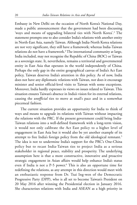Embassy in New Delhi on the occasion of North Korea's National Day, made a public announcement that the government had been discussing 'ways and means of upgrading bilateral ties with North Korea'.<sup>3</sup> The statement prompts one to also consider India's relations with another entity in North-East Asia, namely Taiwan. Although India-North Korea relations are not very significant, they still have a framework; whereas India-Taiwan relations do not have a framework.<sup>4</sup> The international community at large, India included, may not recognise the Republic of China (ROC) or Taiwan as a sovereign state. It, nevertheless, remains a territorial and governmental entity in East Asia that operates in the world independently of China. Perhaps the only gap in the entire geographical canvas of India's Act East policy, Taiwan deserves India's attention in this policy. As of now, India does not have any diplomatic relations with Taiwan, nor does it encourage minister and senior official-level visits to Taiwan with some exceptions. Moreover, India hardly expresses its views on issues related to Taiwan. This situation ensures Taiwan's absence in India's vision for its external relations, causing the *unofficial* ties to move at snail's pace and in a somewhat piecemeal fashion.

The current situation provides an opportunity for India to think of ways and means to upgrade its relations with Taiwan without impacting the relations with the PRC. If the present government could bring India-Taiwan relations into a well-defined framework with a long-term vision, it would not only calibrate the Act East policy to a higher level of engagement in East Asia but it would also be yet another example of its attempt to free India's foreign policy from the old ideological remnant.<sup>5</sup> The idea is not to undermine India's support for the PRC's One-China policy but to recast India-Taiwan ties to project India as a serious stakeholder in regional peace, stability and prosperity. The underlying assumption here is that a more constructive, innovative and proactive strategic engagement in Asian affairs would help enhance India's status even if India is not a P-5 power. <sup>6</sup> This is also an opportune time for redefining the relations, as any attempt in this direction would meet with an enthusiastic response from Dr. Tsai Ing-wen of the Democratic Progressive Party (DPP), who is all set to become Taiwan's President on 20 May 2016 after winning the Presidential election in January 2016. She characterises relations with India and ASEAN as a high priority in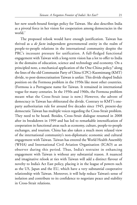her new south-bound foreign policy for Taiwan. She also describes India as a pivotal force in her vision for cooperation among democracies in the world.<sup>7</sup>

The proposed relook would have enough justification. Taiwan has thrived as a *de facto* independent governmental entity in the realm of people-to-people relations in the international community despite the PRC's incessant pressure for unification. A full-fledged functional engagement with Taiwan with a long-term vision has a lot to offer to India in the domains of education, science and technology and economy. On a principled note, a mechanical application of the One-China policy,<sup>8</sup> along the lines of the old Communist Party of China (CPC)-Kuomintang (KMT) divide, to post-democratisation Taiwan is unfair. This divide shaped India's position on the Formosa problem in the 1950s like most other countries. (Formosa is a Portuguese name for Taiwan. It remained in international vogue for many centuries. In the 1950s and 1960s, the Formosa problem meant what the Cross-Strait issue is now.) However, the advent of democracy in Taiwan has obliterated the divide. Contrary to KMT's oneparty authoritarian rule for around five decades since 1945, present-day democratic Taiwan has multiple voices regarding the Cross-Strait problem. They need to be heard. Besides, Cross-Strait dialogue resumed in 2008 after its breakdown in 1999 and has led to remarkable intensification of cooperation in functional areas such as economy, culture, people-to-people exchanges, and tourism. China has also taken a much more relaxed view of the international community's non-diplomatic economic and cultural engagement with Taiwan. Taiwan has entered the World Health Assembly (WHA) and International Civil Aviation Organisation (ICAO) as an observer during this period. Thus, India's restraint in enhancing engagement with Taiwan is without any substantial reason. A nuanced and imaginative relook at ties with Taiwan will add a distinct flavour of novelty to India's Act East policy, placing it in the league of powers such as the US, Japan and the EU, which have a very substantial cooperative relationship with Taiwan. Moreover, it will help reduce Taiwan's sense of isolation and contribute to its confidence to negotiate peace and stability in Cross-Strait relations.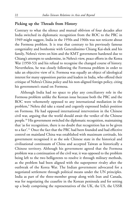## **Picking up the Threads from History**

Contrary to what the silence and mutual oblivion of four decades after India switched its diplomatic recognition from the ROC to the PRC in 1949 might suggest, India in the 1950s and 1960s was not reticent about the Formosa problem. It is true that contrary to his previously famous congeniality and bonhomie with Generalissimo Chiang Kai-shek and his family, Nehru's views on him and the KMT government hardened due to Chiang's attempts to undermine, in Nehru's view, peace efforts in the Korea War (1950-53) and his refusal to recognise the changed course of history. Nevertheless, he was closely following the Formosa problem in order to take an objective view of it. Formosa was equally an object of ideological interest for many opposition parties and leaders in India, who offered their critique of Nehru's China policy and his non-aligned foreign policy, citing his government's stand on Formosa.

Although India had no space to play any conciliatory role in the Formosa problem unlike the Korean issue because both the PRC and the ROC were vehemently opposed to any international mediation in the problem,<sup>9</sup> Nehru did take a stand and cogently expressed India's position on Formosa. He had opposed international intervention in the Chinese civil war, arguing that the world should await the verdict of the Chinese people.<sup>10</sup> His government switched the diplomatic recognition, maintaining that 'as for recognition, there is no doubt that recognition has to be given to a fact'.<sup>11</sup> Once the fact that the PRC had been founded and had effective control on mainland China was established with maximum certitude, his government recognised it as the sole Chinese state in the historical and civilisational continuum of China and accepted Taiwan as historically a Chinese territory. Although his government agreed that the Formosa problem was a continuation of the civil war, it was opposed to the problem being left to the two belligerents to resolve it through military methods, as the problem had been aligned with the superpower rivalry after the outbreak of the Korea War. The Indian government advocated for a negotiated settlement through political means under the UN principles. India as part of the three-member group along with Iran and Canada, was for negotiating the ceasefire in the Korean peninsula and for setting up a body comprising the representatives of the UK, the US, the USSR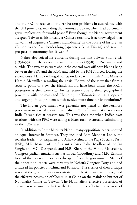and the PRC to resolve all the Far Eastern problems in accordance with the UN principles, including the Formosa problem, which had potentially grave implications for world peace.<sup>12</sup> Even though the Nehru government accepted Taiwan as historically a Chinese territory, it acknowledged that Taiwan had acquired a 'distinct individuality' in the course of history (an allusion to the five-decades-long Japanese rule in Taiwan) and saw the prospect of autonomy for Taiwan.<sup>13</sup>

Nehru also voiced his concerns during the first Taiwan Strait crisis (1954-55) and the second Taiwan Strait crisis (1958) in Parliament and outside. The two crises were about the control over offshore islands lying between the PRC and the ROC and held by the KMT forces. During the second crisis, Nehru exchanged correspondence with British Prime Minister Harold Macmillan regarding the crisis. He was of the view that from a security point of view, the islands should have been under the PRC's possession as they were vital for its security due to their geographical proximity with the mainland. However, the Taiwan issue was a separate and larger political problem which needed more time for its resolution.<sup>14</sup>

The Indian government was generally not heard on the Formosa problem or in general about Taiwan after 1958, a feature that characterises India-Taiwan ties at present too. This was the time when India's own relations with the PRC were taking a bitter turn, eventually culminating in the 1962 war.

In addition to Prime Minister Nehru, many opposition leaders showed an equal interest in Formosa. They included Ram Manohar Lohia, the socialist leader, J.B. Kripalani and Ashok Mehta of the Praja Socialist Party (PSP), M.R. Masani of the Swatantra Party, Balraj Madhok of the Jan Sangh, and V.G. Deshpande and N.B. Khare of the Hindu Mahasabha. Congress parliamentarians such as Ila Pal Choudhury and M.K. Krishna too had their views on Formosa divergent from the government. Many of the opposition leaders were formerly in Nehru's Congress Party and had criticised his policies on China and Formosa. The essence of their critique was that the government demonstrated double standards as it recognised the effective possession of Communist China on the mainland but not of Nationalist China on Taiwan. The Nationalists' effective possession of Taiwan was as much a fact as the Communists' effective possession of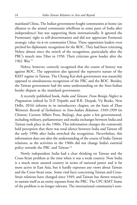mainland China. The Indian government fought communists at home (an allusion to the armed communist rebellions in some parts of India after independence) but was supporting them internationally. It ignored the Formosans' right to self-determination and did not appreciate Formosa's strategic value vis-à-vis communist China. These opposition leaders even pitched for diplomatic recognition for the ROC. They had been criticising Nehru almost since the switch of the recognition, particularly after the PRC's march into Tibet in 1950. Their criticism grew louder after the 1962 War. 15

Nehru, however, correctly recognised that the course of history was against ROC. The opposition also ignored the repressive nature of the KMT regime in Taiwan. The Chiang Kai-shek government was staunchly opposed to simultaneous recognition of the PRC and the ROC. Besides, the Taiwan government had the same understanding on the Sino-Indian border dispute as the mainland government.

A recently published book, *India and Taiwan: From Benign Neglect to Pragmatism* (edited by D.P. Tripathi and B.R. Deepak, Vij Books, New Delhi, 2016) informs in its introductory chapter, on the basis of Zhao Weiwen's *Records of Turbulences in Sino-Indian Relations: 1949-1999* (in Chinese; Current Affairs Press, Beijing), that quite a few governmental, including military, parliamentary and media exchanges between India and Taiwan took place in the 1960s. This information changes the commonly held perception that there was total silence between India and Taiwan till the early 1990s after India switched the recognition. Nevertheless, this information does not alter the understanding of the course of India-Taiwan relations, as the activities in the 1960s did not change India's essential policy towards the PRC and Taiwan.<sup>16</sup>

Newly independent India had a clear thinking on Taiwan and the Cross-Strait problem at the time when it was a weak country. Now India is a much more assured country in terms of national power and is far more active in East Asia, but it hardly expresses any views about Taiwan and the Cross-Strait issue. Some vital facts concerning Taiwan and Cross-Strait relations have changed since 1949, and Taiwan has shown tenacity to sustain itself as an entity separate from the PRC. The CPC-KMT frame of the problem is no longer relevant. The international community's non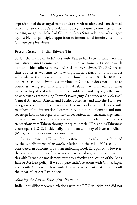appreciation of the changed frame of Cross-Strait relations and a mechanical adherence to the PRC's One-China policy amounts to intercession and exerting weight on behalf of China in Cross-Strait relations, which goes against Nehru's principled opposition to international interference in the Chinese people's affairs.

# **Present State of India-Taiwan Ties**

So far, the nature of India's ties with Taiwan has been in tune with the mainstream international community's conventional attitude towards Taiwan, which adheres to the PRC's claim over Taiwan. The PRC insists that countries wanting to have diplomatic relations with it must acknowledge that there is only 'One China' that is PRC, the ROC no longer exists and Taiwan is a province of China. It does not object to countries having economic and cultural relations with Taiwan but takes umbrage to political relations in any semblance, and any signs that may be construed as recognising Taiwan's sovereignty. As of today, only 22 small Central American, African and Pacific countries, and also the Holy See, recognise the ROC diplomatically. Taiwan conducts its relations with members of the international community in a non-diplomatic and nonsovereign fashion through its offices under various nomenclatures, generally terming them as economic and cultural centres. Similarly, India conducts transactions with Taiwan through the quasi-official ITA, and its Taiwanese counterpart TECC. Incidentally, the Indian Ministry of External Affairs (MEA) website does not mention Taiwan.

India approaching Taiwan for investment in the early 1990s, followed by the establishment of *unofficial* relations in the mid-1990s, could be considered an outcome of its then unfolding Look East policy. <sup>17</sup> However, the scale and intensity of the relations have all along been so low that the ties with Taiwan do not demonstrate any effective application of the Look East or Act East policy. If we compare India's relations with China, Japan and South Korea with those with Taiwan, it is evident that Taiwan is off the radar of its Act East policy.

## *Mapping the Present State of the Relations*

India unqualifiedly severed relations with the ROC in 1949, and did not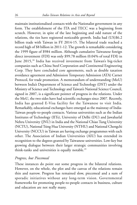maintain institutionalised contacts with the Nationalist government in any form. The establishment of the ITA and TECC was a beginning from scratch. However, in spite of the late beginning and odd nature of the relations, the ties have registered noticeable growth. India had (US)\$6.2 billion trade with Taiwan in FY 2014-15. The bilateral trade reached a record high of \$8 billion in 2011-12. The growth is remarkable considering the 1999 figure of \$984 million. Although cumulative Taiwanese foreign direct investment (FDI) was only \$99.78 million (0.04% of total FDI) in June 2015,<sup>18</sup> India has received investment from Taiwan's big-ticket companies such as China Steel Corporation and Continental Engineering Corp. They have concluded core agreements, such as double taxation avoidance agreement and Admission Temporary Admission (ATA) Carnet Protocol, for trade promotion. A memorandum of understanding (MoU) between India's Department of Science and Technology (DST) under the Ministry of Science and Technology and Taiwan's National Science Council, signed in 2007, is a significant pointer of progress in the relations. Under the MoU, the two sides have had scientific exchanges since 2007. Recently, India has granted E-Visa facility for the Taiwanese to visit India. Remarkably, educational exchanges have emerged as the mainstay of India-Taiwan people-to-people contacts. Various universities such as the Indian Institutes of Technology (IITs), University of Delhi (DU) and Jawaharlal Nehru University (JNU) in India and the National Chiao Tung University (NCTU), National Tsing Hua University (NTHU) and National Chengchi University (NCCU) in Taiwan are having exchange programmes with each other. The Association of Indian Universities (AIU) has extended its recognition to the degrees granted by Taiwanese universities. Low-key but growing dialogue between their larger strategic communities involving think-tanks and universities is equally notable.<sup>19</sup>

## *Progress, but Piecemeal*

These instances do point out some progress in the bilateral relations. However, on the whole, the plot and the canvas of the relations remain thin and narrow. Progress has remained slow, piecemeal and a sum of sporadic initiatives without any long-term vision. Governmental frameworks for promoting people-to-people contacts in business, culture and education are not really many.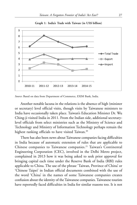

**Graph 1: India's Trade with Taiwan (in US\$ billion)**

*Source*: Based on data from Department of Commerce, EXIM Bank, India.

Another notable lacuna in the relations is the absence of high (minister or secretary) level official visits, though visits by Taiwanese ministers to India have occasionally taken place. Taiwan's Education Minister Dr. Wu Ching-ji visited India in 2011. From the Indian side, additional secretarylevel officials from select ministries such as the Ministry of Science and Technology and Ministry of Information Technology perhaps remain the highest ranking officials to have visited Taiwan.<sup>20</sup>

There has also been news about Taiwanese companies facing difficulties in India because of automatic extension of rules that are applicable to Chinese companies to Taiwanese companies.<sup>21</sup> Taiwan's Continental Engineering Corporation (CEC), involved in the Delhi Metro project, complained in 2013 how it was being asked to seek prior approval for bringing capital each time under the Reserve Bank of India (RBI) rules applicable to China. The use of the phrase 'Taiwan, Province of China' or 'Chinese Taipei' in Indian official documents combined with the use of the word 'China' in the names of some Taiwanese companies creates confusion about the identity of the Taiwanese companies. Taiwanese tourists have reportedly faced difficulties in India for similar reasons too. It is not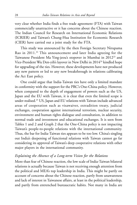very clear whether India finds a free trade agreement (FTA) with Taiwan commercially unattractive or it has concerns about the Chinese reaction. The Indian Council for Research on International Economic Relations (ICRIER) and Taiwan's Chung-Hua Institution for Economic Research (CIER) have carried out a joint study for the FTA.

This study was announced by the then Foreign Secretary Nirupama Rao in 2011.<sup>22</sup> This announcement and later India agreeing for the Taiwanese President Ma Ying-jeou's stopover in Mumbai in 2012<sup>23</sup> and Vice-President Wu Den-yih's layover in New Delhi in 2014<sup>24</sup> kindled hope for upgrading of the ties. However, these developments have not produced any new pattern or led to any new breakthrough in relations calibrating the Act East policy.

One could argue that India-Taiwan ties have only a limited mandate in conformity with the support for the PRC's One-China policy. However, when compared to the depth of engagement of powers such as the US, Japan and the EU with Taiwan, it is clear that even the limited scope is under-realised.<sup>25</sup> US, Japan and EU relations with Taiwan include advanced areas of cooperation such as visawaiver, extradition treaty, judicial exchanges, cooperation against international terrorism, nuclear security, environment and human rights dialogue and consultation, in addition to normal trade and investment and educational exchanges. It is seen from Tables 1 and 2 and Graph 2 that the One-China policy is not impacting Taiwan's people-to-people relations with the international community. Thus, the bar for India-Taiwan ties appears to be too low. China's singling out India's deepening of functional relations with Taiwan cannot go far considering its approval of Taiwan's deep cooperative relations with other major players in the international community.

# *Explaining the Absence of a Long-term Vision for the Relations*

More than fear of Chinese reaction, the low scale of India-Taiwan bilateral relations is actually because Taiwan is not receiving enough attention from the political and MEA's top leadership in India. This might be partly on account of concerns about the Chinese reaction, partly from unawareness and lack of interest in Taiwanese affairs, at least in the political leadership, and partly from entrenched bureaucratic habits. Not many in India are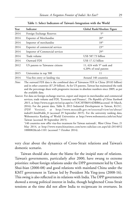| Year | Indicator                        | Global Rank/Absolute Figure                           |  |
|------|----------------------------------|-------------------------------------------------------|--|
| 2014 | Foreign Exchange Reserves        | 5 <sup>th</sup>                                       |  |
| 2014 | Exporter of Merchandise          | 20 <sup>th</sup>                                      |  |
| 2014 | Importer of merchandise          | 18 <sup>th</sup>                                      |  |
| 2014 | Exporter of commercial services  | 23 <sup>rd</sup>                                      |  |
| 2014 | Importer of Commercial services  | 29 <sup>th</sup>                                      |  |
| 2014 | Trade volume                     | US\$ 587.73 billion                                   |  |
| 2014 | Outward FDI                      | US\$ 17.12 billion                                    |  |
| 2012 | US patents to Taiwanese citizens | 11, 624 with $5th$ rank and<br>4.20% of total patents |  |
| 2015 | Universities in top 500          | 11                                                    |  |
| 2014 | Visa-free entry or landing visa  | Around 140 countries                                  |  |

**Table 1: Select Indicators of Taiwan's Integration with the World**

*Note*: The outward FDI data is the combined data of Taiwanese FDI in China (\$9.83 billion) and in other countries (\$7.29 billion). As for US patents, Taiwan has maintained the rank and the percentage share with progressive increase in absolute numbers since 2009, as per the available data.

*Sources*: For data on foreign exchange reserves, export and import in merchandise and commercial services, trade volume and FDI, 'Economy and Finance', *The Republic of China Yearbook 2015*, at http://www.ey.gov.tw/en/cp.aspx?n=7A3C3FFB6914DBB8(accessed 10 March, 2016); For the patent data, Table 8, 2013 Industrial Development in Taiwan, R.O.C. (PDF Version), at http://www.moeaidb.gov.tw/external/view/en/about/ index01.html#table\_8 (accessed 29 September 2015). For the university ranking data, Webometrics Ranking of World Universities at http://www.webometrics.info/en/Asia/ Taiwan (accessed 30 September 2015).

'140 countries now offer visa-free treatment for Taiwan nationals', *Want China Times*, 21 May 2014, at http://www.wantchinatimes.com/news-subclass-cnt.aspx?id=2014052 1000082&cid=1101 (accessed 7 October 2014).

very clear about the dynamics of Cross-Strait relations and Taiwan's domestic scenario.

Taiwan should also share the blame for the insipid state of relations. Taiwan's governments, particularly after 2000, have swung to extreme priorities: robust foreign relations under the DPP government led by Chen Shui-bian (2000-08) and good relations with mainland China under the KMT government in Taiwan led by President Ma Ying-jeou (2008-16). This swing is also reflected in its relations with India. The DPP government showed a strong political interest in India, though heightened Cross-Strait tensions at the time did not allow India to reciprocate its overtures. In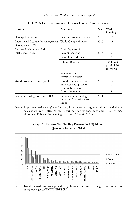| Institute                                                   | Assessment                                                                                   | Year | World<br>Ranking                                |
|-------------------------------------------------------------|----------------------------------------------------------------------------------------------|------|-------------------------------------------------|
| Heritage Foundation                                         | Index of Economic Freedom                                                                    | 2016 | 14                                              |
| International Institute for Management<br>Development (IMD) | World Competitiveness                                                                        | 2015 | 11                                              |
| Business Environment Risk<br>Intelligence (BERI)            | Profit Opportunity<br>Recommendation                                                         | 2013 | 3                                               |
|                                                             | <b>Operations Risk Index</b>                                                                 |      | $\overline{c}$                                  |
|                                                             | Political Risk Index                                                                         |      | $10th$ lowest<br>political risk in<br>the world |
|                                                             | Remittance and<br>Repatriation Factor                                                        |      | 1                                               |
| World Economic Forum (WEF)                                  | Global Competitiveness<br>Entrepreneurship Index<br>Product Innovation<br>Process Innovation | 2013 | 12<br>1<br>3                                    |
| Economic Intelligence Unit (EIU)                            | Information Technology<br><b>Industry Competitiveness</b><br>Index                           | 2011 | 13                                              |

#### **Table 2: Select Benchmarks of Taiwan's Global Competitiveness**

*Source:* http://www.heritage.org/index/ranking; http://www.imd.org/uupload/imd.website/wcc/ scoreboard.pdf; http://investtaiwan.nat.gov.tw/eng/show.jsp?ID=3; http:// globalindex11.bsa.org/key-findings/ (accessed 25 April, 2016)



#### **Graph 2: Taiwan's Top Trading Partners in US\$ billion (January-December 2015)**

*Source*: Based on trade statistics provided by Taiwan's Bureau of Foreign Trade at http:// cus93.trade.gov.tw/ENGLISH/FSCE/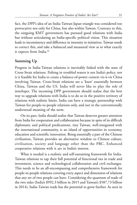fact, the DPP's idea of an India-Taiwan-Japan triangle was considered too provocative not only for China, but also within Taiwan. Contrary to this, the outgoing KMT government has pursued good relations with India but without articulating an India-specific political vision. This situation leads to inconsistency and difference in intensity in initiatives. Taiwan needs to correct this, and take a balanced and measured view as to what exactly it expects from India.<sup>26</sup>

# **Summing Up**

Progress in India-Taiwan relations is inevitably linked with the state of Cross-Strait relations. Fishing in troubled waters is not India's policy, nor is it feasible for India to create a balance-of-power context vis-à-vis China involving Taiwan. Cross-Strait relations are a 'knot' essentially between China, Taiwan and the US. India will never like to play the role of interloper. The incoming DPP government should realise that the best way to upgrade relations with India is to do so in the positive territory of relations with realistic limits. India can have a strategic partnership with Taiwan for people-to-people relations only, and not in the conventionally understood meaning of the term.

On its part, India should realise that Taiwan deserves greater attention from India for cooperation and collaboration because in spite of its difficult diplomatic and political predicament, tiny Taiwan, well-integrated with the international community, is an island of opportunities in economy, education and scientific innovation. Being essentially a part of the Chinese civilisation, Taiwan provides an alternative window to Chinese culture, civilisation, society and language other than the PRC. Enhanced cooperative relations with it are in India's interest.

What is needed is a realistic and self-sustaining framework for India-Taiwan relations to tap their full potential of functional ties in trade and investment, science and technological collaboration and civil exchanges. This needs to be an all-encompassing and comprehensive framework for people-to-people relations covering every aspect and dimension of relations that any set of two people can have. Considering the quantum of trade of the two sides (India's \$992.3 billion in 2015 and Taiwan's \$587.73 billion in 2014), India-Taiwan trade has the potential to grow further. As seen in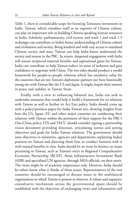Table 1, there is considerable scope for boosting Taiwanese investment in India. Taiwan, which visualises itself as an exporter of Chinese culture, can play an important role in building Chinese-speaking human resources in India. Scholarly, parliamentary, civil society, and track 1 and track 1.5 exchanges can contribute to India's better understanding of Chinese culture and civilisation and society. Being kindred and with easy access to mainland Chinese society and state, Taiwan can help India better understand the society and system in the PRC. In return, deepened engagement with India will ensure reciprocal material benefits and aspirational gains for Taiwan. India can contribute to help Taiwan reduce its sense of isolation and gain confidence to negotiate with China. The two sides should produce a model framework for people-to-people relations which has emulative value for the countries that are not Taiwan's diplomatic partners nor have historically strong ties with Taiwan like the US and Japan. It might inspire their interest in peace and stability in Taiwan Strait.

Finally, with a view to enhancing bilateral ties, India can seek to undertake measures that would help it build a framework for its relations with Taiwan as well as further its Act East policy. India should come up with a policy/position paper for India-Taiwan ties, drawing insights from how the US, Japan, EU and other major countries are conducting their relations with Taiwan within the perimeter of their support for the PRC's One-China policy. ITA and TECC should consider signing a partnership vision document providing direction, articulating norms and setting objectives and goals for India-Taiwan relations. The government should issue directives to ministries, agencies and departments explaining India's position on Taiwan and directing them how to conduct business with it with mutual benefits in view. India should let its views be known on issues pertaining to Taiwan, such as Taiwan's entry to Regional Comprehensive Economic Partnership (RCEP), Asian Infrastructure Investment Bank (AIIB) and specialised UN agencies, through MEA officials, on their merit. The views might be of academic importance only. However, India should let others know what it thinks of those issues. Representatives of the two countries should be encouraged to discuss issues in the multilateral organisations in which Taiwan is present as observer. A robust and expansive consultative mechanism across the governmental spans should be established with the objectives of exchanging views and information and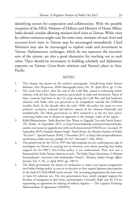identifying sectors for cooperation and collaboration. With the possible exception of the MEA, Ministry of Defence and Ministry of Home Affairs, India should consider allowing minister-level visits to Taiwan. While visits by cabinet ministers might wait for some time, minister-of-state level and secretary-level visits to Taiwan may be encouraged immediately. Chief Ministers may also be encouraged to explore trade and investment in Taiwan. Parliamentary exchanges, which do not represent the executive arm of the system, are also a good alternative for reaching out to each other. There should be investment in building scholarly and diplomatic expertise on Taiwan, Cross-Strait relations and Taiwan's place in Asia-Pacific.

#### **NOTES**

- 1. This chapter has drawn on the author's monograph, *Transforming India-Taiwan Relations: New Perspectives*, IDSA Monograph Series, No. 35, April 2014: pp. 1-156.
- 2. The Look East policy, after the end of the Cold War, aimed at enhancing India's relations with the East Asian countries, particularly in trade and investment. Many of these countries had been in the US camp during the Cold War and had lacklustre relations with India, who was perceived to be sympathetic towards the USSR-led socialist block. In the decades after the early 1990s, the policy has come to cover political, economic, cultural and defence aspects of the relations bilaterally and multilaterally. The Modi government in 2014 renamed it as the Act East policy, conveying India's aim to deepen its approach in the strategic realm of the region.
- 3. Kallol Bhattacherjee, 'India Reaches Out, Wants to Upgrade Ties with North Korea', *The Hindu*, 16 September 2015, at http://www.thehindu.com/news/national/indiareaches-out-wants-to-upgrade-ties-with-north-korea/article7656332.ece (accessed 29 September 2015); Prashant Kumar Singh, 'North Korea: An Advance Frontier of India's "Act East"?', Special Feature, IDSA, 1 December 2015, at http://idsa.in/specialfeature/ north-korea-indias-act-east\_psingh\_011215 (Accessed 1 May 2016).
- 4. The *ground-rules* by the ITA in 1995 that laid emphasis on not conferring any sign of sovereignty on Taiwan in carrying out its function, were about ensuring that India's support for the PRC's One-China policy is not undermined. They were not a framework for India-Taiwan relations as such. 'The India-Taipei Association: A Mission Extraordinaire', Interview with Ambassador Vinod C. Khanna, *Indian Foreign Affairs Journal*, Vol. 5, No. 2, April 2010: pp. 240-51.
- 5. The Modi government has shown its inclination to inject even greater pragmatism into India's foreign policy, as seen in its decision to have regular Japanese participation in the Indo-US MALABAR naval exercise. The increasing pragmatism has been seen in Indo-US relations too. The two governments have jointly pledged support for freedom of navigation in their joint communiqués. Currently, India and the US are negotiating an agreement for sharing of military logistics –– The Logistics Exchange Memorandum of Agreement (LEMOA).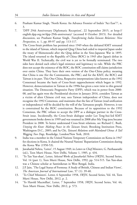- 6. Prashant Kumar Singh, 'North Korea: An Advance Frontier of India's "Act East"?', n. 3.
- 7. 'DPP 29th Anniversary Diplomatic Reception', 22 September 2015, at http:// english.dpp.org.tw/dpp-29th-anniversary/ (accessed 8 October 2015). For detailed discussion, see Prashant Kumar Singh, *Transforming India-Taiwan Relations: New Perspectives*, n. 1, pp. 89-97 and pp. 113-117.
- 8. The Cross-Strait problem has persisted since 1949 when the defeated KMT retreated to the island of Taiwan, which imperial Qing China had ceded to imperial Japan under the treaty of Shimonoseki after the Qing defeat in the Sino-Japanese War in 1895. The island returned to the Republic of China (ROC) in 1945 after Japan's defeat in World War II. Technically, the civil war is yet to be formally terminated. The two sides have denied each other's legal existence and legitimacy to rule. While the PRC does not accept the existence of the ROC, the ROC constitution still claims jurisdiction over entire China. They have their own version of the One-China policy, meaning that China is one (for the Communists, the PRC; and for the KMT, the ROC) and Taiwan is its part. This One-China, Respective interpretations (also known as the 1992 Consensus) became the basis of Cross-Strait rapprochement which began in 1992. However, democratisation in Taiwan in the 1990s has given a new twist to this general situation. The Democratic Progressive Party (DPP), which was in power from 2000- 08, and has again won the Presidential election in January 2016, considers Taiwan as a victim of alien Chinese civil war, sees Taiwan independent of China, does not recognise the 1992 Consensus, and maintains that the fate of Taiwan (read unification or independence) will be decided by the will of the Taiwanese people. However, it too is constrained by the ROC constitution. Because of its opposition to the 1992 Consensus, the PRC refuses to accept the DPP as a dialogue partner in the Cross-Strait issue. Incidentally, the Cross-Strait dialogue under Lee Teng-hui-led KMT government broke down in 1999 and was resumed in 2008 after Ma Ying-jeou became President in 2008. To better understand Cross-Strait relations, see Richard C. Bush, *Untying the Knot: Making Peace in the Taiwan Strait*, Brooking Institution Press, Washington D.C., 2005; and Su Chi, *Taiwan's Relations with Mainland China: A Tail Wagging Two Dogs*, Routledge, London/New York, 2010.
- 9. India was a member in the United Nations Temporary Commission on Korea in 1947 for elections in Korea. It chaired the Neutral Nations' Repatriation Commission during the Korea War (1950-53).
- 10. Jawaharlal Nehru, 'Letter', 15 August 1949, in *Letters to Chief Ministers,* G. Parthasarathi (ed.), Teen Murti House, New Delhi, Volume 1, 1985, p. 434.
- 11. 'To Tan Yun-shan', Letter, *Selected Works of Jawaharlal Nehru* (*SWJN*), Second Series, Vol. 14 (part 1), Teen Murti House, New Delhi, 1992, pp. 514-515. Tan Yun-shan was a Chinese scholar at Santiniketan in West Bengal, India.
- 12. J.P. Jain, 'The Legal Status of Formosa: A Study of British, Chinese and Indian Views', *The American Journal of International Law*, 57 (1): 39-40.
- 13. 'To Chief Ministers', Letter, 6 September 1958, *SWJN*, Second Series, Vol. 44, Teen Murti House, New Delhi, 2012, p. 2.
- 14. 'To Harold Macmillan', Letter, 7 September 1958, *SWJN*, Second Series, Vol. 44, Teen Murti House, New Delhi, 2012, p. 573.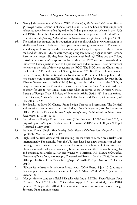- 15. Nancy Jetly, *India-China Relations, 1947-77: A Study of Parliament's Role in the Making of Foreign Policy*, Radiant Publishers, New Delhi, 1979. The book contains important references about Formosa that figured in the Indian parliamentary debates in the 1950s and 1960s. The author has used these references from the perspective of India-Taiwan relations in *Transforming India-Taiwan Relations: New Perspectives*, n. 1, pp. 53-60.
- 16. The author has perused the introduction of the book available at www.amazon.in in kindle book format. The information opens an interesting area of research. The research would require knowing whether they were just a kneejerk response to the defeat at the hand of China in 1962 or were they exploring some strategic equation with Taiwan? Also, to what extent did they have the government's backing? What was the Chiang Kai-shek government's response to India after the 1962 war and towards these initiatives? These questions need to be probed from Indian sources. These moves went nowhere as the tide of time was against the ROC. The ROC lost the China seat in the UNSC in 1971 and then the US recognition in 1979. But Taiwan chose to remain in the US camp. India continued to subscribe to the PRC's One-China policy. It did not change even its essential Tibet policy in spite of having far greater leverage in the Tibetan Government in Exile (TGIE) being based in India. Later in the 1980s, as Fang Tien-Sze informs, Vincent C. Siewm, Taiwan's former Vice President, had tried to apply for visa to visit India seven times when he served as the Director-General, Bureau of Foreign Trade, Ministry of Economic Affairs (1982–88), but was refused. Fang Tien-Sze, 'Taiwan's Relations with India: Issues and Trends', *China Report*, 49 (4), 2013: p. 428.
- 17. For details, see Parris H. Chang, 'From Benign Neglect to Pragmatism: The Political and Security Issues between Taiwan and India', *Think India Journal*, Vol. 16, December 2013, PP. 74-78; Prashant Kumar Singh, *Transforming India-Taiwan Relations: New Perspectives*, n. 1, pp. 86-89.
- 18. Fact Sheet on Foreign Direct Investment (FD), From April 2000 to June 2015, at http://dipp.nic.in/English/Publications/FDI\_Statistics/2015/india\_FDI\_June2015.pdf (Accessed 1 May 2016).
- 19. Prashant Kumar Singh, *Transforming India-Taiwan Relations: New Perspectives*, n. 1, pp. 90-92, 97-104, and 113-117.
- 20. High-level political visits or cabinet-ranking leaders' visits to Taiwan are a tricky issue internationally. For example, from the US, there have been a few intermittent cabinetranking visits to Taiwan. The same is true for countries such as the UK and Australia. However, official-level visits, particularly between Taiwan and the US, have been regular and extensive. See Shirley A. Kan and Wayne M. Morrison, *U.S.-Taiwan Relationship: Overview of Policy Issues*, Monograph, Congressional Research Service (CRS), December 2014, pp. 14-16, at https://www.fas.org/sgp/crs/row/R41952.pdf (accessed 7 October 2014).
- 21. 'Taiwan Raises Issue with India over Investments', *Taipei Times*, 19 July 2013, at http:/ /www.taipeitimes.com/News/taiwan/archives/2013/07/19/2003567675 (accessed 7 October 2013).
- 22. 'Not yet time to conduct official FTA talks with India: MOEA', Focus Taiwan News Channel, 8 March 2011, at http://bilaterals.org/spip.php?page=print&id\_article=19184 (accessed 29 September 2015). The news item contains information about Foreign Secretary Rao's announcement.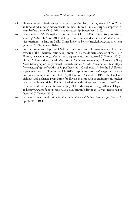- 23. 'Taiwan President Makes Surprise Stopover in Mumbai', *Times of India*, 8 April 2012, at timesofindia.indiatimes.com/city/mumbai/Taiwan—makes-surprise-stopover-in-Mumbai/articleshow/12582698.cms (accessed 29 September 2015).
- 24. 'Vice-President Wu Den-yih's Layover in New Delhi in 2014, China Likely to Bristle', *Times of India*, 26 April 2014, at http://timesofindia.indiatimes.com/india/Taiwanvice-president-to-land-in-Delhi-China-likely-to-bristle/articleshow/34220575.cms (accessed 29 September 2014).
- 25. For the extent and depth of US-Taiwan relations, see information available at the website of the American Institute in Taiwan (AIT), the de facto embassy of the US in Taiwan, at www.ait.org.tw/en/ait-tecro-agreements.html (accessed 7 October 2015); Shirley A. Kan and Wayne M. Morrison, *U.S.-Taiwan Relationship: Overview of Policy Issues*, Monograph, Congressional Research Service (CRS), December 2014, at https:/ /www.fas.org/sgp/crs/row/R41952.pdf (accessed 7 October 2014). For the EU-Taiwan engagement, see 'EU-Taiwan Fact File 2015', http://eeas.europa.eu/delegations/taiwan/ documents/more\_info/eufactfile2015.pdf (accessed 7 October 2015). The EU has a dialogue and exchange programme for Taiwan in areas such as environment, nuclear security and human rights. For Japan's relations with Taiwan, see 'Recent Japan-Taiwan Relations and the Taiwan Situation', July 2013, Ministry of Foreign Affairs of Japan, at http://www.mofa.go.jp/region/asia-paci/taiwan/pdfs/japan-taiwan\_relations.pdf (accessed 7 October 2015).
- 26. Prashant Kumar Singh, *Transforming India-Taiwan Relations: New Perspectives*, n. 1, pp. 92-98, 110-17.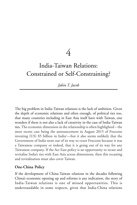4

# India-Taiwan Relations: Constrained or Self-Constraining?

*Jabin T. Jacob*

The big problem in India-Taiwan relations is the lack of ambition. Given the depth of economic relations and often enough, of political ties too, that many countries including in East Asia itself have with Taiwan, one wonders if there is not also a lack of creativity in the case of India-Taiwan ties. The economic dimension in the relationship is often highlighted – the most recent case being the announcement in August 2015 of Foxconn investing (US) \$5 billion in India1—but it also seems unlikely that the Government of India went out of its way to court Foxconn because it was a Taiwanese company or indeed, that it is going out of its way for any Taiwanese company. If the Act East policy is an opportunity to recast and revitalise India's ties with East Asia across dimensions, then this recasting and revitalisation must also cover Taiwan.

# **One-China Policy**

If the development of China-Taiwan relations in the decades following China's economic opening up and reforms is any indication, the story of India-Taiwan relations is one of missed opportunities. This is understandable in some respects, given that India-China relations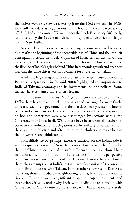themselves were only slowly recovering from the 1962 conflict. The 1980s were still early days as negotiations on the boundary dispute were taking off. Still, India took note of Taiwan under the Look East policy fairly early, as indicated by the 1995 establishment of representative offices in Taipei and in New Delhi.

Nevertheless, relations have remained largely constrained as this period also marks the beginning of the inexorable rise of China and the implicit consequent pressure on the development of India-Taiwan ties. Given the importance of Taiwan's enterprises in pushing forward China-Taiwan ties, the flip side of India's lagging behind China in economic growth and openness was that the same driver was not available for India-Taiwan relations.

While the beginning of talks on a bilateral Comprehensive Economic Partnership Agreement in the mid-2000s highlighted the importance to India of Taiwan's economy and its investments, on the political front, matters have remained more or less frozen.

From the time that the first NDA government came to power in New Delhi, there has been an uptick in dialogues and exchanges between thinktanks and sections of government on the two sides mostly related to foreign policy and security issues. However, these interactions have been sporadic, ad hoc and sometimes were also discouraged by sections within the Government of India itself. While there have been unofficial exchanges between the militaries and delegations led by military officials, in India these are not publicised and often not even to scholars and researchers in the universities and think-tanks.

Such diffidence or, perhaps, excessive caution, on the Indian side is without question a result of New Delhi's one-China policy. That for India, the one-China policy resulted in such diffidence or caution should be a matter of concern not so much for the Taiwanese but from the perspective of Indian national interests. It would not be a stretch to say that the Chinese themselves are surprised at India's hesitant pace of expansion of its economic and political interests with Taiwan. If most other countries in East Asia, including those immediately neighbouring China, have robust economic ties with Taiwan as well as significant people-to-people movements and interactions, it is a wonder why India with its difficult relationship with China does not/did not interact more closely with Taiwan at multiple levels.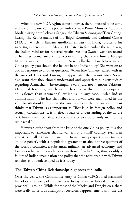When the new NDA regime came to power, there appeared to be some rethink on the one-China policy, with the new Prime Minister Narendra Modi inviting both Lobsang Sangay, the Tibetan Sikyong and Tien Chungkwang, the Representative of the Taipei Economic and Cultural Center (TECC), which is Taiwan's unofficial embassy in India, to attend his swearing-in ceremony in May 2014. Later, in September the same year, the Indian Minister for External Affairs, Sushma Swaraj, went on record at her first formal media interaction stating that the Chinese Foreign Minister was told during his visit to New Delhi that 'If we believe in one China policy, you should also believe in one India policy.' She went on to add in response to another question, 'When [the Chinese] raised with us the issue of Tibet and Taiwan, we appreciated their sensitivities. So we also want that they should understand and appreciate our sensitivities regarding Arunachal.' 2 Interestingly, Swaraj did not mention Pakistan-Occupied Kashmir, which would have been the more appropriate equivalence than Arunachal, which is, in any case, under Indian administration. The fact that Tibet and Taiwan were mentioned in the same breath should not lead to the conclusion that the Indian government thinks that Taiwan is as important as Tibet is in its foreign policy and security calculations. It is in effect a lack of understanding of the nature of China-Taiwan ties that led the minister to stop at only mentioning Arunachal.<sup>3</sup>

However, quite apart from the issue of the one-China policy, it is also important to remember that Taiwan is not a 'small' country, even if in area it is smaller than Bhutan. It is from many perspectives virtually a 'middle power', with a population greater than about three-quarters of the world's countries, a substantial military, an advanced economy, and foreign exchange reserves larger than those of India.<sup>4</sup> It is, thus, doubly a failure of Indian imagination and policy that the relationship with Taiwan remains as underdeveloped as it is today.

# **The Taiwan-China Relationship: Signposts for India**

Over the years, the Communist Party of China (CPC)-ruled mainland has adopted a variety of approaches to bring Taiwan – dubbed a 'renegade province' – around. While for most of the Maoist and Dengist eras, there were really no serious attempts at coercion, rapprochement with the US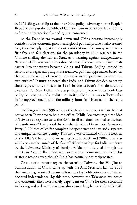in 1971 did give a fillip to the one-China policy, advantaging the People's Republic that put the Republic of China in Taiwan on a very shaky footing as far as its international standing was concerned.

As the Dengist era wound down and China became increasingly confident of its economic growth and global political profile, it also seemed to get increasingly impatient about reunification. The run-up to Taiwan's first free and fair elections for the presidency in 1996 resulted in the Chinese shelling the Taiwan Strait as a warning against independence. When the US intervened with a show of force of its own, sending its aircraft carrier into the waters between China and Taiwan, Beijing learned its lessons and began adopting more nuanced political approaches based on the economic reality of growing economic interdependence between the two entities.<sup>5</sup> It must be noted that India and Taiwan decided to set up their representative offices in 1995 before Taiwan's first democratic elections. For New Delhi, this was perhaps of a piece with its Look East policy but also part of a realist turn in its policies that was reflected also in its rapprochement with the military junta in Myanmar in the same period.

Lee Teng-hui, the 1996 presidential election winner, was also the first native-born Taiwanese to hold the office. While Lee encouraged the idea of Taiwan as a separate state, the KMT itself remained devoted to the idea of reunification.<sup>6</sup>This period also saw the rise of the Democratic Progressive Party (DPP) that called for complete independence and stressed a separate and unique Taiwanese identity. This trend was continued with the election of the DPP's Chen Shui-bian as president in 2000 and 2004. The year 2004 also saw the launch of the first official scholarships for Indian students by the Taiwanese Ministry of Foreign Affairs administered through the TECC in New Delhi. These scholarships have continued, no doubt for strategic reasons even though India has naturally not reciprocated.

Once again returning to threatening Taiwan, the Hu Jintao administration in China came up with the Anti-Secession Law in 2005 that virtually guaranteed the use of force as a legal obligation in case Taiwan declared independence. By this time, however, the Taiwanese businesses and economic elites were heavily dependent on China for their economic well-being and ordinary Taiwanese also seemed largely uncomfortable with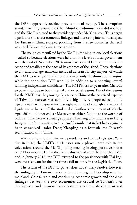the DPP's apparently reckless provocation of Beijing. The corruption scandals swirling around the Chen Shui-bian administration did not help and the KMT returned to the presidency under Ma Ying-jeou. Thus began a period of still closer economic linkages and increasing international space for Taiwan – China stopped poaching from the few countries that still accorded Taiwan diplomatic recognition.

The major losses suffered by the KMT in the nine-in-one local elections – called so because elections were held to nine levels of local government – at the end of November 2014 must have caused China to rethink the scope and recalibrate the pace of its embrace of the island. These elections to city and local governments included 22 seats for city mayors, of which the KMT won only six and three of them by only the thinnest of margins, while the opposition DPP won 13, in addition to supporting several winning independent candidates.<sup>7</sup> The KMT's loss six years after Ma rode to power was due to both internal and external reasons. But of the reasons for the KMT loss, the growing closeness to China at the perceived expense of Taiwan's interests was certainly a big one. A proposed economic agreement that the government sought to railroad through the national legislature – that set off the student-led Sunflower movement of March-April 2014 – did not endear Ma to voters either. Adding to the worries of ordinary Taiwanese was Beijing's apparent breaking of its promises to Hong Kong on the 'one country, two systems' formula that in fact had originally been conceived under Deng Xiaoping as a formula for Taiwan's reunification with China.

With elections to the Taiwanese presidency and to the Legislative Yuan due in 2016, the KMT's 2014 losses surely played some role in the calculations around the Ma-Xi Jinping meeting in Singapore a year later on 7 November 2015. In the event, this was of scant help to the KMT and in January 2016, the DPP returned to the presidency with Tsai Ingwen and also won for the first time a full majority in the Legislative Yuan.

The return of the DPP to power does not entirely resolve, however, the ambiguity in Taiwanese society about the larger relationship with the mainland. China's rapid and continuing economic growth and the close linkages between the two economies are crucial to Taiwan's own development and progress. Taiwan's distinct political development and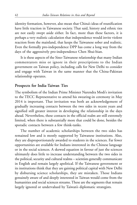identity formation, however, also mean that China's ideas of reunification have little traction in Taiwanese society. That said, history and ethnic ties are not easily swept aside either. In fact, more than these factors, it is perhaps a very realistic calculation that independence would invite violent reaction from the mainland, that keeps the Taiwanese sober and realistic. Even the formally pro-independence DPP has come a long way from the days of the aggressively pro-independence Chen Shui-bian.

It is these aspects of the Sino-Taiwanese relationship that many Indian commentators miss or ignore in their prescriptions to the Indian government on Taiwan policy, including calls for New Delhi to consider and engage with Taiwan in the same manner that the China-Pakistan relationship operates.

## **Prospects for India-Taiwan Ties**

The symbolism of the Indian Prime Minister Narendra Modi's invitation to the TECC Representative to attend his swearing-in ceremony in May 2014 is important. That invitation was both an acknowledgement of gradually increasing contacts between the two sides in recent years and signified still greater interest in developing the relationship in the days ahead. Nevertheless, these contacts in the official realm are still extremely limited, when there is substantially more that could be done, besides the sporadic contacts between a few think-tanks.

The number of academic scholarships between the two sides has remained low and is mostly supported by Taiwanese institutions. Also, they are disproportionately awarded to students in the sciences. Far fewer opportunities are available for Indians interested in the Chinese language or in the social sciences. A skewed equation in favour of just the sciences ultimately does little to increase understanding between the two sides in the political, security and cultural realms – scientists generally communicate in English and remain largely apolitical. If the Taiwanese government or its institutions think that they are gaining political capital with New Delhi by disbursing science scholarships, they are mistaken. Those Indians genuinely aware of and deeply interested in Taiwan would come from the humanities and social sciences streams. These are the segments that remain largely ignored or undervalued by Taiwan's diplomatic strategists.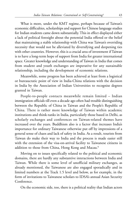What is more, under the KMT regime, perhaps because of Taiwan's economic difficulties, scholarships and support for Chinese language studies for Indian students came down substantially. This in effect displayed either a lack of political foresight about the potential India offered or the belief that maintaining a stable relationship with China was Taiwan's overriding necessity that would not be alleviated by diversifying and deepening ties with other countries. However, this is a crucial area of investment if Taiwan is to have a long-term hope of support from India for greater international space. Greater knowledge and understanding of Taiwan in India that comes from student and youth exchanges are imperative for any sustainable relationship, including the development of economic relations.

Meanwhile, some progress has been achieved at least from a logistical or bureaucratic point of view in India-China relations with the decision in India by the Association of Indian Universities to recognise degrees granted in Taiwan.

People-to-people contacts meanwhile remain limited – Indian immigration officials till even a decade ago often had trouble distinguishing between the Republic of China in Taiwan and the People's Republic of China. There is rather more knowledge of Taiwan within academic institutions and think-tanks in India, particularly those based in Delhi, as scholarly exchanges and conferences on Taiwan-related themes have increased over the years. Buddhism also is a factor that increases India's importance for ordinary Taiwanese otherwise put off by impressions of a general sense of chaos and lack of safety in India. As a result, tourists from Taiwan do make their way to India and the process is made easier still with the extension of the visa-on-arrival facility to Taiwanese citizens in addition to those from China, Hong Kong and Macau.<sup>8</sup>

Moving on to issues specifically related to the political and economic domains, there are hardly any substantive interactions between India and Taiwan. While there is some level of unofficial military exchanges, as already mentioned, the Taiwanese are also engaged sporadically and in limited numbers at the Track 1.5 level and below, as for example, in the form of invitations to Taiwanese scholars to IDSA's annual Asian Security Conference.

On the economic side, too, there is a political reality that Indian actors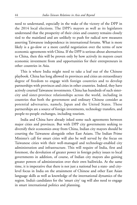need to understand, especially in the wake of the victory of the DPP in the 2014 local elections. The DPP's mayors as well as its legislators understand that the prosperity of their cities and country remains closely tied to the mainland and are unlikely to push for radical new measures asserting Taiwanese independence in international forums. What is more likely is a go-slow or a more careful negotiation over the terms of new economic agreements with China. If the DPP is serious about alternatives to China, then this will be proven only by how actively its mayors court economic investment from and opportunities for their entrepreneurs in other countries in Asia.

This is where India might need to take a leaf out of the Chinese playbook. China has long allowed its provinces and cities an extraordinary degree of freedom to engage with foreign countries and to develop partnerships with provinces and cities in other countries. Indeed, they have actively courted Taiwanese investments. China has hundreds of such sistercity and sister-province relationships across the world, including in countries that both the government and ordinary Chinese consider as potential adversaries, namely, Japan and the United States. These partnerships are a source of foreign investments, technology transfers, and people-to-people exchanges, including tourism.

India and China have already inked some such agreements between major cities and provinces. But with DPP city governments seeking to diversify their economies away from China, Indian city mayors should be courting the Taiwanese alongside other East Asians. The Indian Prime Minister's call for smart cities will also be well served by the focus on Taiwanese cities with their well-managed and technology-enabled city administration and infrastructure. This will require of India, first and foremost, the devolution of greater power in foreign policy issues to local governments in addition, of course, of Indian city mayors also gaining greater powers of administration over their own bailiwicks. At the same time, it is imperative that there is not just a national but a state- and citylevel focus in India on the attainment of Chinese and other East Asian language skills as well as knowledge of the international dynamics of the region. India's candidates for the 'smart city' tag will also need to engage in smart international politics and planning.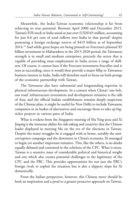Meanwhile, the India-Taiwan economic relationship is far from achieving its true potential. Between April 2000 and December 2015, Taiwan's FDI stock in India stood at just over (US)\$165 million, accounting for just 0.6 per cent of total inflows into India in that period<sup>9</sup> despite possessing a foreign exchange reserve of \$419 billion as of September 2014.<sup>10</sup> And while great hopes are being pinned on Foxconn's planned \$5 billion investment in Maharashtra in the 2015-2020 period, the Taiwanese strength is in small and medium enterprises, precisely the sector that is capable of providing mass employment in India across a range of skillsets. Of course, it cannot hurt if the Foxconn investment fructifies and is seen as succeeding, since it would then provide a major fillip to Taiwanese business interest in India. India will therefore need to focus on both prongs of the economic partnership with Taiwan.

The Taiwanese also have substantial and longstanding expertise in physical infrastructure development. In a context when China's 'one belt, one road' infrastructure investment and development initiative is the talk of Asia, and the official Indian establishment remains deeply suspicious of the Chinese plan, it might be useful for New Delhi to include Taiwanese companies in its basket of alternatives and encourage them to take up bigticket projects in various parts of India.

What is evident from the Singapore meeting of Ma Ying-jeou and Xi Jinping is the immense ability for risk-taking and creativity that the Chinese leader displayed in meeting Ma on the eve of the elections in Taiwan. Despite the many struggles he is engaged with at home, notably the anticorruption campaign and the downturn in China's economy, Xi managed to begin yet another important initiative. This, like the others, is no doubt equally debated and contested in the echelons of the CPC. What is more, Taiwan is a sensitive issue of considerable political and historical weight and one which also creates potential challenges to the legitimacy of the CPC and the PRC. This provides opportunities for not just the PRC's foreign rivals to exploit the situation but is also a slippery slope for Xi domestically.

From the Indian perspective, however, this Chinese move should be both an inspiration and a prod to a greater proactive approach on Taiwan.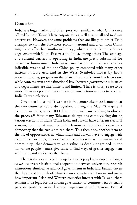## **Conclusion**

India is a huge market and offers prospects similar to what China once offered for both Taiwan's large corporations as well as its small and medium enterprises. However, the same problems that are likely to afflict Tsai's attempts to turn the Taiwanese economy around and away from China might also affect her 'southward policy', which aims at building deeper engagement with South-East Asia and India, among others. The language and cultural barriers to operating in India are pretty substantial for Taiwanese businessmen. India in its turn has hitherto followed a rather inflexible version of the one-China policy compared with many other nations in East Asia and in the West. Symbolic moves by India notwithstanding, progress on the bilateral economic front has been slow, while contacts even at the functional level between government ministries and departments are intermittent and limited. There is, thus, a case to be made for greater political intervention and interactions in order to promote India-Taiwan relations.

Given that India and Taiwan are both democracies there is much that the two countries could do together. During the May 2014 general elections in India, some 100 Chinese students came visiting to observe the process.<sup>11</sup> How many Taiwanese delegations come visiting during various elections in India? While India and Taiwan have different electoral systems, there must surely be other lessons or insights of operating a democracy that the two sides can share. This then adds another item to the list of opportunities in which India and Taiwan have to engage with each other. For India, President-elect Tsai's 'message to the international community...that democracy, as a value, is deeply engrained in the Taiwanese people' <sup>12</sup> must give cause to find ways of greater engagement with the island nation on that basis.

There is also a case to be built up for greater people-to-people exchanges as well as greater institutional cooperation between universities, research institutions, think-tanks and local governments in India and Taiwan. Given the depth and breadth of China's own contacts with Taiwan and given how important Asian and Western countries interact with Taiwan, there remains little logic for the Indian government to continue with its snail's pace on pushing forward greater engagement with Taiwan. Even if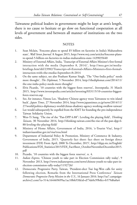Taiwanese political leaders in government might be kept at arm's length, there is no cause to hesitate or go slow on functional cooperation at all levels of government and between all manner of institutions on the two sides.

## **NOTES**

- 1. Sean Mclain, 'Foxconn plans to spend \$5 billion on factories in India's Maharashtra state', *Wall Street Journal.* 8 August 2015, http://www.wsj.com/articles/foxconn-plansto-spend-5-billion-on-factories-in-indias-maharashtra-state-1439035640
- 2. Ministry of External Affairs, India, 'Transcript of External Affairs Minister's first formal interaction with the media (September 8, 2014)', http://mea.gov.in/mediabriefings.htm?dtl/23982/Transcript+of+External+Affairs+Ministers+first+formal+ interaction+with+the+media+September+8+2014
- 3. On the same subject, see also Prashant Kumar Singh, 'The "One-India policy" needs more thought', *The Diplomat*, 5 November 2014, http://thediplomat.com/2014/11/ the-one-india-policy-needs-more-thought/
- 4. Elvis Picardo, '10 countries with the biggest forex reserves', *Investopedia*, 31 March 2015, http://www.investopedia.com/articles/investing/033115/10-countries-biggestforex-reserves.asp
- 5. See, for instance, Yimou Lee, 'Shadowy Chinese agency woos Taiwanese to win island back', *Japan Times,* 27 November 2014, http://www.japantimes.co.jp/news/2014/11/ 27/world/politics-diplomacy-world/chinas-shadowy-agency-working-swallow-taiwan/
- 6. Lee would subsequently be expelled from the KMT for founding the pro-independence Taiwan Solidarity Union.
- 7. Wen-Ti Sung, 'The rise of the "Pan-DPP 6.88": Leveling the playing field', *Thinking Taiwan*, 30 November 2014, http://thinking-taiwan.com/the-rise-of-the-pan-dpp-6- 88-leveling-the-playing-field/
- 8. Ministry of Home Affairs, Government of India, 2016, 'e-Tourist Visa', http:// indianvisaonline.gov.in/visa/tvoa.html
- 9. Department of Industrial Policy & Promotion, Ministry of Commerce & Industry, Government of India, 2015. 'Quarterly fact sheet: fact sheet on foreign direct investment (FDI) From April, 2000 To December, 2015', http://dipp.nic.in/English/ Publications/FDI\_Statistics/2015/FDI\_FactSheet\_OctoberNovemberDecember2015. pdf
- 10. Picardo, '10 countries with the biggest forex reserves', n. 4.
- 11. *Indian Express,* 'Chinese youth to take part in Election Commission rally today', 9 November 2013, http://www.indianexpress.com/news/chinese-youth-to-take-part-inelection-commission-rally-today/1192726/
- 12. Democratic Progressive Party, Taiwan, 'President-elect Tsai Ing-Wen calls for unity following election, Remarks from the International Press Conference' *Taiwan Democratic Progressive Party Mission in the U.S.,* 16 January 2016. http://us7.campaignarchive2.com/?u=514c164469699ac1ac10bfe93&id=d75de0c99b&e=b579d6a0a4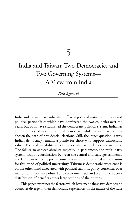5

# India and Taiwan: Two Democracies and Two Governing Systems— A View from India

*Ritu Agarwal*

India and Taiwan have inherited different political institutions, ideas and political personalities which have dominated the two countries over the years, but both have established the democratic political system. India has a long history of vibrant electoral democracy while Taiwan has recently chosen the path of presidential elections. Still, the larger question is why Indian democracy remains a puzzle for those who support democratic values. Political instability is often associated with democracy in India. The failure to achieve absolute majority in parliament, the multi-party system, lack of coordination between the central and state governments, and failure in achieving policy consensus are most often cited as the reasons for this trend of political uncertainty. Taiwanese democratic experience is on the other hand associated with political stability, policy consensus over matters of important political and economic issues and often much better distribution of benefits across large sections of the citizens.

This paper examines the factors which have made these two democratic countries diverge in their democratic experiences. Is the nature of the state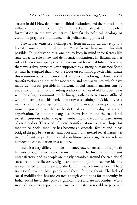a factor in this? How do different political institutions and their functioning influence their effectiveness? What are the factors that determine policy formulation in the two countries? How far do political ideology or economic pragmatism influence their policymaking process?

Taiwan has witnessed a changeover from an authoritarian setup to a liberal democratic political system. What factors have made this shift possible? To understand this, one has to keep in mind three factors like state capacity, rule of law and democratic institutions. In Taiwan, neither rule of law nor multiparty electoral system had been established. However, there was a developmental state supported by a strong bureaucracy. Some scholars have argued that it was the focus on economic growth which made this transition peaceful. Economic development has brought about a social transformation and desire for modernity and secular values, which have made democracy possible in Taiwan. Social transformation can be understood in terms of discarding traditional values of old loyalties, be it with the village, community or the lineage; rather, one gets more affiliated with modern ideas. This works more towards gaining one's identity as a member of a secular agency. Citizenship as a modern concept becomes more important, which can be defined as membership of a state organisation. People do not organise themselves around the traditional social institutions; rather, they get membership of the political associations of civic bodies. This kind of social transformation has given hope for modernity. Social mobility has become an essential feature and it has bridged the gap between rich and poor and thus flattened social hierarchies in significant ways. These social conditions play a significant role in democratic consolidation in a country.

India is a very different model of democracy, where economic growth has not brought much social transformation. Its literacy rate remains unsatisfactory, and its people are mostly organised around the traditional social institutions like caste, religion and community. In India, one's identity is determined by the place and the family in which one is born. These traditional loyalties bind people and their life throughout. The lack of social mobilisation has not created enough conditions for modernity in India. Social hierarchies play a significant role and are not conducive to a successful democratic political system. Even the state is not able to penetrate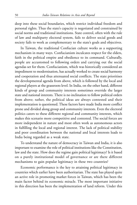deep into these social boundaries, which restrict individual freedom and personal rights. Thus the state's capacity is negotiated and constrained by social norms and traditional institutions. State control, often with the rule of law and multiparty electoral system, fails to deliver social goods and society fails to work as complementary to the state's goals and objectives.

In Taiwan, the traditional Confucian culture works as a supporting mechanism in many ways. Confucianism inculcates respect for the elders, faith in the political empire and obedience to its command. Culturally, people are accustomed to following orders and carrying out the social agendas set for them. Confucianism, which was historically considered an impediment to modernisation, has actually worked to create social harmony and cooperation and thus attenuated social conflicts. The state prioritises the developmental agenda from above, which is followed by the local and regional players at the grassroots level. In India, on the other hand, different kinds of group and community interests sometimes override the larger state and national interests. There is no inclination to follow political orders from above; rather, the political ideas are always contested and their implementation is questioned. These factors have made India more conflict prone and divided along group and community interests. Even the electoral politics caters to these different regional and community interests, which makes this scenario more competitive and contested. The social forces are more independent in nature and most often work as autonomous actors in fulfilling the local and regional interest. The lack of political stability and poor coordination between the national and local interests leads to India being regarded as a weak state.

To understand the nature of democracy in Taiwan and India, it is also important to examine the role of political institutions like the Constitution, law and the state. How does the regime gain political legitimacy? Is it based on a purely institutional model of governance or are there different mechanisms to gain popular legitimacy in these two countries?

Economic performance is the key to attaining political legitimacy in countries which earlier have been authoritarian. The state has played quite an active role in promoting market forces in Taiwan, which has been the main factor behind its economic miracle. The most important initiative in this direction has been the implementation of land reform. Under this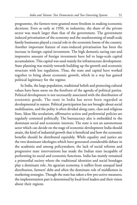programme, the farmers were granted more freedom in making economic decisions. Even as early as 1950, in industries, the share of the private sector was much larger than that of the government. The government induced privatisation of the economy and the mushrooming of small-scale family businesses played a crucial role in the economic boom of the country. Another important feature of state-induced privatisation has been the increase in foreign capital investment. The high domestic saving rate and impressive amount of foreign investment have led to large-scale capital accumulation. This capital was used mainly for infrastructure development. State planning was mainly towards building up the growth and economic structure with less regulation. Thus, the state and capital have worked together to bring about economic growth, which in a way has gained political legitimacy for the regime.

In India, the large population, traditional beliefs and protecting cultural values have been more on the forefront of the agenda of political parties. Political development is not necessarily associated with the distribution of economic goods. The state in India has never been regarded as developmental in nature. Political participation has not brought about social mobilisation, and the polity is often divided along caste, class and religious lines. Ideas like secularism, affirmative action and preferential policies are regularly contested politically. The bureaucracy also is embedded in the dominant social and economic interests. The state is not an autonomous actor which can decide on the stage of economic development India should attain, the kind of industrial growth that is beneficial and how the economic benefits should be distributed equitably. While equality and justice are the two dominant ideologies which have generated considerable debate in the academia and among policymakers, the lack of social reforms and progressive state interventions has made the Indian state incapable of performing its social and economic functions. India has mainly remained a primordial society where the traditional identities and social bondages play a dominant role. An agrarian economy, it suffers from unequal land distribution, farmers' debt and often the dominant role of middlemen in marketing strategies. Though the state has taken a few pro-active measures, the implementation part is determined by local-level leaders and their vision about their regions.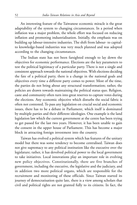An interesting feature of the Taiwanese economic miracle is the great adaptability of the system to changing circumstances. In a period when inflation was a major problem, the whole effort was focused on reducing inflation and promoting industrialisation. Initially, the emphasis was on building up labour-intensive industries. The shift from labour- to capitalto knowledge-based industries was very much planned and was adopted according to the changing circumstances.

The Indian state has not been farsighted enough to lay down the objectives for economic performance. Elections are the key parameters to test the political legitimacy of a particular party. There is not a single and consistent approach towards the national objectives. With elections deciding the fate of a political party, there is a change in the national goals and objectives every time a different party comes to power. Most of the time, the parties do not bring about any structural transformation; rather, the policies are drawn towards maintaining the political status quo. Religion, caste and community often turn into great reserves to capture votes during the elections. Any economic objective which disturbs the social fabric is often not contested. To pass any legislation on crucial social and economic issues, there has to be a debate in Parliament, which itself is dominated by multiple parties and their different ideologies. One example is the land legislation law which the current government at the centre has been trying to get passed for the last two years. However, it has been unable to gain the consent in the upper house of Parliament. This has become a major block in attracting foreign investment into the country.

Taiwan has evolved a political system which has features of the unitary model but there was some tendency to become centralised. Taiwan does not give supremacy to any political institution like the executive over the legislature; rather, it has devolved political power to the local government to take initiatives. Local innovations play an important role in evolving new policy objectives. Constitutionally, there are five branches of government, including the executive, the legislative and the judiciary, and in addition two more political organs, which are responsible for the recruitment and monitoring of these officials. Since Taiwan started its journey of democratisation quite late, there is a view among scholars that civil and political rights are not granted fully to its citizens. In fact, the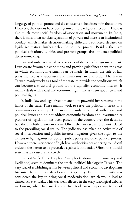language of political protest and dissent seems to be different in the country. However, the citizens have been granted more religious freedom. There is also much more social freedom of association and movement. In India, there is most often no clear separation of powers and there is an institutional overlap, which makes decision-making difficult. Protracted debates on legislative matters further delay the political process. Besides, there are political agitations. Lobbies and pressure groups also influence political decision-making.

Law and order is crucial to provide confidence to foreign investment. Laws create favourable conditions and provide guidelines about the areas in which economic investment can be made. In India, the rule of law plays the role as a supervisor and maintains law and order. The law in Taiwan manly works as a tool of the state to provide the conditions which can become a structural ground for the capitalist economic interest. It mainly deals with social and economic rights and is silent about civil and political rights.

In India, law and legal freedom are quite powerful instruments in the hands of the state. These mainly work to serve the political interest of a community or a group. The laws are mainly concerned with social and political issues and do not address economic freedom and investment. A plethora of legislation has been passed in the country over the decades, but there is little clarity in them. Often, the laws seem to be not related to the prevailing social reality. The judiciary has taken an active role of social intervention and public interest litigation gives the right to the citizens to fight against corruption, public policy and other political process. However, there is evidence of high-level authorities not adhering to judicial orders if the person to be proceeded against is influential. Often, the judicial system is also used vindictively.

Sun Yat Sen's Three People's Principles (nationalism, democracy and livelihood) seem to dominate the official political ideology in Taiwan. The very idea of establishing a link between political and economic development fits into the country's development trajectory. Economic growth was considered the key to bring social modernisation, which would lead to democracy eventually. This was well reflected in the early ideological debates in Taiwan, when free market and free trade were important tenets of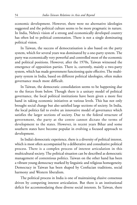economic development. However, there were no alternative ideologies suggested and the political culture seems to be more pragmatic in nature. In India, Nehru's vision of a strong and economically developed country has often led to political contestation. There is not a single dominating political vision.

In Taiwan, the success of democratisation is also based on the party system, which for several years was dominated by a one-party system. The party was economically very powerful and controlled most of the economic and political positions. However, after the 1970s, Taiwan witnessed the emergence of opposition parties. There is, currently, mainly a two-party system, which has made government functioning quite effective. The multiparty system in India, based on different political ideologies, often makes governance much more difficult.

In Taiwan, the democratic consolidation seems to be happening due to the forces from below. Though there is a unitary model of political governance, the local political institutions have been given a more free hand in taking economic initiatives at various levels. This has not only brought social change but also satisfied large sections of society. In India, the local politics fail to evolve an innovative model of governance which satisfies the larger sections of society. Due to the federal structure of government, the party at the centre cannot dictate the terms of development to the states. However, in recent years Bihar and some southern states have become popular in evolving a focused approach to development.

In India's democratic experience, there is a diversity of political interest, which is most often accompanied by a deliberative and consultative political process. There is a complex process of interest articulation in this multicultural society. The political situation can be described as democratic management of contentious politics. Taiwan on the other hand has been a vibrant young democracy marked by linguistic and religious homogeneity. Democracy in Taiwan has been shaped by Confucian traditions, social harmony and Western liberalism.

The political process in India is one of maintaining elusive consensus driven by competing interest articulation. But there is an institutional deficit for accommodating these diverse social interests. In Taiwan, there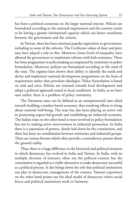has been a political consensus on the larger national interest. Policies are formulated according to the national requirement and the country seems to be having a greater institutional capacity which can better coordinate between the government and the citizens.

In Taiwan, there has been minimal popular opposition to government, including to some of the reforms. The Confucian values of duty and piety may have played a role in this. Moreover, lower levels of inequality have allowed the government to implement reforms with little resistance. There has been pragmatism in policymaking accompanied by continuity in policy formulation. Moreover, policies are formulated according to the need of the time. The regimes have shown their ability to identify the needs and devise and implement national development programmes on the basis of requirement rather than prevalent ideologies. Policy formulation is based on trial and error. Policies are oriented towards local development and adopt a political approach suited to local conditions. In India, as we have seen earlier, there is a problem of policy continuity.

The Taiwanese state can be defined as an entrepreneurial state tilted towards building a market-based economy, thus resolving efforts to bring about material well-being. The state has also been playing an active role in promoting export-led growth and establishing an industrial economy. The Indian state on the other hand is more involved in policy formulation but not in making active interventions in industrial promotion. In India there is a separation of powers, clearly laid down by the constitution, and there has been no coordination between ministries and industrial groups. There are various forums which often provide a contradictory picture about the ground reality.

Thus, there is a huge difference in the historical and political situation in which democracy has evolved in India and Taiwan. In India, with its multiple diversity of interests, often not the political consent but the contestation is regarded as a viable alternative to make democracy successful as a political process. It also brings down the role that political institutions can play in democratic management of the country. Taiwan's experience on the other hand points out the ideal model of democracy where social forces and political institutions work in harmony.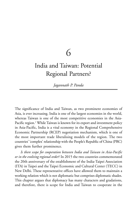6

## India and Taiwan: Potential Regional Partners?

*Jagannath P. Panda*

The significance of India and Taiwan, as two prominent economies of Asia, is ever increasing. India is one of the largest economies in the world, whereas Taiwan is one of the most competitive economies in the Asia-Pacific region.<sup>1</sup> While Taiwan is known for its export and investment policy in Asia-Pacific, India is a vital economy in the Regional Comprehensive Economic Partnership (RCEP) negotiation mechanism, which is one of the most important trade liberalising models of the region. The two countries' 'complex' relationship with the People's Republic of China (PRC) gives them further prominence.

*Is there scope for cooperation between India and Taiwan in Asia-Pacific or in the evolving regional order*? In 2015 the two countries commemorated the 20th anniversary of the establishment of the India-Taipei Association (ITA) in Taipei and the Taipei Economic and Cultural Center (TECC) in New Delhi. These representative offices have allowed them to maintain a working relation which is not diplomatic but comprises diplomatic shades. This chapter argues that diplomacy has many characters and gradations, and therefore, there is scope for India and Taiwan to cooperate in the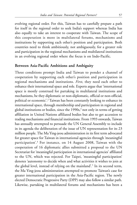evolving regional order. For this, Taiwan has to carefully prepare a path for itself in the regional order to seek India's support whereas India has also equally to take an interest to cooperate with Taiwan. The scope of this cooperation is more in multilateral forums, mechanisms and institutions by supporting each other's position and participation. Both countries need to think ambitiously, not ambiguously, for a greater role and participation in the regional mechanisms and multilateral institutions in an evolving regional order where the focus is on Indo-Pacific.

#### **Between Asia-Pacific Ambitions and Ambiguity**

Three conditions prompt India and Taiwan to ponder a channel of cooperation by supporting each other's position and participation in regional mechanisms and institutions. *First*, they need each other to enhance their international space and role. Experts argue that 'international space is mostly construed for partaking in multilateral institutions and mechanisms, be they diplomatic or non-diplomatic, official or non-official, political or economic'.<sup>2</sup> Taiwan has been constantly looking to enhance its international space, through membership and participation in regional and global institutions or bodies, since the 1990s, $^3$  not only in terms of getting affiliation in United Nations affiliated bodies but also to get accession to trading mechanisms and financial institutions. From 1993 onwards, Taiwan has annually attempted to persuade the UN General Assembly to include in its agenda the deliberation of the issue of UN representation for its 23 million people. The Ma Ying-jeou administration in its first term advocated for greater space for Taiwan in international agencies through 'meaningful participation'.<sup>4</sup> For instance, on 14 August 2008, Taiwan with the cooperation of 16 diplomatic allies submitted a proposal to the UN Secretariat for 'meaningful participation in international agencies' affiliated to the UN, which was rejected. For Taipei, 'meaningful participation' denotes 'autonomy to decide when and what activities it wishes to join at the global level, instead of relying on the mainland'.<sup>5</sup> In its second term, the Ma Ying-jeou administration attempted to promote Taiwan's case for greater international participation in the Asia-Pacific region. The newly elected Democratic Progressive Party (DPP) may also follow a similar path. Likewise, partaking in multilateral forums and mechanisms has been a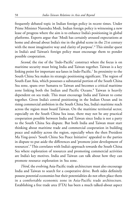frequently debated topic in Indian foreign policy in recent times. Under Prime Minister Narendra Modi, Indian foreign policy is witnessing a new lease of progress where the aim is to enhance India's positioning in global platforms. Experts argue that 'Modi has certainly aroused expectations at home and abroad about India's rise in the global scene in the 21st century with the most imaginative way and clarity of purpose'.<sup>6</sup> This similar quest in India's and Taiwan's foreign policy must encourage them to ponder possible cooperation.

*Second*, the rise of the 'Indo-Pacific' construct where the focus is on maritime security must bring India and Taiwan together. Taiwan is a key linking point for important sea-lanes in Indo-Pacific.<sup>7</sup> Its proximity to the South China Sea makes its strategic positioning significant. The region of South-East Asia, which possesses a substantial portion of the South China Sea zone, spans over Sumatra to Taiwan and becomes a critical maritime zone linking both the Indian and Pacific Oceans.<sup>8</sup> Taiwan is heavily dependent on sea trade. This must encourage India and Taiwan to come together. Given India's central positioning in the Indian Ocean and its rising commercial ambition in the South China Sea, India's maritime reach across the region must board Taiwan. On the maritime territorial sector, especially on the South China Sea issue, there may not be any practical cooperation possible between India and Taiwan since India is not a party to the South China Sea dispute. But both India and Taiwan must start thinking about maritime trade and commercial cooperation in building peace and stability across the region, especially when the then President Ma Ying-jeou's 'South China Sea Peace Initiative' appealed to the parties in dispute to put aside the differences and 'promote joint development of resources'.<sup>9</sup> This correlates with India's approach towards the South China Sea where exploration of resources and promoting commercial activities are India's key motives. India and Taiwan can talk about how they can promote resource exploration in Sea zone.

*Third*, the evolving Asia-Pacific trade architecture must also encourage India and Taiwan to search for a cooperative drive. Both sides definitely possess potential economies but their potentialities do not often place them in a comfortable economic zone in Asia-Pacific trade architecture. Establishing a free trade area (FTA) has been a much talked-about aspect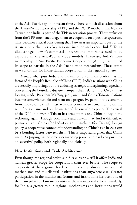of the Asia-Pacific region in recent times. There is much discussion about the Trans-Pacific Partnership (TPP) and the RCEP mechanisms. Neither Taiwan nor India is part of the TPP negotiation process. Their exclusion from the TPP must encourage them to cooperate on a positive spectrum. This becomes critical considering that Taiwan is an important part of the Asian supply chain as a key regional investor and export link.<sup>10</sup> To its disadvantage, Taiwan's commercial interest and importance needs to be explored in the Asia-Pacific trade models. Likewise, India's nonmembership in Asia Pacific Economic Cooperation (APEC) has limited its scope to partake in the Asia-Pacific trade mechanisms. These create new conditions for India-Taiwan cooperation in the regional sphere.

*Fourth*, what puts India and Taiwan on a common platform is the factor of the People's Republic of China (PRC). India's relations with China are steadily improving, but the enduring strategic underpinning, especially concerning the boundary dispute, hampers their relationship. On a similar footing, under President Ma Ying-jeou, mainland China-Taiwan relations became somewhat stable and went on a progressive path on the economic front. However, overall, these relations continue to remain tense on the reunification issue and on the matter of the one-China policy. The arrival of the DPP in power in Taiwan has brought this one-China policy in the reckoning again. Though both India and Taiwan may find it difficult to pursue an anti-China (for India) or anti-mainland (for Taiwan) foreign policy, a cooperative context of understanding on China's rise in Asia can be a bonding factor between them. This is important, given that China under Xi Jinping has become a demanding power and has been pursuing an 'assertive' policy both regionally and globally.

#### **New Institutions and Trade Architecture**

Even though the regional order is in flux currently, still it offers India and Taiwan greater scope for cooperation than ever before. The scope to cooperate at the regional level is more vividly observed in regional mechanisms and multilateral institutions than anywhere else. Greater participation in the multilateral forums and institutions has been one of the main pillars of Taiwan's identity in the international sphere. Similarly, for India, a greater role in regional mechanisms and institutions would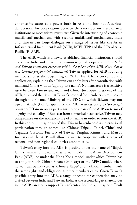enhance its status as a power both in Asia and beyond. A serious deliberation for cooperation between the two sides on a set of new institutions or mechanisms must start. Given the intertwining of 'economic multilateral' mechanisms with 'security multilateral' mechanisms, India and Taiwan can forge dialogue on a range of issues like the Asian Infrastructural Investment Bank (AIIB), RCEP, TPP and the FTA of Asia-Pacific (FTAAP).

The AIIB, which is a newly established financial institution, should encourage India and Taiwan to envision regional cooperation. *Can India and Taiwan practically cooperate within the sphere of the AIIB, given that it is a Chinese-propounded institution*? Taiwan applied for AIIB founding membership at the beginning of 2015, but China prevented the application, explaining that Taiwan can apply later after consultation with mainland China with an 'appropriate name'. Nomenclature is a sensitive issue between Taiwan and mainland China. Jin Liqun, president of the AIIB, expressed the view that Taiwan's proposal for membership must come through the Finance Ministry of the PRC, to which Taiwan may not agree.<sup>11</sup> Article 3 of Chapter I of the AIIB restricts entry to 'sovereign' countries.<sup>12</sup> Taiwan on its part wants to be a part of the AIIB on terms of 'dignity and equality'.<sup>13</sup> But seen from a practical perspective, Taiwan may compromise on the nomenclature of its name in order to join the AIIB. In this context, it may be noted that Taiwan has enhanced its international participation through names like 'Chinese Taipei', 'Taipei, China' and 'Separate Customs Territory of Taiwan, Penghu, Kinmen and Matsu'. Inclusion in the AIIB will allow Taiwan to cooperate with a range of regional and non-regional countries economically.

Taiwan's entry into the AIIB is possible under the name of 'Taipei, China', similar to the name that Taiwan holds in the Asian Development Bank (ADB); or under the Hong Kong model, under which Taiwan has to apply through China's Finance Ministry; or the APEC model, where Taiwan can be inducted as 'Chinese Taipei' as an 'official member', with the same rights and obligations as other members enjoy. Given Taiwan's possible entry into the AIIB, a range of scope for cooperation may be crafted between India and Taiwan. India as the second-largest shareholder in the AIIB can ideally support Taiwan's entry. For India, it may be difficult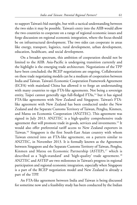to support Taiwan's bid outright, but with a tactical understanding between the two sides it may be possible. Taiwan's entry into the AIIB would allow the two countries to cooperate on a range of regional economic issues and forge discussion on regional economic integration, where the focus should be on infrastructural development. The two sides can cooperate in areas like energy, transport, logistics, rural development, urban development, education, healthcare, and social development.

On a broader spectrum, this ambition of cooperation should not be limited to the AIIB. Asia-Pacific is undergoing transition currently and the highlight is the emerging trade architecture. Negotiations of the TPP have been concluded; the RCEP negotiations are ongoing. Collaboration on these trade negotiating models can be a medium of cooperation between India and Taiwan. Taiwan's Economic Cooperation Framework Agreement (ECFA) with mainland China has allowed it to forge an understanding with many countries to sign FTA-like agreements. Not being a sovereign entity, Taipei cannot generally sign full-fledged FTAs,<sup>14</sup> but it has signed FTA-like agreements with New Zealand and Singapore. Taiwan's FTAlike agreement with New Zealand has been conducted under the New Zealand and the Separate Customs Territory of Taiwan, Penghu, Kinmen, and Matsu on Economic Cooperation (ANZTEC). This agreement was signed in July 2013. ANZTEC is a high-quality comprehensive trade agreement that will promote trade in goods, services and investments.<sup>15</sup> It would also offer preferential tariff access to New Zealand exporters in Taiwan.<sup>16</sup> Singapore is the first South-East Asian country with whom Taiwan entered into an FTA-like agreement, on a pattern similar to ANZTEC, in November 2013. It is formally known as the Agreement between Singapore and the Separate Customs Territory of Taiwan, Penghu, Kinmen and Matsu on Economic Partnership (ASTEP),<sup>17</sup> which is described as a 'high-standard' and 'high-quality' trade agreement.<sup>18</sup> ANZTEC and ASTEP are two milestones in Taiwan's progress in regional participation and regional economic integration, especially when Singapore is a part of the RCEP negotiation model and New Zealand is already a part of the TPP.

An FTA-like agreement between India and Taiwan is being discussed for sometime now and a feasibility study has been conducted by the Indian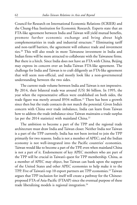Council for Research on International Economic Relations (ICRIER) and the Chung-Hua Institution for Economic Research. Experts state that an FTA-like agreement between India and Taiwan will yield mutual benefits, promote further economic exchange and bring about high complementarities in trade and industrial structure.<sup>19</sup> Eliminating tariff and non-tariff barriers, the agreement will enhance trade and investment ties.<sup>20</sup> This will also result in more Taiwanese investment in India and Indian firms will be more attracted to collaborate with the Taiwanese firms. But there is a hitch. Since India does not have an FTA with China, Beijing may express its concern over an India-Taiwan FTA-like agreement. The challenge for India and Taiwan is to craft diligently an FTA-like agreement that will seem non-official, and mostly look like a non-governmental understanding between the two sides.

The current trade volume between India and Taiwan is not impressive. By 2014, their bilateral trade was around (US) \$6 billion. In 1995, the year when the representative offices were established on both sides, the trade figure was merely around \$934 million.<sup>21</sup> There has been a growth since then but the trade contacts do not match the potential. Given India's concern with China over trade imbalance, India can learn from Taiwan how to address the trade imbalance since Taiwan maintains a trade surplus (as per the 2014 statistics) with mainland China.<sup>22</sup>

The ambition to become a part of the TPP and the regional trade architecture must draw India and Taiwan closer. Neither India nor Taiwan is a part of the TPP currently. India has not been invited to join the TPP primarily for two reasons. India is not a member of APEC; and the Indian economy is not well-integrated into the Pacific countries' economies. Taiwan would like to become a part of the TPP, even when mainland China is not a part of it. Endorsement of key APEC members who are part of the TPP will be crucial in Taiwan's quest for TPP membership. China, as a member of APEC may object, but Taiwan can bank upon the support of the United States and other APEC economies to help make it to the TPP. Five of Taiwan's top 10 export partners are TPP economies.<sup>23</sup> Taiwan argues that TPP inclusion for itself will create a pathway for the Chineseproposed FTA of Asia-Pacific (FTAAP) since the eventual purpose of these trade liberalizing models is regional integration.<sup>24</sup>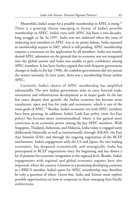Meanwhile, India's scope for a possible membership in APEC is rising.<sup>25</sup> There is a growing chorus emerging in favour of India's possible membership in APEC. India's tryst with APEC has been a two-decadeslong struggle so far. In 1997, India was not inducted when the issue of inducting new members in APEC was in its prime debate. India repeated its membership request in 2007, which is still pending. APEC membership requires a consensus on the application by all members. India was mainly denied APEC admission on the ground that its economy was not integrated into the global system and India was unable to gain confidence among APEC members. It has been further argued that with frequent government changes in India in the late 1990s, the coalition governments did not pursue the matter seriously. In later years, there was a membership freeze within APEC.

Currently, India's chance of APEC membership has amplified substantially. The new Indian government aims to carry forward trade, investment and infrastructure development as its major goals. In the last few years, despite slow growth, the Indian economy has become more translucent, open and free for trade and investment, which is one of the main goals of APEC.<sup>26</sup> Besides, India's economic ties with APEC members have been growing. In addition, India's Look East policy (now Act East policy) has become more institutionalised, where it has gained more conviction as an economic power among the key APEC members. With Singapore, Thailand, Indonesia, and Malaysia, India today is engaged more deliberately bilaterally as well as institutionally through ASEAN, the East Asia Summit (EAS) and through the ongoing negotiation of the RCEP mechanisms. India's engagement with the US and Japan, the two leading economies, has deepened economically and strategically. India has participated in RCEP negotiations since the beginning and has shown a lot of promise for economic integration at the regional level. Besides, India's engagements with regional and global economic regimes have also improved, where the country is known as a promising developing economy as a BRICS member. India's quest for APEC membership may therefore be only a question of when. Given this, India and Taiwan must explore possible opportunities on how to cooperate in these emerging Asia-Pacific architectures.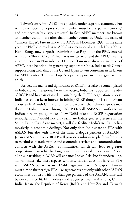Taiwan's entry into APEC was possible under 'separate economy'. For APEC membership, a prospective member must be a 'separate economy' and not necessarily a 'separate state'. In fact, APEC members are known as member economies rather than member countries. Under the name of 'Chinese Taipei', Taiwan made it to APEC in November 1991. In the same year, the PRC also made it to APEC as a member along with Hong Kong. Hong Kong, now a Special Administrative Region of the PRC, entered APEC as a 'British Colony'. India was invited to attend the APEC meeting as an observer in November 2011. Since Taiwan is already a member of APEC, it can be helpful in generating support for India. India needs China's support along with that of the US and Japan to win consensus in its favour for APEC entry. 'Chinese Taipei's' open support in this regard will be crucial.

Besides, the merits and significance of RCEP must also be contemplated in India-Taiwan relations. From the outset, India has supported the idea of RCEP and has participated in launching the RCEP negotiation process. India has shown keen interest in joining RCEP though it is still hesitant about an FTA with China, and there are worries that Chinese goods may flood the Indian market through RCEP. Overall, ASEAN's significance in Indian foreign policy makes New Delhi take the RCEP negotiation seriously. RCEP would not only facilitate India's greater presence in the South-East or East Asian market; it will also facilitate India's Act East policy massively in economic dealings. Not only does India share an FTA with ASEAN but also with two of the main dialogue partners of ASEAN – Japan and South Korea. RCEP will provide a substantial platform for India to maximise its trade profile and economic, services and communications contacts with the ASEAN communities, which will lead to greater cooperation in areas like banking, tourism and societal interactions.<sup>27</sup> Above all this, partaking in RCEP will enhance India's Asia-Pacific undertaking. Taiwan must take these aspects seriously. Taiwan does not have an FTA with ASEAN but it has an FTA-like agreement with Singapore. Taiwan must aim to further sign FTA-like agreements not only with other ASEAN economies but also with the dialogue partners of the ASEAN. This will be critical since RCEP involves six dialogue partners – Australia, China, India, Japan, the Republic of Korea (RoK), and New Zealand. Taiwan's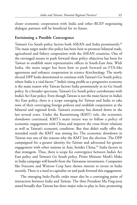closer economic cooperation with India and other RCEP negotiating dialogue partners will be beneficial for its future.

#### **Envisioning a Possible Convergence**

Taiwan's Go South policy factors both ASEAN and India prominently. 28 The main target under this policy has been how to promote bilateral trade, agricultural and fishery cooperation with the ASEAN countries. One of the envisaged means to push forward these policy objectives has been for Taiwan to establish more representative offices in South-East Asia. With India, the main target has been how to push forward an FTA-like agreement and enhance cooperation in science &technology. The newly elected DPP looks determined to continue with Taiwan's Go South policy, where India is a vital factor. <sup>29</sup> India's rising profile as a progressive economy is the main reason why Taiwan factors India prominently in its Go South policy. In a broader spectrum, Taiwan's Go South policy corroborates with India's Act East policy. Even though Taiwan is not the main factor in India's Act East policy, there is a scope emerging for Taiwan and India to take note of their converging foreign policies and establish cooperation at the bilateral and regional levels. Taiwan's economy has slowed down in the last several years. Under the Kuomintang (KMT) rule, the economic slowdown continued. KMT's main intent was to follow a policy of economic engagement with China and improve the cross-Strait relations as well as Taiwan's economic condition. But that didn't really offer the intended result the KMT was aiming for. The economic slowdown in Taiwan was one of the reasons why the KMT lost the election. The DPP campaigned for a greater identity for Taiwan and advocated for greater engagement with other nations in Asia, besides China.<sup>30</sup> India factors in that stratagem. Thus, there is scope for convergence between India's Act East policy and Taiwan's Go South policy. Prime Minister Modi's Make in India campaign will benefit from the Taiwanese investments. Companies like Foxconn and Wistron Corp have shown interest to invest in India recently. There is a need to capitalise on and push forward this engagement.

The emerging Indo-Pacific order must also be a converging point of interaction between India and Taiwan. The then President Ma Ying-jeou stated broadly that Taiwan has three major roles to play in Asia: promoting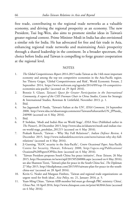free trade, contributing to the regional trade networks as a valuable economy, and driving the regional prosperity as an economy. The new President, Tsai Ing-Wen, also aims to promote similar ideas in Taiwan's greater regional context. Prime Minister Modi in India has also envisioned a similar role for India. He has advocated for free and fair trade in Asia, enhancing regional trade networks and maintaining Asia's prosperity through a shared leadership in the continent. In a broader spectrum, the choice before India and Taiwan is compelling to forge greater cooperation at the regional level.

#### **NOTES**

- 1. *The Global Competitiveness Report 2014-2015* ranks Taiwan as the 14th most important economy and among the top ten competitive economies in the Asia-Pacific region. See Thierry Geiger, 'Global Competitiveness and Risk', World Economic Forum, 2 September 2014, https://www.weforum.org/agenda/2014/09/top-10-competitiveeconomies-asia-pacific/ (accessed on 29 April 2016).
- 2. Bonnie S. Glaser, *Taiwan's Quest for Greater Participation in the International Community, A report of the CSIS Freeman Chair in China Studies*, Centre for Strategic & International Studies, Rowman & Littlefield, November 2013, p. 1.
- 3. Ibid.
- 4. See Jagannath P. Panda, 'Taiwan's Failure at the UN', *IDSA Comment,* 24 September 2008, http://www.idsa.in/idsastrategiccomments/TaiwansFailureattheUN\_JPPanda\_ 240908 (accessed on 6 May 2016).
- 5. Ibid.
- 6. P. Stobdan, 'Modi and India's Rise on World Stage', *IDSA News* (Published earlier in *The Pioneer*), 20 December 2015, http://www.idsa.in/idsanews/modi-and-indian-riseon-world-stage\_pstobdan\_201215 (accessed on 6 May 2016).
- 7. Prakash Katoch, 'Taiwan Why Shy Full Relations?', *Indian Defence Review,* 4 December 2015, http://www.indiandefencereview.com/news/taiwan-why-shy-fullrelations/ (accessed on 6 May 2016).
- 8. Ji Guoxing, 'SLOC security in the Asia-Pacific', *Centre Occasional Paper,* Asia-Pacific Centre for Security, Hawaii, February 2000, http://apcss.org/Publications/ Ocasional%20Papers/OPSloc.htm (accessed on 6 May 2016).
- 9. 'Taiwan President proposes South China Sea peace initiative', *Focus Taiwan,* 26 May 2015, http://focustaiwan.tw/news/aipl/201505260006.aspx (accessed on 6 May 2016); see also Shannon Tiezzi, 'Taiwan's plan for peace in the South China Sea', *The Diplomat,* 27 May 2015, http://thediplomat.com/2015/05/taiwans-plan-for-peace-in-the-southchina-sea/ (accessed on 28 April 2016).
- 10. Kevin G. Nealer and Margaux Fimbres, 'Taiwan and regional trade organizations: an urgent need for fresh ideas', *Asia Policy*, no. 21, January 2016, p. 5.
- 11. Yuan-Ming Chiao, 'Taiwan AIIB member bid must go through PRC ministry: China', *China Post,* 10 April 2016, http://www.chinapost.com.tw/print/463044.htm (accessed on 6 May 2016).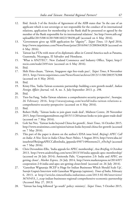- 12. Ibid. Article 3 of the Articles of Agreement of the AIIB states that 'In the case of an applicant which is not sovereign or not responsible for the conduct of its international relations, application for membership in the Bank shall be presented or agreed by the member of the Bank responsible for its international relations'. See http://www.aiib.org/ uploadfile/2015/0814/20150814022158430.pdf (accessed on 6 May 2016).
- 13. 'Government gives up AIIB application for "dignity"', *Taipei Times,* 13 April 2016, http://www.taipeitimes.com/News/front/print/2016/04/13/2003643828 (accessed on 6 May 2016).
- 14. Taiwan has FTAs with most of its diplomatic allies in Central America such as Panama, Guatemala, Nicaragua, El Salvador and Honduras.
- 15. 'What is ANZTEC?', New Zealand Commerce and Industry Office, Taipei, http:// nzcio.com/node/249/view (accessed on 6 May 2016).
- 16. Ibid.
- 17. Shih Hsiu-chuan, 'Taiwan, Singapore sign free-trade pact', *Taipei Times*, 8 November 2013, http://www.taipeitimes.com/News/front/archives/2013/11/08/2003576388 (accessed on 6 May 2016).
- 18. Ibid.
- 19. Kristy Hsu, 'India-Taiwan economic partnership: building a new growth model', *Indian Foreign Affairs Journal,* vol. 8, no. 3, July-September 2013, p. 298.
- 20. Ibid.
- 21. Tien-Sze Fang, 'India-Taiwan relations: a comprehensive security perspective', *Swarajya,* 26 February 2016, http://swarajyamag.com/world/india-taiwan-relations-acomprehensive-security-perspective (accessed on 6 May 2016).
- 22. Ibid.
- 23. Robert Holly, 'Taiwan looks to join giant trade deal', Midwest Centre, 20 November 2015, http://investigatemidwest.org/2015/11/20/taiwan-looks-to-join-giant-trade-deal/ (accessed on 7 May 2016).
- 24. Goh Sui Noi, 'Taiwan looks beyond China for growth', *Strait Times,* 16 October 2015, http://www.straitstimes.com/opinion/taiwan-looks-beyond-china-for-growth (accessed on 7 May 2016).
- 25. This part of the paper is drawn on the author's IDSA issue brief, *Beijing's APEC Call on India: A New Twist in India-China Power Politics*, 5 August 2014, http://www.idsa.in/ issuebrief/BeijingsAPECCallonIndia\_jppanda-050714#footnote21\_rf3o3q3 (accessed on 7 May 2016).
- 26. Chris Devonshire-Ellis, 'India appeals for APEC membership', *Asia Briefing,* 6 October 2013, http://www.asiabriefing.com/news/2013/10/india-appeals-apec-membership/ (accessed on 26 July 2014); Amitendu Palit, 'Cooperation 2.0: India and APEC are getting closer', *Market Express,* 24 July 2014, http://www.marketexpress.in/2014/07/ cooperation-2-0-india-and-apec-are-getting-closer.html (accessed on 26 July 2014).
- 27. 'Ganeshan Wignaraja: RCEP is Huge for Indian Businesses Which Should Scale Up', Surojit Gupta's Interview with Ganeshan Wignaraja (opinion), *Times of India*, February 6, 2013, at http://articles.timesofindia.indiatimes.com/2013-02-06/interviews/ 36765453\_1\_rcep-indian-businesses-regional-comprehensive-economic-partnership (Accessed May 27, 2013)
- 28. 'Taiwan has long followed "go south" policy: ministry', *Taipei Times,* 5 October 2015,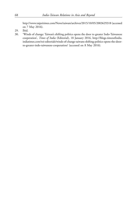http://www.taipeitimes.com/News/taiwan/archives/2015/10/05/2003629318 (accessed on 7 May 2016).

- 29. Ibid.
- 30. 'Winds of change: Taiwan's shifting politics opens the door to greater Indo-Taiwanese cooperation', *Times of India* (Editorial), 18 January 2016, http://blogs.timesofindia. indiatimes.com/toi-editorials/winds-of-change-taiwans-shifting-politics-opens-the-doorto-greater-indo-taiwanese-cooperation/ (accessed on 8 May 2016).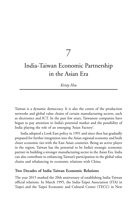7

## India-Taiwan Economic Partnership in the Asian Era

## *Kristy Hsu*

Taiwan is a dynamic democracy. It is also the centre of the production networks and global value chains of certain manufacturing sectors, such as electronics and ICT. In the past few years, Taiwanese companies have begun to pay attention to India's potential market and the possibility of India playing the role of an emerging 'Asian Factory'.

India adopted a Look East policy in 1991 and since then has gradually prepared for further integration into the Asian regional economy and built closer economic ties with the East Asian countries. Being an active player in the region, Taiwan has the potential to be India's strategic economic partner in building a stronger manufacturing sector in the Asian Era. India can also contribute to enhancing Taiwan's participation in the global value chains and rebalancing its economic relations with China.

## **Two Decades of India-Taiwan Economic Relations**

The year 2015 marked the 20th anniversary of establishing India-Taiwan official relations. In March 1995, the India-Taipei Association (ITA) in Taipei and the Taipei Economic and Cultural Center (TECC) in New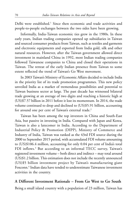Delhi were established.<sup>1</sup> Since then economic and trade activities and people-to-people exchanges between the two sides have been growing.

Informally, India-Taiwan economic ties grew in the 1980s. In these early years, Indian trading companies opened up subsidiaries in Taiwan and sourced consumer products from Taiwan, such as textiles and garments and electronic equipments and exported from India gold, silk and other natural resources. However, after the Taiwan government allowed direct investment in mainland China in 1992, most Indian trading companies followed Taiwanese companies to China and closed their operations in Taiwan. The retreat of the early Indian presence from Taiwan to some extent reflected the trend of Taiwan's Go West movement.

In 2003 Taiwan's Ministry of Economic Affairs decided to include India in the priority list of its trade promotion programmes. This new policy unveiled India as a market of tremendous possibilities and potential to Taiwan business sector at large. The past decade has witnessed bilateral trade growing at an average of two digits and reaching a historic high at (US)\$7.57 billion in 2011 before it lost its momentum. In 2014, the trade volume continued to drop and declined to (US)\$5.91 billion, accounting for around one per cent of Taiwan's external trade.<sup>2</sup>

Taiwan has been among the top investors in China and South-East Asia, but passive in investing in India. Compared with Japan and Korea, Taiwan is also a latecomer in India. According to the Department of Industrial Policy & Promotion (DIPP), Ministry of Commerce and Industry of India, Taiwan was ranked as the 43rd FDI source during the 2000 to September 2015 period, with accumulated FDI volume amounting to (US)\$106.4 million, accounting for only 0.04 per cent of India's total FDI inflows.<sup>3</sup> But according to an informal TECC survey, Taiwan's registered investment volume – both direct and indirect – may total around (US)\$1.2 billion. This estimation does not include the recently announced (US)\$5 billion investment project by Taiwan's manufacturing giant Foxconn.<sup>4</sup> Indian data have tended to underestimate Taiwanese investment activities in the country.

#### **A Different Investment Rationale – From Go West to Go South**

Being a small island country with a population of 23 million, Taiwan has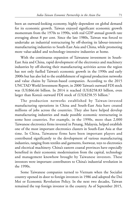been an outward-looking economy, highly dependent on global demand for its economic growth. Taiwan enjoyed significant economic growth momentum from the 1970s to 1990s, with real GDP annual growth rate averaging about 8 per cent. Since the late 1980s, Taiwan was forced to undertake an industrial restructuring by off-shoring its labour-intensive manufacturing industries to South-East Asia and China, while promoting more value-added and technology-intensive industries at home.

With the continuous expansion of Taiwanese investment in South-East Asia and China, rapid development of the electronics and machinery industries by off-shoring their manufacturing activities across the region has not only fuelled Taiwan's economic growth in the 1990s and early 2000s but has also led to the establishment of regional production networks and value chains by Taiwan-based companies. According to the 2015 UNCTAD World Investment Report, in 2000 Taiwan's outward FDI stock was (US)\$66.66 billion. In 2014 it reached (US)\$258.83 billion, even larger than Korea's outward FDI stock of (US)\$258.55 billion.<sup>5</sup>

The production networks established by Taiwan-invested manufacturing operations in China and South-East Asia have created millions of jobs across the countries. They also have helped develop manufacturing industries and made possible economic restructuring in some host countries. For example, in the 1990s, more than 2,000 Taiwanese electronics firms invested in Penang, Malaysia, helped establish one of the most important electronics clusters in South-East Asia at that time. In China, Taiwanese firms have been important players and contributed significantly to the development of various manufacturing industries, ranging from textiles and garments, footwear, toys to electronics and electrical machinery. China's eastern coastal provinces have especially benefited in their economic modernisation from the capital, technology and management knowhow brought by Taiwanese investors. These investors were important contributors to China's industrial revolution in the 1990s.

Some Taiwanese companies turned to Vietnam when the Socialist country opened its door to foreign investors in 1986 and adopted the Doi Moi or Economic Revolution Policy. In the next two decades, Taiwan remained the top foreign investor in the country. As of September 2015,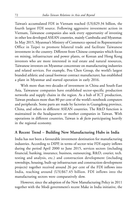Taiwan's accumulated FDI in Vietnam reached (US)\$29.34 billion, the fourth largest FDI source. Following aggressive investment action in Vietnam, Taiwanese companies also seek every opportunity of investing in other less developed ASEAN countries, mainly Cambodia and Myanmar. In May 2015, Myanmar's Ministry of Commerce opened its Representative Office in Taipei to promote bilateral trade and facilitate Taiwanese investment in the country. Different from Chinese companies which focus on mining, infrastructure and power plants, or Korean and Hong Kong investors who are more interested in real estate and natural resources, Taiwanese investors on Myanmar concentrate on manufacturing industries and related services. For example, Pou Chen Group, the world's largest branded athletic and casual footwear contract manufacturer, has established a plant in Myanmar and started operation in early 2016.

With more than two decades of investment in China and South-East Asia, Taiwanese companies have established sector-specific production networks and supply chains in the region. As a hub of ICT production, Taiwan produces more than 80 per cent of the world's notebook computers and peripherals. Some parts are made by factories in Guangdong province, China, and others in different ASEAN countries. The R&D function is maintained in the headquarters or mother companies in Taiwan. With operations in different countries, Taiwan is *de facto* participating heavily in the regional economy.

## **A Recent Trend – Building New Manufacturing Hubs in India**

India has not been a favourable investment destination for manufacturing industries. According to DIPP, in terms of sector-wise FDI equity inflows during the period April 2000 to June 2015, services sectors (including financial, banking, insurance, business, outsourcing, R&D, courier, tech. testing and analysis, etc.) and construction development (including townships, housing, built-up infrastructure and construction-development projects) together received around 26 per cent of the FDI inflows into India, reaching around (US)\$67.45 billion. FDI inflows into the manufacturing sectors were comparatively slow.

However, since the adoption of the New Manufacturing Policy in 2011 together with the Modi government's recent Make in India initiative, the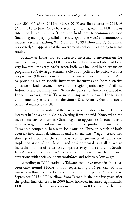years 2014/15 (April 2014 to March 2015) and first quarter of 2015/16 (April 2015 to June 2015) have seen significant growth in FDI inflows into mobile, computer software and hardware, telecommunications (including radio paging, cellular basic telephone services) and automobile industry sectors, reaching \$4.76 billion, \$3.29 billion and \$3.66 billion respectively. 6 It appears that the government's policy is beginning to attain results.

Because of India's not so attractive investment environment for manufacturing industries, FDI inflows from Taiwan into India had been very low until the early 2000s, when India was included in an expansion programme of Taiwan government's Go South policy. The policy was first adopted in 1994 to encourage Taiwanese investment in South-East Asia by providing region-specific investment incentives and 'administrative guidance' to lead investment flows into the region, particularly in Thailand, Indonesia and the Philippines. When the policy was further expanded to India, however, most Taiwanese companies viewed India as a complementary extension to the South-East Asian region and not a potential market by itself.

It is important to note that there is a close correlation between Taiwan's interests in India and in China. Starting from the mid-2000s, when the investment environment in China began to appear less favourable as a result of wage rises and increase of other indirect production costs, some Taiwanese companies began to look outside China in search of both overseas investment destinations and new markets. Wage increase and shortage of labour in the south-east coastal provinces of China and implementation of new labour and environmental laws all drove an increasing number of Taiwanese companies away. India and some South-East Asian countries, such as Vietnam and Indonesia, hence became new attractions with their abundant workforce and relatively low wages.

According to DIPP statistics, Taiwan's total investment in India has been only around \$106.4 million, representing 0.04 per cent of total investment flows received by the country during the period April 2000 to September 2015.<sup>7</sup> FDI outflows from Taiwan in the past few years after the global financial crisis in 2009 have, however, increased significantly. FDI amount in these years comprised more than 80 per cent of the total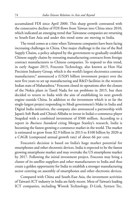accumulated FDI since April 2000. This sharp growth contrasted with the consecutive decline of FDI flows from Taiwan into China since 2010, which indicated an emerging trend that Taiwanese companies are returning to South-East Asia and under this trend some are moving to India.

The trend comes at a time when Taiwanese companies have been facing increasing challenges in China. One major challenge is the rise of the Red Supply Chains, a policy adopted by the government to gradually establish Chinese supply chains by rerouting manufacturing contracts from foreign contract manufacturers to Chinese companies. To respond to this trend, in early August 2015, Foxconn Technology, also known as Hon Hai Precision Industry Group, which is the world's largest electronics contract manufacturer, 8 announced a (US)\$5 billion investment project over the next five years to set up manufacturing and R&D facilities in the western Indian state of Maharashtra.<sup>9</sup> Foxconn closed its operations after the closure of the Nokia plant in Tamil Nadu for tax problems in 2015, but then decided to return to India with the aim of establishing its next growth engine outside China. In addition to the investment which is so far the single-largest project responding to Modi government's Make in India and Digital India initiatives, the company also announced a partnership with Japan's Soft Bank and China's Alibaba to invest in India's e-commerce player Snapdeal with a combined investment of \$500 million. According to a report in *Business Standard* citing Morgan Stanley's research, India is becoming the fastest-growing e-commerce market in the world. The market is estimated to grow from \$2.9 billion in 2013 to \$100 billion by 2020 at a CAGR (compound annual growth rate) of about 66 per cent.

Foxconn's decision is based on India's huge market potential for smartphones and other electronic devices. India is expected to be the fastest growing smartphone market and may overtake the US smartphone market by 2017. Following the initial investment project, Foxconn may bring a cluster of its satellite suppliers and other manufacturers to India and thus create a golden opportunity for India to establish a stronger manufacturing sector centring on assembly of smartphones and other electronic devices.

Compared with China and South-East Asia, the investment activities of Taiwan's ICT industry in India are fairly recent. Most of Taiwan's leading ICT companies, including Wintek Technology, D-Link, Synnex Tec,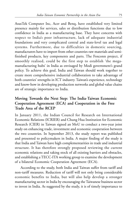AsusTek Computer Inc, Acer and Benq, have established very limited presence mainly for services, sales or distribution functions due to low confidence in India as a manufacturing base. They have concerns with respect to India's poor infrastructure, lack of adequate industrial foundations and very complicated central and state-level tax and legal systems. Furthermore, due to difficulties in domestic sourcing, manufacturers have to import from other countries raw materials and semifinished products, key components and parts. The Foxconn project, if smoothly realised, could be the first step to establish 'the megamanufacturing hubs' in India as envisaged by Modi government's grand policy. To achieve this goal, India and Taiwan should work together to create more comprehensive industrial collaboration to take advantage of both countries' strengths in ICT industry. Taiwan's experience, technology and know-how in developing production networks and global value chains are of strategic importance to India.

## **Moving Towards the Next Step: The India-Taiwan Economic Cooperation Agreement (ECA) and Cooperation in the Free Trade Area of the RCEP**

In January 2011, the Indian Council for Research on International Economic Relations (ICRIER) and Chung Hua Institution for Economic Research (CIER) in Taiwan signed an MoU to conduct a two-year joint study on enhancing trade, investment and economic cooperation between the two countries. In September 2013, the study report was published and presented to policymakers in India. A major finding of the study is that India and Taiwan have high complementarities in trade and industrial structure. It has therefore strongly proposed reviewing the current economic relations and taking stock of all existing barriers and obstacles, and establishing a TECC-ITA working group to examine the development of a bilateral Economic Cooperation Agreement (ECA).

According to the study, both India and Taiwan suffer from tariff and non-tariff measures. Reduction of tariff will not only bring considerable economic benefits to India, but will also help develop a stronger manufacturing sector in India by encouraging the Taiwanese business sector to invest in India. As suggested by the study, it is of timely importance to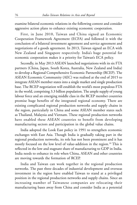examine bilateral economic relations in the following context and consider aggressive action plans to enhance existing economic cooperation.

First, in June 2010, Taiwan and China signed an Economic Cooperation Framework Agreement (ECFA) and followed it with the conclusion of a bilateral investment agreement and service agreement and negotiations of a goods agreement. In 2013, Taiwan signed an ECA with New Zealand and Singapore respectively. India's huge potential for economic cooperation makes it a priority for Taiwan's ECA policy.

Secondly, in May 2013 ASEAN launched negotiations with its six FTA partners (China, Japan, South Korea, Australia, New Zealand and India) to develop a Regional Comprehensive Economic Partnership (RCEP). The ASEAN Economic Community (AEC) was realised at the end of 2015 to integrate ASEAN member states into a single market and single production base. The RCEP negotiation will establish the world's most populous FTA in the world, comprising 3.3 billion population. The ample supply of young labour force and an emerging middle class in the RCEP member countries promise huge benefits of the integrated regional economy. There are existing complicated regional production networks and supply chains in the region, particularly in China and some ASEAN member states such as Thailand, Malaysia and Vietnam. These regional production networks have enabled these ASEAN countries to benefit from developing manufacturing sectors and participation in the global value chains.

India adopted the Look East policy in 1991 to strengthen economic exchanges with East Asia. Though India is gradually taking part in the regional production networks, its role has not been prominent and it has mostly focused on the low level of value-addition in the region.<sup>10</sup> This is reflected in the low and stagnant share of manufacturing to GDP in India. India needs to enhance its role when China, ASEAN and other countries are moving towards the formation of RCEP.

India and Taiwan can work together in the regional production networks. The past three decades of industrial development and overseas investment in the region have enabled Taiwan to stand at a privileged position in the regional production networks and supply chains. Since an increasing number of Taiwanese companies are relocating their manufacturing bases away from China and consider India as a potential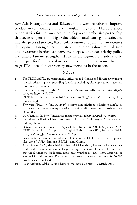new Asia Factory, India and Taiwan should work together to improve productivity and quality in India's manufacturing sector. There are ample opportunities for the two sides to develop a comprehensive partnership that covers cooperation in high-value-added manufacturing industries and knowledge-based services, R&D collaboration and joint human resource development, among others. A bilateral ECA to bring down mutual trade and investment barriers can serve the purpose of India's priority policy and enable Taiwan's strengthened role in the region. Both sides should also prepare for further collaboration under RCEP in the future when the mega FTA opens for accession by new members in the region.

#### **NOTES**

- 1. The TECC and ITA are representative offices set up by Indian and Taiwan governments in each other's capitals, providing functions including visa application, trade and investment promotion.
- 2. Board of Foreign Trade, Ministry of Economic Affairs, Taiwan, http:// cus93.trade.gov.tw/FSCI/
- 3. DIPP, http://dipp.nic.in/English/Publications/FDI\_Statistics/2015/india\_FDI\_ June2015.pdf
- 4. *Economic Times*, 13 January 2016, http://economictimes.indiatimes.com/tech/ hardware/foxconn-to-set-up-new-facilities-in-india-in-6-months/articleshow/ 50567315.cms
- 5. UNCTADSTAT, http://unctadstat.unctad.org/wds/TableViewer/tableView.aspx
- 6. Fact Sheet on Foreign Direct Investment (FDI), DIPP, Ministry of Commerce and Industry, India.
- 7. Statement on Country-wise FDI Equity Inflows from April 2000 to September 2015, DIPP, India, http://dipp.nic.in/English/Publications/FDI\_Statistics/2015/ FDI\_FactSheet\_JulyAugustSeptember2015.pdf
- 8. Foxconn is the manufacturer of smartphones and tablets for mobile device players like Apple (AAPL), Samsung (SSNLF), and Xiaomi.
- 9. According to CAN, the Chief Minister of Maharashtra, Devendra Fadnavis, has confirmed the announcement and signed an agreement with Foxconn. It is reported that the facilities will be located either near Mumbai or Pune. 1,500 acres will be allocated for this purpose. The project is estimated to create direct jobs for 50,000 people when completed.
- 10. Rajat Kathuria, Global Value Chains in the Indian Context, 19 March 2013.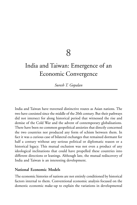8

# India and Taiwan: Emergence of an Economic Convergence

*Suresh T. Gopalan*

India and Taiwan have traversed distinctive routes as Asian nations. The two have coexisted since the middle of the 20th century. But their pathways did not intersect for along historical period that witnessed the rise and demise of the Cold War and the advent of contemporary globalisations. There have been no common geopolitical anxieties that directly concerned the two countries nor produced any form of schism between them. In fact it was a curious case of bilateral exchanges that remained dormant for half a century without any serious political or diplomatic reason or a historical legacy. This mutual exclusion was not even a product of any ideological inclinations that could have propelled these countries into different directions or leanings. Although late, the mutual rediscovery of India and Taiwan is an interesting development.

## **National Economic Models**

The economic histories of nations are not entirely conditioned by historical factors internal to them. Conventional economic analysis focused on the domestic economic make-up to explain the variations in developmental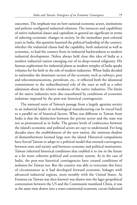outcomes. The emphasis was on how national economic actors, institutions and policies configured industrial relations. The resources and capabilities of native industrial classes and capitalism in general are significant in terms of ushering economic changes in society. In the immediate post-colonial years in India, this question haunted the political leadership of the country: whether the industrial classes had the capability, both industrial as well as economic, to lead the country from its industrial backwardness to modern industrial development. Nehru always held close this idea of India as a modern industrial nation emerging out of its deep-rooted religiosity. His famous euphemism for industrial plants as modern temples of India speaks volumes for his faith in the role of modern industries. When India decided to nationalise the dominant sectors of the economy such as railways, post and telecommunications, petroleum, etc., it reflected both the ideational commitment to the redistributional role of the state as well as a sober admission about the relative weakness of the native industries. The limits of the native industries were also exacerbated by conditions of economic isolations imposed by the post-war historical contingencies.

The national roots of Taiwan's passage from a largely agrarian society to an industrial leader in technological manufacturing can be traced back to a parallel set of historical factors. What was different in Taiwan from India is that the distinction between the private sector and the state was not as pronounced as in India. The greater levels of coalescence between the island's economic and political actors are easy to understand. For long decades since the establishment of the new nation, the ominous shadow of dismemberment loomed large over the island. Historical compulsions have forced Taiwan to adapt to a political model that stressed convergence between state and society and between economy and political institutions. Taiwan inherited historical conditions that enabled it to rise in the future as a far more coherent political and economic system. As in the case of India, the post-war historical contingencies have created conditions of isolation for Taiwan too. But the country was able to overcome this force of circumstances as it had developed forward economic linkages with advanced industrial regions, most notably with the United States. As Formosa (as Taiwan was then known) was drawn into the lager geopolitical contestation between the US and the Communist mainland China, it was at the same time drawn into a trans-continental economic circuit fashioned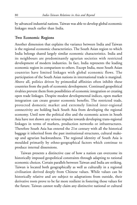by advanced industrial nations. Taiwan was able to develop global economic linkages much earlier than India.

#### **Two Economic Regions**

Another dimension that explains the variance between India and Taiwan is the regional economic characteristics. The South Asian region to which India belongs shared largely similar economic characteristics. India and its neighbours are predominantly agrarian societies with restricted development of modern industries. In fact, India represents the leading economic region in comparison to others. Except India, most South Asian countries have limited linkages with global economic flows. The participation of the South Asian nations in international trade is marginal. Above all, politics driven by primordial affinities often inhibit these countries from the path of economic development. Continued geopolitical rivalries prevent them from possibilities of economic integration or creating open trade linkages. Despite modest developmental indices, open market integration can create greater economic benefits. The restricted trade, protected domestic market and extremely limited inter-regional connectivity are holding back South Asia from developing the regional economy. Until now the political elite and the economic actors in South Asia have not shown any serious impulse towards developing trans-regional linkages in terms of markets, production networks or infrastructures. Therefore South Asia has entered the 21st century with all the historical baggage it inherited from the past institutional structures, cultural makeup and agrarian backwardness. The regional identity of South Asia is moulded primarily by ethno-geographical factors which continue to produce internal dissensions.

Taiwan presents a distinctive case of how a nation can overcome its historically imposed geopolitical constraints through adapting to rational economic choices. Certain parallels between Taiwan and India are striking. Taiwan is located both geographically as well as culturally in a regional civilisation derived deeply from Chinese values. While values can be historically relative and are subject to adaptations from outside, their derivative roots prove to be far more resilient in fostering those values for the future. Taiwan cannot really claim any distinctive national or cultural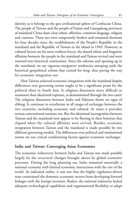identity as it belongs to the geo-civilisational sphere of Confucian China. The people of Taiwan and the people of Fujian and Guangdong provinces of mainland China share close ethnic affinities, common language, religion and customs. These ties were temporarily broken and remained dormant for four decades since the establishment of the People's Republic in the mainland and the Republic of Taiwan in the island in 1949. However, as cultural factors are far more resilient forces, the shared ethnic and linguistic affinities between the people in the mainland and Taiwan revived and were restored into historical continuities. Since the reforms and opening up in the mainland, we see vigorous integrative tendencies sweeping aside the historical geopolitical schism that existed for long, thus paving the way for economic integration too.

How Taiwan achieved economic integration with the mainland despite differences over governing norms ought to be a significant point for the political elites in South Asia. Is religious dissension more difficult to surmount than ideational ruptures, as demonstrated through the two cases? The religious dissension between India and Pakistan shows no signs of ebbing. It continues to reverberate in all ranges of exchanges between the two countries, including economic and cultural. At times it provokes serious conventional tensions too. But the ideational incongruities between Taiwan and the mainland now appear to be fleeting in their histories that elapsed when the cultural affinities were revived. Besides, economic integration between Taiwan and the mainland is made possible by two different governing models. The differences over political and institutional norms are not critical conditioning factors against economic exchanges.

## **India and Taiwan: Converging Asian Economies**

The economic rediscovery between India and Taiwan was made possible largely by the structural changes brought about by global economic processes. During the long planning era, India remained essentially a national economy with limited economic interactions with the rest of the world. As indicated earlier, it was not that the highly regulation-driven state constrained the domestic economic sectors from developing forward linkages with the foreign investors. Rather, the national industries lacked adequate technological capabilities and organisational flexibility to adapt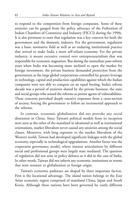to respond to the competition from foreign companies. Some of these anxieties can be gauged from the policy advocacy of the Federation of Indian Chambers of Commerce and Industry (FICCI) during the 1990s. It is also pertinent to note that regulation was a key concern for both the government and the domestic industry. For the government, regulation was a basic normative field as well as an enduring institutional practice that strived to make India a more self-reliant economy. For the private industry, it meant excessive control over entrepreneurialism that was responsible for economic stagnation. But during the immediate post-reform years when India was becoming more inclined to open the market for foreign investment, the private business demanded protection from the government as the large global corporations controlled far greater leverage in technology, capital and production capabilities against which the Indian companies were not able to compete on an equal footing. India's reform decade was a period of anxieties shared by the private business, the state and social groups who sensed the reforms as potent agents of vulnerabilities. These concerns provoked deeply emotive responses from a cross-section of society, forcing the government to follow an incremental approach to the reforms.

In contrast, economic globalisation did not provoke any social dissension in China. Since Taiwan's political models from its inception were seen as the other of the mainland in ideational as well as institutional orientations, market liberalism never caused any anxieties among the social classes. Moreover, with long exposure to the market liberalism of the Western world, Taiwan had developed significant linkages with the global economy, especially in technological upgradations. Another factor was the corporatist governance model, where interest articulations by different social and professional groups were largely state mediated. The question of regulation did not arise in policy debates as it did in the case of India. In other words, Taiwan did not inherit any economic institutions or norms that were resistant to globalisation or foreign origin.

Taiwan's economic pathways are shaped by three important factors. First is the locational advantage. The island nation belongs to the East Asian economic region comprised of mainland China, Japan and South Korea. Although these nations have been governed by vastly different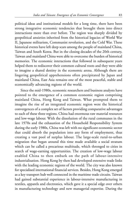political ideas and institutional models for a long time, there have been strong integrative economic tendencies that brought them into direct interactions more than ever before. The region was sharply divided by geopolitical anxieties inherited from the historical legacies of World War II, Japanese militarism, Communist revolution, and the Cold War. These historical events have left deep scars among the people of mainland China, Taiwan and South Korea. But in the closing decades of the 20th century, Taiwan and mainland China were able to overcome the burden of historical memories. The economic interactions that followed in subsequent years helped them to rediscover their common cultural roots and they were able to imagine a shared destiny in the economic arena. Although there are lingering geopolitical apprehensions often precipitated by Japan and mainland China, East Asia remains one of the most peaceful, stable and economically advancing regions of the world.

Since the mid-1980s, economic researchers and business analysts have pointed to the emergence of a common economic region comprising mainland China, Hong Kong and Taiwan. What prompted them to imagine the rise of an integrated economic region were the historical convergences of a complex set of factors providing comparative advantages to each of these three regions. China had enormous raw material resources and low-wage labour. With the dissolution of the rural communes in the late 1970s and the exhaustion of the Household Responsibility System during the early 1980s, China was left with no significant economic sector that could absorb the population into any form of employment, thus creating a vast pool of surplus labour. The large-scale rural-to-urban migration that began around this time made available a social stratum which can be called a precarious multitude, which thronged to cities in search of wage-earning opportunities. The creation of low-wage labour enabled China to then embark on the path of labour-intensive industrialisation. Hong Kong by then had developed extensive trade links with the leading economic regions of the world. The city was also known for specialised international financial services. Besides, Hong Kong emerged as a key transport hub well connected in the maritime trade circuits. Taiwan had gained substantial experience in labour-intensive manufacturing in textiles, apparels and electronics, which gave it a special edge over others in manufacturing technology and new managerial expertise. During the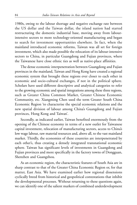1980s, owing to the labour shortage and negative exchange rate between the US dollar and the Taiwan dollar, the island nation had started restructuring the domestic industrial base, moving away from labourintensive sectors to more technology-oriented manufacturing and began to search for investment opportunities elsewhere. In fact, when the mainland introduced economic reforms, Taiwan was all set for foreign investment, which also made possible the relocation of its labour-intensive sectors to China, in particular Guangdong and Fujian provinces, where the Taiwanese have close ethnic ties as well as native-place affinities.

The dense economic interpenetration between Guangdong and Fujian provinces in the mainland, Taiwan and Hong Kong have created a regional economic system that brought these regions ever closer to each other in economic and socio-cultural exchanges, if not in the political sphere. Scholars have used different descriptive and analytical categories to refer to the growing economic and spatial integrations among these three regions, such as Greater China Common Market, Greater Chinese Economic Community, etc. Xiangming Chen used the term Greater South China Economic Region 'to characterise the special economic relations and the new spatial division of labour among China's Guangdong and Fujian provinces, Hong Kong and Taiwan'.

Secondly, as indicated earlier, Taiwan benefited enormously from the opening of the Chinese economy in terms of a new outlet for Taiwanese capital investment, relocation of manufacturing sectors, access to China's low wage labour, raw material resources and, above all, to the vast mainland market. Thirdly, the economies of these countries are interpenetrated by each other's, thus creating a densely integrated transnational economic sphere. Taiwan has significant levels of investments in Guangdong and Fujian provinces and more specifically in the factory towns of Dongguan, Shenzhen and Guangzhou.

As an economic region, the characteristic features of South Asia are in sharp contrast to that of the Greater China Economic Region or, for that matter, East Asia. We have examined earlier how regional dissensions cyclically breed from historical and geopolitical contestations that inhibit the developmental processes. Without returning to these questions again, we can identify one of the salient markers of combined underdevelopment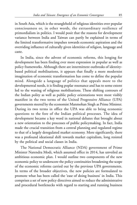in South Asia, which is the stranglehold of religious identities over popular consciousness or, in other words, the extraordinary resilience of primordialism in politics. I would posit that the reasons for development variance between India and Taiwan can partly be explained in terms of the limited transformative impulses towards economic aspiration and the overriding influence of culturally given identities of religion, language and caste.

In India, since the advent of economic reforms, this longing for development has been finding ever more expression in popular as well as policy frameworks. Although there are intermittent outbreaks of identitybased political mobilisations, it appears that finally a more modernist imagination of economic transformation has come to define the popular mind. Alongside a language of politics that appeals more to the developmental needs, it is finding poplar resonance and has to some extent led to the waning of religious mobilisations. These shifting contours of the Indian polity as well as public policy orientations were most visibly manifest in the two terms of the United Progressive Alliance (UPA) governments steered by the economist Manmohan Singh as Prime Minister. During its two terms in office the UPA was able to bring economic questions to the fore of the Indian political processes. The idea of development became a key word in national debates that brought about a new orientation to the processes of public policymaking. In fact, India made the crucial transition from a central planning and regulated regime to that of a largely deregulated market economy. More significantly, there was a profound ideational shift towards market capitalism, long resisted by the political and social classes in India.

The National Democratic Alliance (NDA) government of Prime Minister Narendra Modi, which assumed office in 2014, has unveiled an ambitious economic plan. I would outline two components of the new economic policy to underscore the policy continuities broadening the scope of the economic reforms carried out by the previous UPA governments. In terms of the broader objectives, the new policies are formulated to promote what has been called the 'ease of doing business' in India. This comprises a set of new policy directives aimed to reduce the administrative and procedural bottlenecks with regard to starting and running business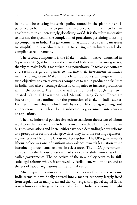in India. The existing industrial policy rooted in the planning era is perceived to be inhibitive to private entrepreneurialism and therefore an anachronism in an increasingly globalising world. It is therefore imperative to increase the speed in the completion of procedures pertaining to setting up companies in India. The government has announced specific measures to simplify the procedures relating to setting up industries and also compliance requirements.

The second component is the Make in India initiative. Launched in September 2015, it focuses on the revival of India's manufacturing sector, thereby to make India a manufacturing powerhouse. It actively encourages and seeks foreign companies to increase their investment in India's manufacturing sector. Make in India became a policy campaign with the twin objectives to attract overseas companies to set up production facilities in India, and also encourage domestic companies to increase production within the country. The initiative will be promoted through the newly created National Investment and Manufacturing Zones. There are interesting models outlined for the promotion of Make in India such as Industrial Townships, which will function like self-governing and autonomous units without being subjected to government intervention or regulations.

The new industrial policies also seek to transform the system of labour regulation that post-reform India inherited from the planning era. Indian business associations and liberal critics have been demanding labour reforms as a prerequisite for industrial growth as they hold the existing regulatory regime responsible for the labour market rigidities. The UPA government's labour policy was one of cautious ambivalence towards legislation while introducing incremental reforms in select areas. The NDA government's approach to the labour question marks a decisive shift from that of the earlier governments. The objectives of the new policy seem to be fullscale legal reforms which, if approved by Parliament, will bring an end to the era of labour regulations in the formal sector.

After a quarter century since the introduction of economic reforms, India seems to have finally entered into a market economy largely freed from regulations in many areas and that converges with global capital flows. A new historical setting has been created for the Indian economy. It might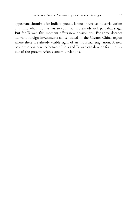appear anachronistic for India to pursue labour-intensive industrialisation at a time when the East Asian countries are already well past that stage. But for Taiwan this moment offers new possibilities. For three decades Taiwan's foreign investments concentrated in the Greater China region where there are already visible signs of an industrial stagnation. A new economic convergence between India and Taiwan can develop fortuitously out of the present Asian economic relations.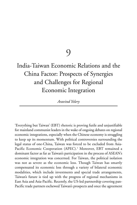9

# India-Taiwan Economic Relations and the China Factor: Prospects of Synergies and Challenges for Regional Economic Integration

*Aravind Yelery*

'Everything but Taiwan' (EBT) rhetoric is proving futile and unjustifiable for mainland communist leaders in the wake of ongoing debates on regional economic integrations, especially when the Chinese economy is struggling to keep up its momentum. With political controversies surrounding the legal status of one-China, Taiwan was forced to be excluded from Asia-Pacific Economic Cooperation (APEC).<sup>1</sup> Moreover, EBT remained a dominant factor as far as Taiwan's participation in the process of ASEAN's economic integration was concerned. For Taiwan, the political isolation was not as severe as the economic loss. Though Taiwan has smartly compensated its economic loss through a variety of bilateral economic modalities, which include investments and special trade arrangements, Taiwan's future is tied up with the progress of regional mechanisms in East Asia and Asia-Pacific. Recently, the US-led partnership covering pan-Pacific trade partners eschewed Taiwan's prospects and once the agreement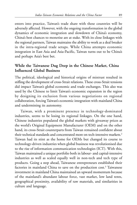enters into practice, Taiwan's trade share with these countries will be adversely affected. However, with the ongoing transformation in the global dynamics of economic integration and slowdown of China's economy, China's best chances to monetise are at stake. With its close linkages with the regional partners, Taiwan maintains the ability to work as a deal breaker in the intra-regional trade setups. While China attempts economic integration in East Asia and Asia-Pacific, Taiwan turns out to be China's and perhaps Asia's best bet.

## **While the Taiwanese Dug Deep in the Chinese Market, China Influenced Global Business**

The political, ideological and historical origins of mistrust resulted in stifling the development of cross-Strait relations. These cross-Strait tensions did impact Taiwan's global economic and trade exchanges. This also was used by the Chinese to limit Taiwan's economic expansion in the region by designing its exclusion from various negotiations on regional collaboration, forcing Taiwan's economic integration with mainland China and undermining its autonomy.

Taiwan, with a prominent presence in technology-dominated industries, seems to be losing its regional linkages. On the one hand, Chinese industries populated the global markets with giveaway prices as the world's Original Equipment Manufacturer (OEM) and on the other hand, its cross-Strait counterparts from Taiwan remained confident about their technical standards and concentrated more on tech-intensive markets.<sup>2</sup> Taiwan had its stint as the home for OEMs but changed its course to technology-driven industries when global business was revolutionised due to the rise of information communication technologies (ICT). With this, Taiwan maintained a unique portfolio both in labour- and capital-intensive industries as well as scaled equally well in non-tech and tech type of products. Going a step ahead, Taiwanese entrepreneurs established their factories in mainland China to save on the production cost.<sup>3</sup> Taiwanese investment in mainland China maintained an upward momentum because of the mainland's abundant labour force, vast market, low land rents, geographical proximity, availability of raw materials, and similarities in culture and language.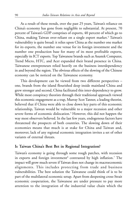As a result of these trends, over the past 25 years, Taiwan's reliance on China's economy has gone from negligible to substantial. At present, 70 percent of Taiwan's GDP comprises of exports, 40 percent of which go to China, making Taiwan over-reliant on a single export market.<sup>4</sup> Taiwan's vulnerability is quite broad: it relies upon China as the number one market for its exports, the number one venue for its foreign investment and the number one production base for many of its most profitable exports, especially its ICT exports. Top Taiwanese brands such as Asustek Computer, Trend Micro, HTC, and Acer expanded their brand presence in China. Taiwanese entrepreneurs relied heavily on the business interdependency in and beyond the region. The obvious effects of the slowing of the Chinese economy can be noticed on the Taiwanese economy.

This development can be viewed from two different perspectives – one, brands from the island flourished deep inside mainland China and grew stronger and second, China facilitated this inter-dependency to grow. While most conspiracy theorists through their traditional approach viewed this economic engagement as a trap, Murray Scot Tanner, a leading theorist, believed that if China were able to close down key parts of this economic relationship, Taiwan would be vulnerable to a major recession and other severe forms of economic dislocation.<sup>5</sup> However, this did not happen the way most observers believed. In the last few years, endogenous factors have threatened the prospects of both countries. The slowing down of their economies means that much is at stake for China and Taiwan and, moreover, lack of any regional economic integration invites a set of other variants of external threats.

#### **Is Taiwan China's Best Bet in Regional Integration?**

Taiwan's economy is going through some rough patches, with recession in exports and foreign investment $^6$  contrasted by high inflation.<sup>7</sup> The impact will grow much severe if Taiwan does not change its macroeconomic alignments. This includes protecting from trade and business vulnerabilities. The best solution the Taiwanese could think of is to be part of the multilateral economic setup. Apart from deepening cross-Strait economic cooperation, the Taiwanese are under pressure to pay more attention to the integration of the industrial value chain which the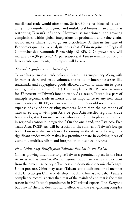multilateral trade would offer them. So far, China has blocked Taiwan's entry into a number of regional and multilateral forums in an attempt at restricting Taiwan's influence. However, as mentioned, the growing complexities within global integrations of production and value chains would make China not to go on ostrich-like. A Taiwan Institute of Economics quantitative analysis shows that if Taiwan joins the Regional Comprehensive Economic Partnership (RCEP), GDP growth rate will increase by 4.36 percent.<sup>8</sup> As per statistics, if Taiwan remains out of any larger trade agreements, the impact will be severe.

## *Taiwan's Significance in Asia-Pacific*

Taiwan has pursued its trade policy with growing transparency. Along with its market share and trade volumes, the value of intangible assets like trademarks and copyrighted goods allowed Taiwan to maintain its place in the global supply chain (GSC). For example, the RCEP market accounts for 57 percent of Taiwan's foreign trade. As a result, Taiwan is a part of multiple regional trade networks and its importance to any new trade agreements (i.e. RCEP) or partnerships (i.e. TPP) would not come at the expense of any of the existing members. More than the aspirations of Taiwan to align with pan-Asia or pan-Asia-Pacific regional trade frameworks, it is Taiwan's partners who aspire for it to play a critical role in regional economic integration.<sup>9</sup> On the one hand, the East Asia Free Trade Area, RCEP, etc. will be crucial for the survival of Taiwan's foreign trade. Taiwan is also an advanced economy in the Asia-Pacific region, a significant trader which makes it a prominent state in evolving ideas of economic multilateralism and integration of business interests.

#### *How China May Benefit from Taiwan's Position in the Region*

China's growing intentions to give Taiwan a prominent place in the East Asian as well as pan-Asia-Pacific regional trade partnerships are evident from the present trajectory of business and domestic economic challenges. Under pressure, China may accept Taiwan as the additional or +1 member if the latter accepts China's leadership in RCEP. China is aware that Taiwan's compliance record is better than that of the mainland and that is the main reason behind Taiwan's prominence in ICT-related exports. The 'Everyone but Taiwan' rhetoric does not stand effective in the ever-growing complex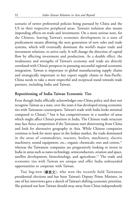scenario of newer preferential policies being pursued by China and the US in their respective peripheral areas. Taiwan's isolation also means impending effects on trade and investments. On a more serious note, for the Chinese, leaving Taiwan's economic development in a state of predicament means allowing the next generation of new rules and trade systems, which will eventually dominate the world's major trade and investment relations, to arrive early. It will change the direction of capital flow by affecting investment and production. As a double effect, the weaknesses and strengths of Taiwan's economy and trade are directly correlated with China's prospects in pursuing successful regional economic integration. Taiwan is important to global manufacturing supply chains and strategically important to key export supply chains in Asia-Pacific. China needs to take a more respectful and reciprocal stand towards trade partners, including India and Taiwan.

#### **Repositioning of India-Taiwan Economic Ties**

Even though India officially acknowledges one-China policy and does not recognise Taiwan as a state, over the years it has developed strong economic ties with Taiwanese counterparts. Taiwan's trade with India looks minimal compared to China's,<sup>10</sup> but it has competitiveness in a number of areas which might affect China's position in India. The Chinese trade structure may face fierce competition if the Taiwanese start disinvesting from China and look for alternative geography in Asia. While Chinese companies continue to look for more space in the Indian market, the trade dominated in the areas of commodities, reactors, boilers, machinery, electric machinery, sound equipment, etc.; organic chemicals; ores and cotton,<sup>11</sup> whereas the Taiwanese companies are progressively looking to invest in India in areas such as nano-technology, semiconductors, aviation and space, satellite development, biotechnology, and agriculture.<sup>12</sup> The trade and economic ties with Taiwan are unique and offer India unbounded opportunities to cooperate with Taiwan.

Tsai Ing-wen (蔡英文), who won the recently held Taiwanese presidential elections and has been Taiwan's Deputy Prime Minister, in one of her interviews gave a sketch of Taiwan's shifting economic priorities. She pointed out how Taiwan should sway away from China independently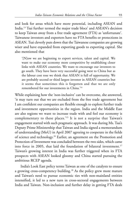and look for areas which have more potential, including ASEAN and India.<sup>13</sup> Tsai further termed the major trade blocs' and ASEAN's decision to keep Taiwan away from a free trade agreement (FTA) as 'unfortunate'. Taiwanese investors and exporters have no FTA benefits or protections in ASEAN. Tsai cleverly puts down that the Taiwanese companies are growing wiser and have expanded from exporting goods to exporting capital. She also mentioned that

'[N]ow we are beginning to export services, talent and capital. We want to make our economy more competitive by establishing closer links with ASEAN countries. We want to encourage our investors to go south. They have been very successful going west to China but as the labour cost rose we think that ASEAN is full of opportunity. We are probably second or third largest investor in ASEAN countries but it seems that sometimes this is forgotten and that we are only remembered for our investments in China.' 14

While explaining how the 'non-inclusive' can be overcome, she answered, 'it may turn out that we are excluded from the free trade agreement but I am confident our companies are flexible enough to explore further trade and investment opportunities in the region. India and the Middle East are also regions we want to increase trade with and feel our economy is complementary to these places.' <sup>15</sup> It is not a surprise that Taiwan's engagement started with such pragmatic approach. It was during Ms. Tsai's Deputy Prime Ministership that Taiwan and India signed a memorandum of understanding (MoU) in April 2007 agreeing to cooperate in the fields of science and technology. <sup>16</sup> Earlier, an agreement on the Promotion and Protection of Investment was concluded between the two sides, which came into force in 2005, that laid the foundation of bilateral investment.<sup>17</sup> Taiwan's growing interest in India was further triggered when its FTA prospects with ASEAN looked gloomy and China started pursuing the ambitious RCEP agenda.

India's Look East policy terms Taiwan as one of the catalysts to ensure a growing cross-competency building.<sup>18</sup> As the policy grew more mature and Taiwan's need to pursue economic ties with non-mainland entities intensified, it led to a new turn in cross-sectoral engagements between India and Taiwan. Non-inclusion and further delay in getting FTA deals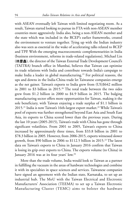with ASEAN eventually left Taiwan with limited negotiating room. As a result, Taiwan started looking to pursue its FTA with non-ASEAN member countries more aggressively. India also, being a non-ASEAN member and the state which was included in the RCEP's earlier frameworks, created the environment to venture together. Tying up with the Indian industry also was seen as essential in the wake of accelerating talks related to RCEP and TPP. With the emerging macroeconomic complementarities in India (business environment, reforms in trade-related regulations), Michael Lin (林慶鑫), the director of the Taiwan External Trade Development Council's (TAITRA) branch office in Mumbai, believes that Taiwan can optimise its trade relations with India and contribute towards India's campaign to make India a leader in global manufacturing.<sup>19</sup> For political reasons, the ups and downs in the India-China trade let Taiwanese companies emerge as the net gainer. Taiwan's exports to India grew from (US)\$642 million in 2001 to \$3 billion in 2015.<sup>20</sup> The total trade between the two sides grew from \$1.2 billion in 2000 to \$4.9 billion in 2015. The bulging manufacturing sector offers more opportunities for Taiwan, making it the sole beneficiary, with Taiwan enjoying a trade surplus of \$1.1 billion in 2015.<sup>21</sup> India is now Taiwan's 16th-largest export market.<sup>22</sup> While Taiwan's pool of exports was further strengthened beyond East Asia and South East Asia, its exports to China scored lower than the previous years. During the last 10 years (2005-2015), Taiwan's trade with China has gone through significant volatilities. From 2001 to 2005, Taiwan's exports to China increased by approximately three times, from \$33.8 billion in 2001 to \$78.3 billion in 2005. However, from 2006-2015, exports witnessed slower growth, from \$90 billion in 2006 to \$112.5 billion in 2015.<sup>23</sup> The latest data on Taiwan's exports to China in January 2016 confirm that Taiwan is losing its grip over exports to China. The exports volume (to China) in January 2016 was at its four years' low.<sup>24</sup>

More than the trade volume, India would look to Taiwan as a partner in fulfilling the vacuum in the areas of hardware technologies and combine it with its specialties in space sciences and services. Taiwanese companies have signed an agreement with the Indian state, Karnataka, to set up an industrial hub. The MoU with the Taiwan Electrical and Electronic Manufacturers' Association (TEEMA) to set up a Taiwan Electronic Manufacturing Cluster (TEMC) aims to bolster the hardware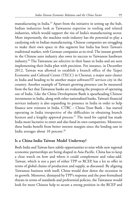manufacturing in India.<sup>25</sup> Apart from the initiative in setting up the hub, Indian industries look at Taiwanese expertise in tooling and related industries, which would support the rise of India's manufacturing sector. More importantly, the machine tools industry has the potential to play a catalysing role in Indian manufacturing. Chinese companies are struggling to make their own space in this segment but India has been Taiwan's traditional market, with German companies as its rival. The instant growth in the Chinese auto industry also owes its success to Taiwanese hardware industry.<sup>26</sup> The Taiwanese are selective in their bases in India and are seen implementing their India plan with precision. For instance, in December 2012, Taiwan was allowed to establish a branch office of the Taipei Economic and Cultural Center (TECC) in Chennai, a major auto cluster in India and heading to be another major software/IT services city in the country. Another example of Taiwan's growing presence can be measured from the fact that Taiwanese banks are evaluating the prospects of operating out of India. Like the China Development Bank is spearheading Chinese investments in India, along with other nationalised banks, Taiwan's financial services industry is also expanding its presence in India in order to help finance new ventures in India. CTBC – China Trust Bank – has started operating in India irrespective of the difficulties in obtaining branch licences and a lengthy approval process.<sup>27</sup> The need for capital has made India more lucrative to enter and also fund its own compatriots. Moreover, these banks benefit from better interest margins since the lending rate in India averages about 10 percent.<sup>28</sup>

## **Is a China-India-Taiwan Model Underway?**

Both India and Taiwan have subtle opportunities to seize while new regional economic partnerships are being shaped in Asia-Pacific. China has to keep a close watch on how and where it could complement and value-add. Taiwan, which is not a part of either TPP or RCEP, has a lot to offer in terms of global chains of production and supply, as discussed. By aligning Taiwanese business with itself, China would slow down the recession in its growth. Moreover, dismayed by TPP's response and the post-formalised threats in terms of standards and preferential policies, the Taiwanese would look for more Chinese help to secure a strong position in the RCEP and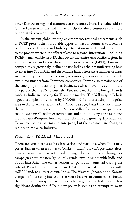other East Asian regional economic architectures. India is a value-add to China-Taiwan relations and this will help the three countries seek more opportunities to work together.

In the current global trading environment, regional agreements such as RCEP present the most viable opportunities for countries to liberalise trade barriers. Taiwan's and India's participation in RCEP will contribute to the process wherein the efforts related to regional integration – including RCEP – may enable an FTA that covers the entire Asia-Pacific region. In an effort to expand their global production network (GPN), Taiwanese companies are growingly inclined to use India as their manufacturing base to enter into South Asia and the Middle East. There are a number of areas such as auto parts, electronics, tyres, accessories, precision tools, etc. which await investments from Taiwanese companies. Taiwan also remains one of the emerging frontiers for global businesses which have invested in India as a part of their GPN to enter the Taiwanese market. The foreign brands made in India are looking for Taiwanese market. The Volkswagen Polo is a good example. It is cheaper by 200,000 TND and is causing more price wars in the Taiwanese auto market. A few years ago, Tata's Nano had created the same tension in the world's Silicon Valley for auto spare parts and tooling systems.<sup>29</sup> Indian entrepreneurs and auto industry clusters in and around Pune-Pimpri-Chinchwad and Chennai are growing dependent on Taiwanese tooling systems and auto parts, but the dynamics are changing rapidly in the auto industry.

#### **Conclusion: Dividends Unexplored**

There are certain areas such as innovation and start-ups, where India may prefer Taiwan when it comes to 'Make in India'. Taiwan's president-elect, Tsai Ying-wen, who is yet to take charge, had announced during her campaign about the new 'go south' agenda, favouring ties with India and South East Asia. The earlier version of 'go south', launched during the rule of President Lee Teng-hui in 1994, emphasised trade links with ASEAN and, to a lesser extent, India. The Western, Japanese and Korean companies' increasing interest in the South East Asian countries also forced the Taiwanese enterprises to prefer other regions but India was a less significant destination.<sup>30</sup> Tsai's new policy is seen as an attempt to wean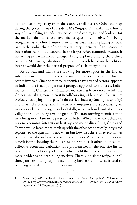Taiwan's economy away from the excessive reliance on China built up during the government of President Ma Ying-jeou.<sup>31</sup> Unlike the Chinese way of diversifying its industries across the Asian region and lookout for the market, the Taiwanese have trickier questions to solve. Not being recognised as a political entity, Taiwan has been silently playing its own part in the global chain of economic interdependencies. If any economic integration has to be successful in the larger Asian economic theatre, it has to happen with more synergies being explored among these three partners. Mere marginalisation of capital and goods based on the political interest would deter the natural progress of such integrations.

As Taiwan and China are looking for more space in the Indian subcontinent, the search for complementarities becomes critical for the parties involved. Since both these economies have a varied sectoral appetite in India, India is adopting a multi-pronged approach to monetise. India's interest in the Chinese and Taiwanese markets has been varied. While the Chinese are taking more interest in collaborating with public infrastructure projects, occupying more space in the services industry (mainly hospitality) and mass clustering, the Taiwanese companies are specialising in innovation-led technologies and soft skills, which gels well with the upper valley of product and system integration. The transforming manufacturing may bring more Taiwanese presence in India. While the whole debate on regional economic integrations heats up and materialises, India, China and Taiwan would lose time to catch up with the other economically integrated regions. So the question is not when but how fast these three economies pull their weight and materialise these synergies. All three economies can benefit from relocating their business interest in each other and push the collective economic viabilities. The problem lies in the one-size-fits-all economic and political preferences which hold them back from exploring more dividends of interlinking markets. There is no single recipe, but all three partners must grasp one fact: doing business is not what it used to be, marginalised and politically oriented.

#### **NOTES**

1. *China Daily*, 'APEC to handle Chinese Taipei under "one-China policy"', 20 November 2008, http://www.chinadaily.com.cn/china/2008-11/20/content\_7225368.htm (accessed on 21 December 2015).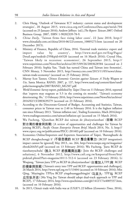- 2. Chris Hung, 'Outlook of Taiwanese ICT industry: current status and development strategies', 20 August 2015, www.cieca.org.tw/ConferenceData.aspx?mrid=704 (accessed on 25 January 2016); Andrew Jeffreys (ed.),*The Report: Taiwan 2007,* Oxford Business Group, 2007, ISBN 1-90202339-78-9.
- 3. *China Daily*, 'Taiwan firms face rising labor costs', 22 June 2010, http:// www.chinadaily.com.cn/china/2010-06/22/content\_10005273.htm (accessed on 20 December 2015).
- 4. Ministry of Finance, Republic of China, 2016. 'External trade statistics: export and import value by country', http://www.mof.gov.tw/Eng/Pages/ Detail.aspx?nodeid=259&pid=64520 (accessed on 16 March 2016); Crystal Hsu, 'Taiwan likely in recession: economists', 26 September 2015, http:// www.taipeitimes.com/News/biz/archives/2015/09/26/2003628584 (accessed on 2 February 2016); Sophia Yan, 'Trade has turned China and Taiwan into frenemies', CNN Money, 5 November 2015, http://money.cnn.com/2015/11/05/news/chinataiwan-trade-economy/ (accessed on 25 February 2016).
- 5. Murray Scot Tanner, *Chinese Economic Coercion against Taiwan: A Tricky Weapon to Use*, Santa Monica: RAND, 2007, p. 137, http://www.rand.org/content/dam/rand/ pubs/monographs/2007/RAND\_MG507.pdf.
- 6. *World Economic Survey* report, published by *Taipei Times* on 11 February 2016, reported that 'exports may stagnate at 5.5 in the coming six months'. 'Taiwan's economy deteriorating: Ifo,' 13 February 2016, http://www.taipeitimes.com/News/biz/archives/ 2016/02/13/2003639279 (accessed on 23 February 2016).
- 7. According to the Directorate-General of Budget, Accounting and Statistics, Taiwan, consumer prices in Taiwan rose to 2.40 in February 2016. It is the highest inflation rate since February 2013. 'Taiwan inflation rate', Trading Economics, Mach 2016,http:/ /www.tradingeconomics.com/taiwan/inflation-cpi (accessed on 15 March 2016).
- 8. Wu Fucheng, 'Qianzhan RCEP dui taiwan de jihuiyutiaozhan' (前瞻 RCEP 對台灣的機會與挑戰) [A review of opportunities and challenges for Taiwan by joining RCEP], *Pacific Ocean Enterprise Forum Brief*, March 2014, No. 3, http:// www.ctpecc.org.tw/publications/PECC-201403.pdf (accessed on 10 February 2016).
- 9. Economics Online/Importers and Exporters Association of Taipei, 'Buronghushi de RCEP zhenghechongji li' (不容忽視的 RCEP 整合衝擊力) [RCEP integration's impact cannot be ignored] May 2013., no. 264, http://www.ieatpe.org.tw/magazine/ ebook264/b5.pdf (accessed on 13 February 2016); Wu Fucheng, 'Jiaru RCEP de tiaozhanyuchulu' (加入 RCEP 的挑戰與出路) [Join the RCEP: challenges and solutions], 6 November 2012, http://www.cnfi.org.tw/kmportal/front/bin/ ptdetail.phtml?Part=magazine10111-512-4 (accessed on 23 February 2016); Li Woqiang, 'Taiwan jiaru TPP yu RCEP de jihuiyutiaozhan' (台灣加入TPP,與 RCEP ) [Taiwan's entry into TPP and RCEP: opportunities and challenges], 26 March 2014, http://www.npf.org.tw/1/13404 (accessed on 10 February 2016); Min Qing, 'Mayingjiu: TPPyu RCEP yingshuangguibingjin' (马英九: TPP与 RCEP 应双轨并进) [Ma Ying Jiu: Taiwan should adopt dual-track approach to TPP and RCEP], 17 February 2014, http://www.epochtimes.com/gb/14/2/17/n4085537.htm, (accessed on 10 February 2016).
- 10. In 2015, China's trade with India was at (US)\$71.22 billion (*Economics Times,* 2016),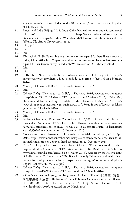whereas Taiwan's trade with India stood at \$4.95 billion (Ministry of Finance, Republic of China, 2016).

- 11. Embassy of India, Beijing, 2013. 'India-China bilateral relations: trade & commercial relations', http://www.indianembassy.org.cn/ DynamicContent.aspx?MenuId=3&SubMenuId=0 (accessed on 26 February 2016).
- 12. Jeffreys, *The Report: Taiwan 2007,* n. 2.
- 13. Ibid., p. 10.
- 14. Ibid.
- 15. Ibid.
- 16. T.N. Ashok, 'India Taiwan bilateral relations set to expand further: Taiwan envoy to India', 4 June 2015, http://diplomacyindia.com/india-taiwan-bilateral-relations-set-toexpand-further-taiwan-envoy-to-india-3639/ (accessed on 21 February 2016).
- 17. Ibid.
- 18. Ibid.
- 19. Kelly Her, 'New roads to India', *Taiwan Review,* 1 February 2016, http:// taiwantoday.tw/ct.asp?xItem=241379&ctNode=2235&mp=9 (accessed on 2 February 2016).
- 20. Ministry of Finance, ROC, 'External trade statistics ...', n. 4.
- 21. Ibid.
- 22. *Taiwan Today,* 'New roads to India', 1 February 2016, www.taiwantoday.tw/ fp.asp?xItem=241379&CtNode=2178 (accessed on 12 March 2016); *China Post,* 'Taiwan and India seeking to bolster trade relations', 1 May. 2015, http:// www.chinapost.com.tw/taiwan-business/2015/05/01/434911/Taiwan-and.htm (accessed on 11 March 2016).
- 23. Ministry of Finance, ROC, 'External trade statistics ...', n. 4.
- 24. Ibid.
- 25. Pradeesh Chandran, 'Taiwanese Cos to invest Rs. 3,200 cr in electronic cluster in Karnataka', *The Hindu*, 12 April 2015, http://www.thehindu.com/news/national/ karnataka/taiwanese-cos-to-invest-rs-3200-cr-in-electronic-cluster-in-karnataka/ article7530747.ece (accessed on 20 December 2015).
- 26. Moneycontrol.com, 'Taiwanese cos keen to be part of Make in India project', 13 April 2015, http://www.moneycontrol.com/news/press-release/taiwanese-cos-keen-to-bepartmakeindia-project\_2508481.html (accessed on 22 December 2015).
- 27. CTBC Bank opened its first branch in New Delhi in 1996 and its second branch in Sriperumbudur, Chennai in 2012. 'Welcome to CTBC Bank Co. Ltd.', http:// www.chinatrustindia.com(accessed on 3 March 2016). Areport by the Reserve Bank of India in early 2016 says that CTBC Bank is the only Taiwanese bank which has a branch form of presence in India, https://www.rbi.org.in/commonman/Upload/ English/Content/PDFs/71207.pdf.
- 28. *Taiwan Today,* 'New roads to India', 1 February 2016, www.taiwantoday.tw/ fp.asp?xItem=241379&CtNode=2178 (accessed on 12 March 2016).
- 29. *TVBS News,* 'Yinduchegong tai! Tong kuan chechajia '20 wan' ( 同款車差價「20 萬」) [Indian cars 'to attack' Taiwan! Car models with the difference of 200,000 TND], 10 February 2014, http://news.tvbs.com.tw/oldnews.html?nid=520662 (accessed on 20 March 2016).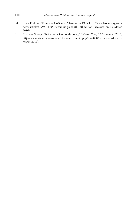- 30. Bruce Einhorn, 'Taiwanese Go South', 6 November 1995, http://www.bloomberg.com/ news/articles/1995-11-05/taiwanese-go-south-intl-edition (accessed on 10 March 2016).
- 31. Matthew Strong, 'Tsai unveils Go South policy,' *Taiwan News*, 22 September 2015, http://www.taiwannews.com.tw/etn/news\_content.php?id=2808338 (accessed on 10 March 2016).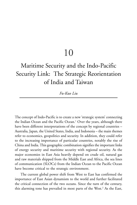# 10

# Maritime Security and the Indo-Pacific Security Link: The Strategic Reorientation of India and Taiwan

*Fu-Kuo Liu*

The concept of Indo-Pacific is to create a new 'strategic system' connecting the Indian Ocean and the Pacific Ocean.<sup>1</sup> Over the years, although there have been different interpretations of the concept by regional countries – Australia, Japan, the United States, India, and Indonesia – the main themes refer to economics, geopolitics and security. In addition, they could refer to the increasing importance of particular countries, notably the rise of China and India. This geographic combination signifies the important links of energy security and maritime security with regional security. As the major economies in East Asia heavily depend on crude oil, natural gas and raw materials shipped from the Middle East and Africa, the sea lines of communication (SLOCs) from the Indian Ocean to the Pacific Ocean have become critical to the strategic environment.

The current global power shift from West to East has confirmed the importance of East Asian dynamism to the world and further facilitated the critical connection of the two oceans. Since the turn of the century, this alarming tone has prevailed in most parts of the West.<sup>2</sup> As the East,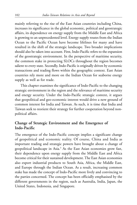mainly referring to the rise of the East Asian countries including China, increases its significance in the global economic, political and geostrategic affairs, its dependence on energy supply from the Middle East and Africa is growing to an unprecedented level. Energy supply routes from the Indian Ocean to the Pacific Ocean have become lifelines for many and have resulted in the shift of the strategic landscape. Two broader implications should also be taken into account. First, Indo-Pacific refers to the expansion of the geostrategic environment. In the perspective of maritime security, the common stake in protecting SLOCs throughout the region becomes salient to every state. Secondly, Indo-Pacific is originally driven by economic transactions and trading flows within the geographic context. East Asian countries rely more and more on the Indian Ocean for seaborne energy supply as well as for trade.

This chapter examines the significance of Indo-Pacific to the changing strategic environment in the region and the relevance of maritime security and energy security. Under the Indo-Pacific strategic context, it argues that geopolitical and geo-economic interest would drive a new ground of common interest for India and Taiwan. As such, it is time that India and Taiwan seek to reorient their strategy for further cooperation beyond nonpolitical affairs.

## **Change of Strategic Environment and the Emergence of Indo-Pacific**

The emergence of the Indo-Pacific concept implies a significant change of geopolitical and economic reality. Of course, China and India as important trading and strategic powers have brought about a change of geopolitical landscape in Asia.<sup>3</sup> As the East Asian economies grow fast, their dependence upon energy supply from the Middle East and Africa become critical for their sustained development. The East Asian economies also export industrial products to South Asia, Africa, the Middle East, and Europe through the Indian Ocean. As a result, increasing common stake has made the concept of Indo-Pacific more lively and convincing to the parties concerned. The concept has been officially emphasised by the different governments in the region, such as Australia, India, Japan, the United States, Indonesia, and Singapore.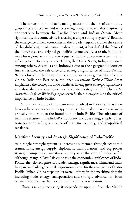The concept of Indo-Pacific mainly refers to the themes of economics, geopolitics and security and reflects recognising the new reality of growing connectivity between the Pacific Ocean and Indian Ocean. More significantly, this connectivity is creating a single 'strategic system'.<sup>4</sup> Because the emergence of new economies in the broader region becomes the centre of the global engine of economic development, it has shifted the focus of the power base and original geopolitical structure. As a result, it implies more for regional security and readjustment of the power restructure mainly referring to the four key powers: China, the United States, India, and Japan. Among others, Australia and Indonesia due to their geographic location first envisioned the relevance and strategic significance of Indo-Pacific. While observing the increasing economic and strategic weight of rising China, India and East Asia, the *2013 Australian Defence White Paper* emphasised the concept of Indo-Pacific as having great strategic significance and described its 'emergence as "a single strategic arc"'.<sup>5</sup> The *2016 Australian Defence White Paper* goes even further in emphasising the critical importance of Indo-Pacific.

A common feature of the economies involved in Indo-Pacific is their heavy reliance on seaborne energy imports. This makes maritime security critically important to the foundation of Indo-Pacific. The substance of maritime security in the Indo-Pacific context includes energy supply routes, transportation safety, assurance of maritime security, and geopolitical rebalance.

## **Maritime Security and Strategic Significance of Indo-Pacific**

As a single strategic system is increasingly formed through economic transactions, energy supply, diplomatic manipulation, and big power strategic competition, maritime security is at the core of Indo-Pacific. Although many in East Asia emphasise the economic significance of Indo-Pacific, they do recognise its broader strategic significance. China and India have, in particular, generated major momentum for the emergence of Indo-Pacific. When China steps up its overall efforts in the maritime domain including trade, energy, transportation and strategic advance, its vision on maritime strategy has been a focal point of observation.

China is rapidly increasing its dependency upon oil from the Middle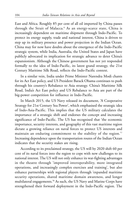East and Africa. Roughly 85 per cent of all oil imported by China passes through the Strait of Malacca.<sup>6</sup> As an energy-scarce state, China is increasingly dependent on maritime shipment through Indo-Pacific. To protect its energy supply, trade and national interest, China is driven to step up its military presence and power projection in the Indian Ocean. China may for now have doubts about the emergence of the Indo-Pacific strategic system, while India, Australia, the United States and Japan have publicly advocated its implication for strategic advance to deter China's expansionism. Although the Chinese government has not yet responded formally to the idea of Indo-Pacific, its latest grand strategy, the 21st Century Maritime Silk Road, reflects the Indo-Pacific context.

In a similar vein, India under Prime Minister Narendra Modi chants for its Act East policy, and US President Barack Obama continues to push through his country's Rebalance to Asia strategy. China's Maritime Silk Road, India's Act East policy and US Rebalance to Asia are part of the big-power competition for influence in Indo-Pacific.

In March 2015, the US Navy released its document, 'A Cooperative Strategy for 21st Century Sea Power', which emphasised the strategic idea of Indo-Asia-Pacific. This implies that the US military calculates the importance of a strategic shift and endorses the concept and increasing significance of Indo-Pacific. The US has recognised that 'the economic importance, security interests, and geography of this vast maritime region dictate a growing reliance on naval forces to protect US interests and maintain an enduring commitment to the stability of the region.' 7 Increasing dependence upon the transportation routes of the Indian Ocean indicates that the security stakes are rising.

According to its proclaimed strategy, the US will by 2020 shift 60 per cent of its naval forces into the region to cope with new challenges to its national interest. The US will not only enhance its war-fighting advantages in the theatre through 'improved interoperability, more integrated operations, and increasingly complex exercises and training', but also enhance partnerships with regional players through 'expanded maritime security operations, shared maritime domain awareness, and longer multilateral engagements.' 8 As such, the US Navy and Marine Corps have strengthened their forward deployment in the Indo-Pacific region. The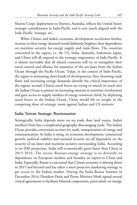Marine Corps' deployment to Darwin, Australia, reflects the United States' strategic consideration in Indo-Pacific and is very much aligned with the Indo-Pacific 'strategic arc'.

When China's and India's economic development accelerates further, increase in their energy demand would definitely heighten their dependence on maritime security for energy supply and trade flows. The countries concerned in the region, i.e. the US, India, Australia, Indonesia, Japan, and China will all respond to the strategic importance of Indo-Pacific. It is almost inevitable that all related countries will try to strengthen their naval control and alliance for assurance of the sea lanes from the Indian Ocean through the Pacific Ocean. Today, in the context of Indo-Pacific, the region is witnessing three kinds of developments: first, booming trade flows and increasing energy demands identify the critical importance of the region; second, China's naval forces are trying to stretch its reach into the Indian Ocean to protect its increasing interests in maritime involvement and gain access to supply markets of energy resources; third, by deploying naval forces in the Indian Ocean, China would lift its weight in the competing share of strategic room against Indian and US interests.

#### **India-Taiwan Strategic Reorientation**

Strategically, India depends more on sea trade than land routes. India's northern front has a complicated geography discouraging trade. The Indian Ocean provides convenient accesses for trade, transportation of energy and communication. As India is rising, its economic development, commercial growth, political stability and national security are all dependent on the security of sea lanes and maritime security surrounding India. According to an IMF projection, India will economically grow faster than China in 2015-2016. The recent Russian energy strategy is to diversify its dependence on European markets and broaden its export to China and India. Especially, Russia is concerned that China's economy is slowing down in 2015 and beyond and has taken a more proactive marketing strategy to get access to the Indian market. During the India-Russia Summit in December 2014, President Putin and Prime Minister Modi signed several critical agreements to facilitate bilateral cooperation, particularly on energy,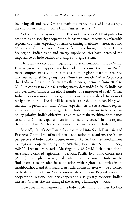involving oil and gas.<sup>9</sup> On the maritime front, India will increasingly depend on maritime imports from Russia's Far East.<sup>10</sup>

As India is looking more to the East in terms of its Act East policy for economic and security cooperation, it has widened its security stake with regional countries, especially in terms of sharing maritime interest. Around 55 per cent of India's trade in Asia-Pacific transits through the South China Sea region. India's trade and energy supply policies have increased the importance of Indo-Pacific as a single strategic system.

There are two key points regarding India's orientation in Indo-Pacific. First, its growing energy demand has made India connect with Asia-Pacific more comprehensively in order to ensure the region's maritime security. The International Energy Agency's *World Economic Outlook 2015* projects that India will have the fastest growth in energy demand from 2014 to 2040, in contrast to China's slowing energy demand.<sup>11</sup> In 2015, India has also overtaken China as the global number one importer of coal.<sup>12</sup> When India relies even more on energy imports in the years ahead, freedom of navigation in Indo-Pacific will have to be assured. The Indian Navy will increase its presence in Indo-Pacific, especially in the Asia-Pacific region, as India's new maritime strategy sets the Indian Ocean out to be a foreign policy priority. India's objective is also to maintain maritime dominance to counter China's expansionism in the Indian Ocean.<sup>13</sup> In this regard, the South China Sea becomes a critical strategic pivot for India.

Secondly, India's Act East policy has rolled into South-East Asia and East Asia. On the level of multilateral cooperation mechanisms, the Indian perspective of Indo-Pacific focuses more on ASEAN-centred mechanisms for regional cooperation, e.g. ASEAN-plus, East Asian Summit (EAS), ASEAN Defence Ministerial Meetings plus (ADMM+) than traditional Asia Pacific-centred regionalism, i.e. Asia-Pacific Economic Conference (APEC). Through these regional multilateral mechanisms, India would find it easier to broaden its connection with regional countries in its neighbourhood and Asia-Pacific. As such, India's interest will be attached to the dynamism of East Asian economic development. Beyond economic cooperation, regional security cooperation also greatly concerns India's interest. China's rise has changed the strategic landscape in Asia.

How does Taiwan respond to the Indo-Pacific link and India's Act East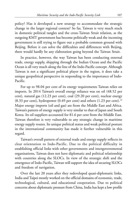policy? Has it developed a new strategy to accommodate the strategic change in the larger regional context? So far, Taiwan is very much stuck in domestic political tangles and the cross-Taiwan Strait relation, as the outgoing KMT government has become politically weak and the incoming government is still trying to figure out a probable common ground with Beijing. Before it can solve the difficulties and differences with Beijing, there would hardly be any elaboration going beyond the Taiwan Strait.

In practice, however, the way Taiwan has been conducting external trade, energy supply, shipping through the Indian Ocean and the Pacific Ocean is all very much along the line of the Indo-Pacific concept. Although Taiwan is not a significant political player in the region, it does take a unique geopolitical perspective in responding to the importance of Indo-Pacific.

For up to 98.04 per cent of its energy requirements Taiwan relies on imports. In 2014 Taiwan's overall energy reliance was on oil (48.52 per cent), natural gas (12.23 per cent), coal (29.20 per cent), nuclear energy (8.33 per cent), hydropower (0.49 per cent) and others (1.23 per cent).<sup>14</sup> Major energy imports (oil and gas) are from the Middle East and Africa. Taiwan's pattern of energy supply is very similar to that of Japan and South Korea. Its oil suppliers accounted for 81.6 per cent from the Middle East. Taiwan therefore is very vulnerable to any strategic change in maritime energy supply routes. Its unique political status and weak political posture in the international community has made it further vulnerable in this regard.

Taiwan's overall pattern of external trade and energy supply reflects its clear orientation to Indo-Pacific. Due to the political difficulty in establishing official links with other governments and intergovernmental organisations, Taiwan does not have diplomatic and political relationship with countries along the SLOCs. In view of the strategic shift and the emergence of Indo-Pacific, Taiwan will support the idea of securing SLOCs and freedom of navigation.

Over the last 20 years after they redeveloped quasi-diplomatic links, India and Taipei mostly worked on the official domains of economic, trade, technological, cultural, and educational cooperation. Due to political concerns about diplomatic pressure from China, India has kept a low profile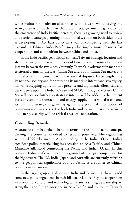while maintaining substantial contacts with Taiwan, while leaving the strategic areas untouched. As the mutual strategic interest generated by the emergence of Indo-Pacific increases, there is a growing need to review and reorient strategic planning of traditional wisdom on both sides. India is developing its Act East policy as a way of competing with the fast expanding China. Indo-Pacific may also imply more chances for cooperation and competition between China and India.

In the Indo-Pacific geopolitical context, Taiwan's strategic location and sharing strategic interest with India would strengthen the route of common interest between the two sides. Currently, Taiwan's involvement in maritime territorial claims in the East China Sea and South China Sea makes it a critical player in regional maritime territorial disputes. For strengthening its national security and for protecting its maritime interest and sovereignty, Taiwan is stepping up its military presence and diplomatic effort. Taiwan's dependence upon the Indian Ocean and SLOCs through the South China Sea will increase further, as strategic interest will be added to the present basis of economic transaction and energy supply. India will also enhance its maritime strategy in guarding against any potential interruption of communication in the sea. For both India and Taiwan, maritime security and energy security will be critical areas of cooperation.

#### **Concluding Remarks**

A strategic shift has taken shape in terms of the Indo-Pacific concept, driving the countries involved to respond positively. The region has witnessed US rebalance to Asia extending to the Indian Ocean, India's Act East policy materialising its accession to Asia-Pacific, and China's Maritime Silk Road connecting the Pacific and Indian Ocean. In this context, Indo-Pacific will become a ground of strategic competition for the big powers. The US, India, Japan, and Australia are currently referring to the geopolitical significance of Indo-Pacific as a counter to China's continuous expansion.

In the larger geopolitical context, India and Taiwan may have to add some new policy ingredients in their bilateral relations. Beyond cooperation in economic, cultural and technological affairs, a strategic partnership to strengthen the Indian presence in Asia-Pacific and to secure Taiwan's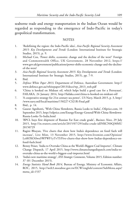seaborne trade and energy transportation in the Indian Ocean would be regarded as responding to the emergence of Indo-Pacific in today's geopolitical transformation.

#### **NOTES**

- 1. 'Redefining the region: the Indo-Pacific idea', *Asia-Pacific Regional Security Assessment 2015: Key Developments and Trends* (London: International Institute for Strategic Studies, 2015), p. 9.
- 2. Michael Cox, 'Power shifts, economic change and the decline of the west?' Foreign and Commonwealth Office, UK Government, 28 November 2012, https:// www.gov.uk/government/publications/power-shifts-economic-change-and-the-declineof-the-west/
- 3. *Asia-Pacific Regional Security Assessment 2015: Key Developments and Trends* (London: International Institute for Strategic Studies, 2015), pp. 7-9.
- 4. Ibid.
- 5. *Defence White Paper 2013*, Department of Defence, Australian Government. http:// www.defence.gov.au/whitepaper/2013/docs/wp\_2013\_web.pdf
- 6. 'China is hooked on Mideast oil, which helps build a good case for a Petroyaun', FAILAKA, 24 January 2014, http://failaka.com/china-is-hooked-on-mideast-oil/
- 7. 'A cooperative strategy for 21st century sea power', US Navy, March 2015, p. 3, http:/ /www.navy.mil/local/maritime/150227-CS21R-Final.pdf
- 8. Ibid., p. 14.
- 9. Gaurav Agnihotri**, '**With China Slowdown, Russia Looks to India**',** Oilprice.com, 10 September 2015, http://oilprice.com/Energy/Energy-General/With-China-Slowdown-Russia-Looks-To-India.html
- 10. 'BPCL buys first shipment of Russian Far East crude grade', *Business News*, 29 July 2015, http://in.reuters.com/article/2015/07/29/india-crude-idINKCN0Q30MU 20150729
- 11. Ragini Bhuyan, 'Five charts that show how India's dependence on fossil fuels will increase', Live Mint, 13 November 2015, http://www.livemint.com/Opinion/ Lc6lOXOiSwzSWPWF1yTvTI/Five-charts-that-show-how-Indias-dependence-onfossil-fuels.html
- 12. Benny Peiser, 'India to Overtake China as the World's Biggest Coal Importer', Climate Change Dispatch, 17 April 2015, http://www.climatechangedispatch.com/india-toovertake-china-as-the-world-s-biggest-coal-importer.html
- 13. 'India's new maritime strategy', *IISS Strategic Comments*, Volume 2015, Edition number: 37 (01 December 2015).
- 14. *Energy Statistics Hand Book 2014,* Bureau of Energy, Ministry of Economic Affairs, ROC, 2015, http://web3.moeaboe.gov.tw/ECW/english/content/SubMenu.aspx? menu\_id=1537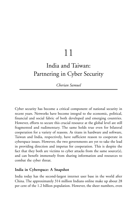# 11

# India and Taiwan: Partnering in Cyber Security

## *Cherian Samuel*

Cyber security has become a critical component of national security in recent years. Networks have become integral to the economic, political, financial and social fabric of both developed and emerging countries. However, efforts to secure this crucial resource at the global level are still fragmented and rudimentary. The same holds true even for bilateral cooperation for a variety of reasons. As titans in hardware and software, Taiwan and India, respectively, have sufficient reason to cooperate in cyberspace issues. However, the two governments are yet to take the lead in providing direction and impetus for cooperation. This is despite the fact that they both are victims to cyber attacks from the same source(s), and can benefit immensely from sharing information and resources to combat the cyber threat.

## **India in Cyberspace: A Snapshot**

India today has the second-largest internet user base in the world after China. The approximately 314 million Indians online make up about 28 per cent of the 1.2 billion population. However, the sheer numbers, even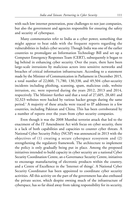with such low internet penetration, pose challenges to not just companies, but also the government and agencies responsible for ensuring the safety and security of cyberspace.

Many commentaries refer to India as a cyber power, something that might appear to beat odds with the frequent reports regarding the vulnerabilities in India's cyber security. Though India was one of the earlier countries to promulgate an Information Technology Bill and set up a Computer Emergency Responses Team (CERT), subsequently it began to lag behind in enhancing cyber security. Over the years, there have been large-scale intrusions by malicious actors into sensitive networks and breaches of critical information infrastructure. According to a statement made by the Minister of Communication in Parliament in December 2015, a total number of 22,060, 71,780, 130,338, and 49,504 cyber-security incidents including phishing, scanning, spam, malicious code, website intrusion, etc. were reported during the years 2012, 2013 and 2014, respectively. The Minister further said that a total of 27,605, 28,481 and 32,323 websites were hacked by various hacker groups during the same period.<sup>1</sup> A majority of these attacks were traced to IP addresses in a few countries, including Pakistan and China. This has been corroborated by a number of reports over the years from cyber security companies.

Even though it was the 2008 Mumbai terrorist attack that led to the enactment of the IT Amendment Act with focus on cyber security, there is a lack of both capabilities and capacities to counter cyber threats. A National Cyber Security Policy (NCSP) was announced in 2013 with the objectives of (1) creating a secure cyberspace ecosystem and (2) strengthening the regulatory framework. The architecture to implement the policy is only gradually being put in place. Among the proposed initiatives intended to build capacity in cyber security are a national Cyber Security Coordination Centre, an e-Governance Security Centre, initiatives to encourage manufacturing of electronic products within the country, and a Centre of Excellence in the 'Internet of things'. A National Cyber Security Coordinator has been appointed to coordinate cyber security activities. All this activity on the part of the government has also enthused the private sector, which despite owning much of the infrastructure of cyberspace, has so far shied away from taking responsibility for its security,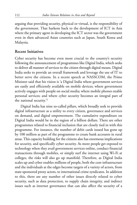arguing that providing security, physical or virtual, is the responsibility of the government. That harkens back to the development of ICT in Asia where the primary agent in developing the ICT sector was the government even in then advanced Asian countries such as Japan, South Korea and Malaysia.

#### **Recent Initiatives**

Cyber security has become even more crucial to the country's security following the announcement of programmes like Digital India, which seeks to deliver all manner of services to the citizen through digital means. Digital India seeks to provide an overall framework and leverage the use of IT to better serve the citizens. In a recent speech at NASSCOM, the Prime Minister said that his vision is 'a Digital India where government services are easily and efficiently available on mobile devices; where government actively engages with people on social media; where mobile phones enable personal services; and where cyber security becomes an integral part of the national security.'<sup>2</sup>

Digital India has nine so-called pillars, which broadly seek to provide digital infrastructure as a utility to every citizen, governance and services on demand, and digital empowerment. The cumulative expenditure on Digital India would be in the region of a billion dollars. There are other programmes related to financial inclusion that are closely tied in with this programme. For instance, the number of debit cards issued has gone up by 100 million as part of the programme to create bank accounts in rural areas. This capacity building for the citizens also has enormous implications for security, and specifically cyber security. As more people get exposed to technology when they avail government services online, conduct financial transactions through mobiles, or simply surf the internet using Wi-Fi at colleges, the risks will also go up manifold. Therefore, as Digital India scales up and cyber enables millions of people, both the core infrastructure and the individuals at the edges become targets of a variety of actors, from state-sponsored proxy actors, to international crime syndicates. In addition to this, there are any number of other issues directly related to cyber security, such as data protection, to supply chain integrity, and indirect issues such as internet governance that can also affect the security of a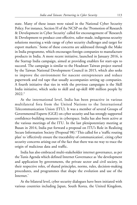state. Many of these issues were raised in the National Cyber Security Policy. For instance, Section H of the NCSP on the 'Promotion of Research & Development in Cyber Security' called for encouragement of 'Research & Development to produce cost-effective, tailor-made, indigenous security solutions meeting a wide range of cyber security challenges and target for export markets.' Some of these concerns are addressed through the Make in India programme, which encourages foreign companies to manufacture products in India. A more recent initiative, launched in January 2016, is the Startup India campaign, aimed at providing enablers for start-ups to succeed. The campaign is similar to the Headstart Taiwan project started by the Taiwan National Development Council in 2015, which also seeks to improve the environment for nascent entrepreneurs and reduce paperwork and red tape that usually accompanies setting up companies. A fourth initiative that ties in with the previous campaigns is the Skill India initiative, which seeks to skill and up-skill 400 million people by 2022.<sup>3</sup>

At the international level, India has been proactive in various multilateral fora from the United Nations to the International Telecommunication Union (ITU). It was a member of several Groups of Governmental Experts (GGE) on cyber security and has strongly supported confidence-building measures in cyberspace. India has also been active at the various meetings of the ITU. In the last plenipotentiary meeting at Busan in 2014, India put forward a proposal on ITU's Role in Realizing Secure Information Society (Proposal 98).<sup>4</sup> This called for a 'traffic routing plan' to 'effectively ensure the traceability of communication', citing cyber security concerns arising out of the fact that there was no way to trace the origin of malicious data and traffic.

India has also embraced multi-stakeholder internet governance, as per the Tunis Agenda which defined Internet Governance as 'the development and application by governments, the private sector and civil society, in their respective roles, of shared principles, norms, rules, decision-making procedures, and programmes that shape the evolution and use of the Internet.'

At the bilateral level, cyber security dialogues have been initiated with various countries including Japan, South Korea, the United Kingdom,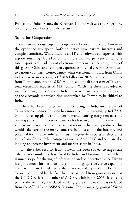France, the United States, the European Union, Malaysia and Singapore, covering various facets of cyber security.

#### **Scope for Cooperation**

There is tremendous scope for cooperation between India and Taiwan in the cyber security space. Both countries have natural interests and complementarities. While India is an IT and software superpower with exports touching (US)\$100 billion, more than 40 per cent of Taiwan's total exports are made up of electronic components. However, most of this goes to China and is in turn exported as finished electronics products to various countries. Consequently, while electronics imports from China to India were in the range of \$18.5 billion in 2015, electronics imports from Taiwan amounted to \$525 million, about half a per cent of Taiwan's total electronic exports of \$125 billion. With the thrust provided to manufacturing under Make in India, there is a case to be made for some of the electronic manufacturing undertaken by Taiwan to be shifted to India.

There has been interest in manufacturing in India on the part of Taiwanese companies. Foxconn has announced it is investing up to US\$20 billion to set up plants and an entire manufacturing ecosystem over the coming years.<sup>5</sup> This investment makes both strategic and economic sense as there are increasing concerns over backdoors in hardware products. This would take care of the many concerns in India about the integrity and potential for mischief inherent in such large-scale imports of electronics items from China. Other companies such as Acer, HTC and Asus are also looking to increase investment and market share in India.

On the cyber security front, Taiwan has been subject to large-scale cyber attacks similar to those faced by India, and for much longer. These is much scope for sharing of information and best practices since Taiwan has gone much further than India in building up a defensive capability and has intimate knowledge of the attackers and types of attacks. While Taiwan is inhibited by the fact that it is excluded from groupings such as the UN GGE, it is a member of APCERT, joining in 2003. It is also a part of the APEC cyber-related working groups. However, it is excluded from the ASEAN and ASEAN Regional Forum working groups.<sup>6</sup> Given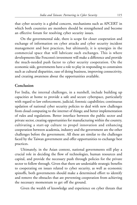that cyber security is a global concern, mechanisms such as APCERT in which both countries are members should be strengthened and become an effective forum for resolving cyber security issues.

On the governmental side, there is scope for closer cooperation and exchange of information on cyber attacks and cyber security incident management and best practices, but ultimately, it is synergies in the commercial space that will lubricate such exchanges. This is where developments like Foxconn's investment will make a difference and provide the much-needed push factor to cyber security cooperation. On the economic side, governments have a role to play in responding to constraints such as cultural disparities, ease of doing business, improving connectivity, and creating awareness about the opportunities available.

# **Conclusion**

For India, the internal challenges, in a nutshell, include building up capacities at home to provide a safe and secure cyberspace, particularly with regard to law enforcement, judicial, forensic capabilities; continuous updation of national cyber security policies to deal with new challenges from cloud computing to the internet of things; and better implementation of rules and regulations. Better interface between the public sector and private sector, creating opportunities for manufacturing within the country, cultivating a start-up culture to propel innovation and enhancing cooperation between academia, industry and the government are the other challenges before the government. All these are similar to the challenges faced by the Taiwan government and offer opportunities to exchange best practices.

Ultimately, in the Asian context, national governments still play a crucial role in deciding the flow of technologies, human resources and capital, and provide the necessary push through policies for the private sector to follow through. Given that there are undeniable strategic benefits to cooperating on issues related to cyber security, as well as economic spinoffs, both governments should make a determined effort to identify and remove the obstacles that are preventing cooperation from achieving the necessary momentum to get off the ground.

Given the wealth of knowledge and experience on cyber threats that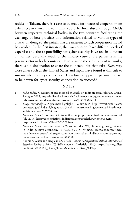resides in Taiwan, there is a case to be made for increased cooperation on cyber security with Taiwan. This could be formalised through MoUs between respective technical bodies in the two countries facilitating the exchange of best practices and information related to various types of attacks. In doing so, the pitfalls that are inherent to such cooperation should be avoided. In the first instance, the two countries have different levels of expertise and the responsibility for cyber security is vested in different authorities. Secondly, much of the infrastructure and expertise is in the private sector in both countries. Thirdly, given the sensitivity of networks, there is a disinclination to share the vulnerabilities that exist. Even very close allies such as the United States and Japan have found it difficult to sustain cyber security cooperation. Therefore, very precise parameters have to be drawn for cyber security cooperation to succeed.<sup>7</sup>

#### **NOTES**

- 1. *India Today*, 'Government says most cyber attacks on India are from Pakistan, China', 7 August 2015, http://indiatoday.intoday.in/technology/story/government-says-mostcyberattacks-on-india-are-from-pakistan-china/1/457046.html
- 2. *Daily News Analysis*, Digital India highlights… 2 July 2015, http://www.firstpost.com/ business/digital-india-highlights-rs-4-5-lakh-cr-investment-in-governance-18-lakh-jobsand-i-dream-of-2321734.html
- 3. *Economic Times*, Government to train 40 crore people under Skill India initiative, 21 July 2015, http://economictimes.indiatimes.com/articleshow/48090083.cms
- 4. http://www.itu.int/md/S14-PP-C-0098/en
- 5. *Economic Times*, Foxconn boost for 'Make in India': Why Taiwan's growing interests in India deserve attention, 16 August 2015, http://telecom.economictimes. indiatimes.com/news/industry/foxconn-boost-for-make-in-india-why-taiwans-growinginterests-in-india-deserve-attention/48499061
- 6. Bonnie S. Glaser and Jacqueline A. Vitello, *Taiwan's Marginalized Role in International Security: Paying a Price,* CSIS/Rowman & Littlefield, 2015, https://csis.org/files/ publication/150105\_Glaser\_TaiwanMarginalizedRole\_WEB.pdf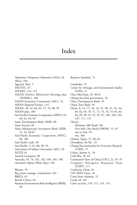# Index

Business Standard, 74

Admission Temporary Admission (ATA), 26 Africa, 104 Agarwal, Ritu, 5 ANZTEC, 61 APCERT, 114, 115 ASEAN Defence Ministerial Meetings plus (ADMM+), 106 ASEAN Economic Community (AEC), 76 ASEAN Regional Forum, 114 ASEAN, 20, 63, 64, 65, 72, 76, 88, 93 ASEAN-plus, 106 Asia Pacific Economic Cooperation (APEC), 59, 60, 62, 63, 64 Asian Development Bank (ADB), 60 Asian Factory, 69 Asian Infrastructure Investment Bank (AIIB), 15, 32, 60-61 Asia-Pacific Economic Cooperation (APEC), 88, 106 Asia-Pacific trade, 58 Asia-Pacific, 3, 61, 88, 89, 95 Association of Indian Universities (AIU), 26 ASTEP, 61 Asustek Computer, 90 Australia, 64, 76, 101, 102, 104, 105, 108 *Australian Defence White Paper*, 103 Bhutan, 39 Big power strategic competition, 103 BRICS, 63 British Colony, 64 Business Environment Risk Intelligence (BERI), 30

Cambodia, 72 Center for Strategic and International Studies (CSIS), 11 Chen Shui-bian, 29, 40-41 Chiang Kai-shek government, 24 China Development Bank, 95 China Trust Bank, 95 China, 8, 13, 15, 16, 24, 31, 40, 41, 43, 44, 60, 62, 64, 70, 71, 72, 74, 76, 79, 82, 83, 84, 89, 90, 91, 92, 95, 97, 103, 104, 105, 107, 111, 114 China's Maritime Silk Road, 104 One Belt, One Road (OBOR), 15, 45 rise in Asia, 59 rise, 106 Chinese Taipei, 27, 60, 64 Choudhury, Ila Pal , 23 Chung Hua Institution for Economic Research (CIER), 75 Cohen, Jerome A., 10 Cold War, 78, 83 Communist Party of China (CPC), 21, 39, 45 Computer Emergency Responses Team (CERT), 111 Confucian China, 81 CPC-KMT frame, 24 Cross-Strait relations, 31 Crude oil, 101 Cyber security, 110, 112, 114, 116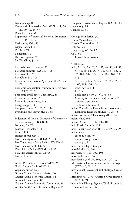Dean Cheng, 10 Democratic Progressive Party (DPP), 11, 20, 29, 40, 42, 44, 57 Deng Xiaoping, 41 Department of Industrial Policy & Promotion (DIPP), 70, 72 Deshpande, V.G., 23 Digital India, 112 Doi Moi, 71 Dongguan, 84 Dr. Tsai Ing-wen, 20 Dr. Wu Ching-ji, 27 East Asia Free Trade Area, 91 East Asia Summit (EAS), 63, 106 East Asia, 88, 89 East China Sea, 108 Economic Cooperation Agreement (ECA), 75, 77 Economic Cooperation Framework Agreement (ECFA), 61, 76 Economic Intelligence Unit (EIU), 30 Economic partners, 16 Economic transactions, 103 Energy supply, 103 European Union, 21, 28, 32, 114 Everything but Taiwan (EBT), 88 Federation of Indian Chambers of Commerce and Industry (FICCI), 82 Formosa, 23, 79 Foxconn Technology, 74 France, 114 Francis Yi-hua Kan, 4 Free Trade Agreement (FTA), 28, 93 Free Trade Area of Asia-Pacific (FTAAP), 4 Free Trade Area, 58, 64, 77 FTA of Asia-Pacific (FTAAP), 60, 62 FTA-like agreement, 61, 62, 65 Fu-Kuo Liu, 6 Global Production Network (GPN), 96 Global Supply Chain (GSC), 91 Gopalan, Suresh T., 6

Greater China Common Market, 84 Greater China Economic Region, 84

Greater China region, 87

Greater Chinese Economic Community, 84 Greater South China Economic Region, 84 Groups of Governmental Experts (GGE), 113 Guangdong, 84 Guangzhou, 84 Heritage Foundation, 30 Hindu Mahasabha, 23 Hi-tech Cooperation, 17 Holy See, 25 Hong Kong, 43, 64, 83 HTC, 90 Hu Jintao administration, 40 ICRIER, 62 India, 22, 24, 25, 26, 31, 37, 44, 46, 48, 49, 51, 54, 60, 64, 65, 75, 76, 79, 81, 85, 92, 97, 101, 102, 104, 105, 106, 107, 108, 113 Act East policy, 3, 6, 21, 25, 28, 32, 64, 65, 104, 106, 108 cyber power, 111 IT, 114 Look East policy, 25, 69, 76, 93 Ministry of Commerce and Industry, 70 software superpower, 114 Trade with Taiwan, 27 Indian Council for Research on International Economic Relations (ICRIER), 28, 75 Indian Institutes of Technology (IITs), 26 Indian Navy, 106 Indian Ocean, 101, 102, 107, 108 India-Russia Summit, 105 India-Taipei Association (ITA), 2, 19, 56, 69 India-Taiwan economic ties, 70 minimal cooperation, 3 trade, 31, 62 India-Taiwan-Japan triangle, 31 Indo-Asia-Pacific, 104 Indonesia, 73, 101, 102, 105 Indo-Pacific link, 106 Indo-Pacific, 3, 6, 57, 102, 103, 104, 107 Information Communication Technologies (ICT), 89, 90, 112 International Assessment and Strategic Center, 15 International Civil Aviation Organisation (ICAO), 21 International Energy Agency's World Economic Outlook 2015, 106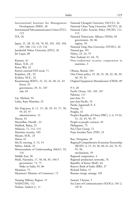| International Institute for Management<br>Development (IMD), 30<br>International Telecommunication Union (ITU), | Nationa<br>Nationa<br>Nationa |
|-----------------------------------------------------------------------------------------------------------------|-------------------------------|
| 113                                                                                                             | 113                           |
| ITA, 26                                                                                                         | Nationa                       |
|                                                                                                                 | gove                          |
| Japan, 21, 28, 32, 64, 76, 82, 101, 102, 104,                                                                   | regi                          |
| 105, 108, 112, 113, 116                                                                                         | Nationa                       |
| Jawaharlal Nehru University (JNU), 26                                                                           | Natural                       |
| Jin Liqun, 60                                                                                                   | Nehru,                        |
|                                                                                                                 | New Ze                        |
| Kinmen, 61                                                                                                      | Non-tr                        |
| Khare, N.B., 23                                                                                                 | mar                           |
| Korea War, 22                                                                                                   |                               |
| Korea's outward FDI stock, 71                                                                                   | Obama,                        |
| Kripalani, J.B., 23                                                                                             | One-Ch                        |
| Krishna, M.K., 23                                                                                               | 46,                           |
| Kuomintang (KMT), 21, 22, 24, 40, 41, 43<br>forces, 23                                                          | Original                      |
| government, 29, 31, 107                                                                                         | $P-5, 20$                     |
| rule, 65                                                                                                        | Pacific (<br>Pakistan         |
| Lin, Michael, 94                                                                                                | pan-Asia                      |
| Lohia, Ram Manohar, 23                                                                                          | pan-Asia                      |
|                                                                                                                 | Panda, J                      |
| Ma Ying-jeou, 8, 11, 15, 28, 29, 45, 57, 58,                                                                    | Penang,                       |
| 59, 65, 97                                                                                                      | Penghu,                       |
| administration, 12                                                                                              | People's                      |
| Macau, 43                                                                                                       | 31,                           |
| Macmillan, Harold, 23                                                                                           | People-t                      |
| Madhok, Balraj, 23                                                                                              | Philippi                      |
| Malaysia, 71, 112, 114                                                                                          | Pou Che                       |
| Maritime security, 103                                                                                          | Praja So                      |
| Masani, M.R., 23                                                                                                |                               |
| Matsu, 61                                                                                                       | Rao, Ni                       |
| Ma-Xi meeting, 9, 13, 14                                                                                        | Regiona                       |
| Mehta, Ashok, 23                                                                                                | (RC                           |
| Memorandum of Understanding (MoU), 93,<br>116                                                                   | 95,<br>mec                    |
| Middle East, 96                                                                                                 | Regiona                       |
| Modi, Narendra, 17, 58, 66, 85, 104-5                                                                           | Regiona                       |
| government, 72, 75                                                                                              | Republi                       |
| Make in India, 65, 86                                                                                           | Reserve                       |
| Myanmar, 72                                                                                                     | Richard                       |
| Myanmar's Ministry of Commerce, 72                                                                              | Russian                       |
| Nanjing Military Region, 15                                                                                     | Samuel,                       |
| NASSCOM, 112                                                                                                    | Sea Line                      |
| Nathan, Andrew J., 11                                                                                           | 107                           |

l Chengchi University (NCCU), 26 l Chiao Tung University (NCTU), 26 1 Cyber Security Policy (NCSP), 111, l Democratic Alliance (NDA), 85 ernment, 38, 86 me, 39 l Tsing Hua University (NTHU), 26 gas, 101 23, 24, 79 aland, 61, 64, 76 aditional security cooperation in itime, 3 Barack, 104 ina policy, 19, 20, 25, 28, 32, 38, 39, 59, 92 Equipment Manufacturer (OEM), 89 Dcean, 101, 105, 107  $, 111$ a, 91 a-Pacific, 91 agannath P., 6 Penang, 71 61 Republic of China (PRC), 2, 4, 19-24, 31, 32, 43, 56, 59 o-people contacts, 43 nes, 73 en Group, 72 cialist Party (PSP), 23 rupama, 28 l Comprehensive Economic Partnership (RCEP), 4, 15, 32, 56, 60, 61, 64, 76, 91, 95, 96 hanisms, 59<sup>.</sup> 1 cooperation, 4 I production networks, 76

c of Korea (RoK), 64

Bank of India (RBI), 27

Fisher, 15

energy strategy, 105

Cherian, 5 es of Communication (SLOCs), 101-2, 107-8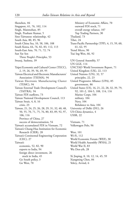Shenzhen, 84 Singapore, 61, 76, 102, 114 Singh, Manmohan, 85 Singh, Prashant Kumar, 5 Sino-Taiwanese relationship, 42 South Asia, 80, 85, 96 South China Sea, 10, 58, 106, 108 South Korea, 64, 76, 82, 83, 112, 113 South-East Asia, 70, 71, 72, 74 Sun Yat Sen Three People's Principles, 53 Swaraj, Sushma, 39 Taipei Economic and Cultural Center (TECC), 2, 19, 26, 39, 56, 69, 95 Taiwan Electrical and Electronic Manufacturers' Association (TEEMA), 94 Taiwan Electronic Manufacturing Cluster (TEMC), 94 Taiwan External Trade Development Council's (TAITRA), 94 Taiwan FDI outflows, 73 Taiwan National Development Council, 113 Taiwan Strait, 4, 8, 16 crisis, 23 Taiwan, 21, 24, 25, 26, 28, 29, 31, 32, 40, 48, 50, 55, 70, 71, 75, 76, 80, 83, 89, 92, 97, 106, 116 Province of China, 27 success of democratisation, 54 Taiwan's accumulated FDI in Vietnam, 72 Taiwan's Chung-Hua Institution for Economic Research (CIER), 28 Taiwan's Continental Engineering Corporation (CEC), 27 Taiwan's economic, 52, 82, 90 exports to India, 94 foreign direct investment, 26 stock in India, 45 Go South policy, 3 Go West, 70

Ministry of Economic Affairs, 70 outward FDI stock, 71 overall energy reliance, 107 Top Trading Partners, 30 Thailand, 73 Tibet, 24 Trans-Pacific Partnership (TPP), 4, 15, 59, 60, 61, 62, 95 Trend Micro, 90 Tsai Ing-Wen, 66, 92 UN General Assembly, 57 UN GGE, 114 UNCTAD World Investment Report, 71 United Kingdom (UK), 22, 113 United Nations (UN), 32, 57 principles, 22, 23 United Progressive Alliance (UPA), 85 government, 86 United States (US), 16, 21, 22, 28, 32, 39, 79, 92, 101-2, 104-5, 108, 114, 116 Marine Corps, 104 military, 104 Navy, 104 Rebalance to Asia, 104 University of Delhi (DU), 26 US-China dynamics, 4 USSR, 22 Vietnam, 71 Volkswagen Polo, 96

West, 101 Wi-Fi, 112 World Economic Forum (WEF), 30 World Health Assembly (WHA), 21 World War II, 83 Wu Den-yih, 28

Xi Jinping, 8, 10, 12, 14, 45, 59 Xiangming Chen, 84 Yelery, Arvind, 6